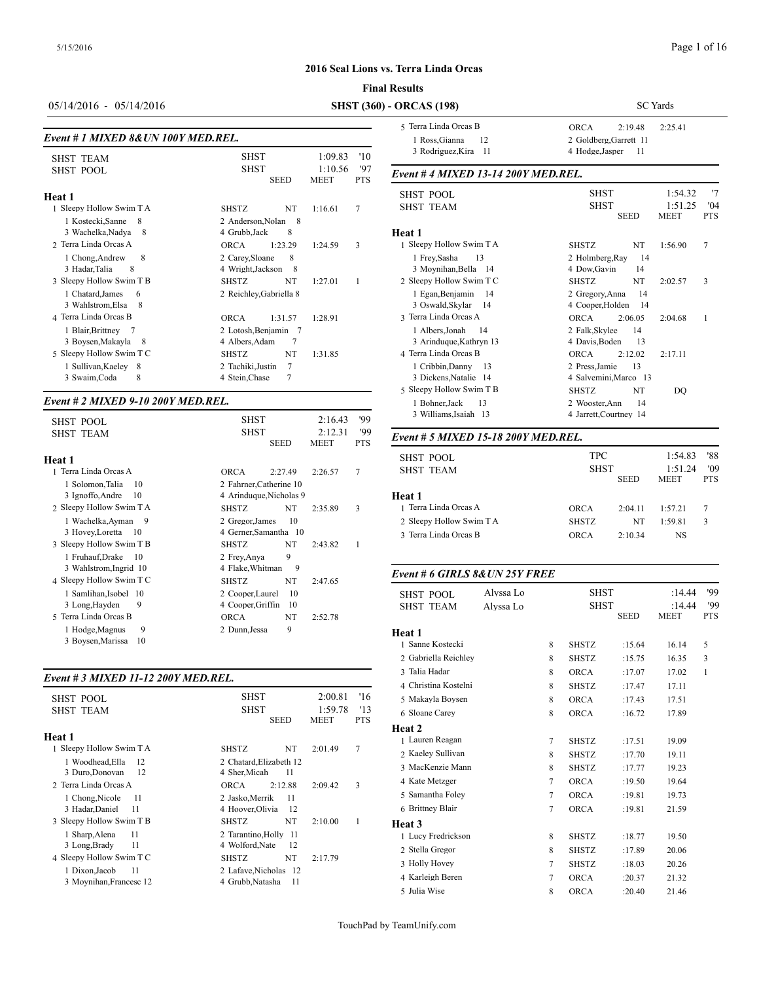#### **Final**

05/14/2016 - 05/14/2016 **SHST (360)** -

# *Event # 1 MIXED 8&UN 100Y MED.REL.*

| <b>SHST TEAM</b>                                 | <b>SHST</b><br>1:09.83                                     | '10               | 3 Rodriguez, K                     |
|--------------------------------------------------|------------------------------------------------------------|-------------------|------------------------------------|
| <b>SHST POOL</b>                                 | <b>SHST</b><br>1:10.56<br><b>SEED</b><br><b>MEET</b>       | '97<br><b>PTS</b> | Event #4 MIXE                      |
| Heat 1                                           |                                                            |                   | <b>SHST POOL</b>                   |
| 1 Sleepy Hollow Swim T A                         | NT<br><b>SHSTZ</b><br>1:16.61                              | 7                 | <b>SHST TEAM</b>                   |
| 1 Kostecki, Sanne<br>8<br>3 Wachelka, Nadya<br>8 | 2 Anderson, Nolan<br>- 8<br>4 Grubb, Jack<br>8             |                   | Heat 1                             |
| 2 Terra Linda Orcas A                            | 1:23.29<br><b>ORCA</b><br>1:24.59                          | 3                 | 1 Sleepy Hollow S                  |
| 8<br>1 Chong, Andrew<br>3 Hadar, Talia<br>8      | 2 Carey, Sloane<br>8<br>4 Wright, Jackson<br>- 8           |                   | 1 Frey, Sasha<br>3 Moynihan, Bo    |
| 3 Sleepy Hollow Swim T B                         | <b>SHSTZ</b><br>NT<br>1:27.01                              | 1                 | 2 Sleepy Hollow S                  |
| 1 Chatard, James<br>6<br>3 Wahlstrom, Elsa<br>8  | 2 Reichley, Gabriella 8                                    |                   | 1 Egan, Benjam<br>3 Oswald, Skyl   |
| 4 Terra Linda Orcas B                            | <b>ORCA</b><br>1:31.57<br>1:28.91                          |                   | 3 Terra Linda Orc                  |
| 1 Blair, Brittney<br>3 Boysen, Makayla<br>8      | 2 Lotosh, Benjamin 7<br>7<br>4 Albers, Adam                |                   | 1 Albers, Jonah<br>3 Arinduque, K  |
| 5 Sleepy Hollow Swim T C                         | <b>SHSTZ</b><br>NT<br>1:31.85                              |                   | 4 Terra Linda Orc                  |
| 1 Sullivan, Kaeley 8<br>8<br>3 Swaim, Coda       | $\overline{7}$<br>2 Tachiki, Justin<br>7<br>4 Stein, Chase |                   | 1 Cribbin, Danı<br>3 Dickens, Nata |

### *Event # 2 MIXED 9-10 200Y MED.REL.*

| <b>SHST POOL</b>                                                              | <b>SHST</b><br>2:16.43                                                              | '99        | 3 Williams, Isai                       |
|-------------------------------------------------------------------------------|-------------------------------------------------------------------------------------|------------|----------------------------------------|
| <b>SHST TEAM</b>                                                              | <b>SHST</b><br>2:12.31<br><b>SEED</b><br>MEET                                       | '99<br>PTS | Event # 5 MIXE                         |
| Heat 1<br>1 Terra Linda Orcas A<br>10                                         | <b>ORCA</b><br>2:27.49<br>2:26.57                                                   | 7          | <b>SHST POOL</b><br><b>SHST TEAM</b>   |
| 1 Solomon, Talia<br>3 Ignoffo, Andre<br>10<br>2 Sleepy Hollow Swim T A        | 2 Fahrner, Catherine 10<br>4 Arinduque, Nicholas 9<br><b>SHSTZ</b><br>NT<br>2:35.89 | 3          | <b>Heat 1</b><br>1 Terra Linda Orc     |
| 1 Wachelka, Ayman<br>- 9<br>3 Hovey, Loretta<br>- 10                          | 10<br>2 Gregor, James<br>4 Gerner, Samantha 10                                      |            | 2 Sleepy Hollow S<br>3 Terra Linda Orc |
| 3 Sleepy Hollow Swim T B<br>1 Fruhauf, Drake<br>-10<br>3 Wahlstrom, Ingrid 10 | NT<br><b>SHSTZ</b><br>2:43.82<br>9<br>2 Frey, Anya<br>9<br>4 Flake, Whitman         | 1          |                                        |
| 4 Sleepy Hollow Swim T C                                                      | NT<br><b>SHSTZ</b><br>2:47.65                                                       |            | Event # 6 GIRL.                        |
| 1 Samlihan, Isobel 10<br>3 Long, Hayden<br>9<br>5 Terra Linda Orcas B         | 10<br>2 Cooper, Laurel<br>4 Cooper, Griffin<br>10<br><b>ORCA</b><br>NT<br>2:52.78   |            | <b>SHST POOL</b><br><b>SHST TEAM</b>   |
| 9<br>1 Hodge, Magnus<br>3 Boysen, Marissa<br>10                               | 9<br>2 Dunn, Jessa                                                                  |            | Heat 1<br>1 Sanne Kostecki             |

#### *Event # 3 MIXED 11-12 200Y MED.REL.*

| <b>SHST POOL</b>         | <b>SHST</b>                | 2:00.81         | '16              | 5 Makayla Boyser  |
|--------------------------|----------------------------|-----------------|------------------|-------------------|
| <b>SHST TEAM</b>         | <b>SHST</b><br><b>SEED</b> | 1:59.78<br>MEET | 13<br><b>PTS</b> | 6 Sloane Carey    |
|                          |                            |                 |                  | <b>Heat 2</b>     |
| Heat 1                   |                            |                 |                  | 1 Lauren Reagan   |
| 1 Sleepy Hollow Swim T A | NT<br><b>SHSTZ</b>         | 2:01.49         | 7                | 2 Kaeley Sullivan |
| 1 Woodhead.Ella<br>12    | 2 Chatard, Elizabeth 12    |                 |                  |                   |
| 3 Duro, Donovan<br>12    | 4 Sher, Micah<br>11        |                 |                  | 3 MacKenzie Mar   |
| 2 Terra Linda Orcas A    | 2:12.88<br>ORCA            | 2:09.42         | 3                | 4 Kate Metzger    |
| 1 Chong, Nicole<br>-11   | 2 Jasko, Merrik<br>11      |                 |                  | 5 Samantha Foley  |
| 3 Hadar, Daniel<br>11    | 4 Hoover, Olivia<br>12     |                 |                  | 6 Brittney Blair  |
| 3 Sleepy Hollow Swim T B | NT<br><b>SHSTZ</b>         | 2:10.00         | 1                | Heat 3            |
| 1 Sharp, Alena<br>11     | 2 Tarantino, Holly 11      |                 |                  | 1 Lucy Fredrickso |
| 3 Long, Brady<br>11      | 4 Wolford, Nate<br>12      |                 |                  | 2 Stella Gregor   |
| 4 Sleepy Hollow Swim T C | NT<br><b>SHSTZ</b>         | 2:17.79         |                  |                   |
| 11<br>1 Dixon, Jacob     | 2 Lafave, Nicholas 12      |                 |                  | 3 Holly Hovey     |
| 3 Moynihan, Francesc 12  | 4 Grubb, Natasha<br>11     |                 |                  | 4 Karleigh Beren  |
|                          |                            |                 |                  |                   |

| <b>Results</b>                                   |              |             |                                           |                        |                        |                   |
|--------------------------------------------------|--------------|-------------|-------------------------------------------|------------------------|------------------------|-------------------|
| <b>ORCAS</b> (198)                               |              |             |                                           |                        | <b>SC</b> Yards        |                   |
| 5 Terra Linda Orcas B                            |              |             | <b>ORCA</b>                               | 2:19.48                | 2:25.41                |                   |
| 1 Ross, Gianna<br>3 Rodriguez, Kira 11           | 12           |             | 2 Goldberg, Garrett 11<br>4 Hodge, Jasper |                        |                        |                   |
| Event # 4 MIXED 13-14 200Y MED.REL.              |              |             |                                           |                        |                        |                   |
| <b>SHST POOL</b>                                 |              |             | SHST                                      |                        | 1:54.32                | '7                |
| <b>SHST TEAM</b>                                 |              |             | SHST                                      | <b>SEED</b>            | 1:51.25<br><b>MEET</b> | '04<br><b>PTS</b> |
| Heat 1                                           |              |             |                                           |                        |                        |                   |
| 1 Sleepy Hollow Swim T A                         |              |             | <b>SHSTZ</b>                              | NT                     | 1:56.90                | 7                 |
| 1 Frey, Sasha<br>3 Moynihan, Bella 14            | 13           |             | 2 Holmberg, Ray<br>4 Dow, Gavin           | 14<br>14               |                        |                   |
| 2 Sleepy Hollow Swim T C                         |              |             | <b>SHSTZ</b>                              | NT                     | 2:02.57                | 3                 |
| 1 Egan, Benjamin                                 | 14           |             | 2 Gregory, Anna                           | 14                     |                        |                   |
| 3 Oswald, Skylar                                 | 14           |             | 4 Cooper, Holden                          | 14                     |                        |                   |
| 3 Terra Linda Orcas A                            |              | <b>ORCA</b> | 2:06.05                                   | 2:04.68                | 1                      |                   |
| 1 Albers, Jonah                                  | 14           |             | 2 Falk, Skylee<br>4 Davis.Boden           | 14                     |                        |                   |
| 3 Arinduque, Kathryn 13<br>4 Terra Linda Orcas B |              |             | <b>ORCA</b>                               | 13<br>2:12.02          | 2:17.11                |                   |
| 1 Cribbin, Danny                                 | 13           |             | 2 Press.Jamie                             | 13                     |                        |                   |
| 3 Dickens, Natalie 14                            |              |             | 4 Salvemini, Marco 13                     |                        |                        |                   |
| 5 Sleepy Hollow Swim T B                         | <b>SHSTZ</b> | NT          | DQ                                        |                        |                        |                   |
| 1 Bohner, Jack                                   | 13           |             | 2 Wooster, Ann                            | 14                     |                        |                   |
| 3 Williams, Isaiah 13                            |              |             |                                           | 4 Jarrett, Courtney 14 |                        |                   |
| Event # 5 MIXED 15-18 200Y MED.REL.              |              |             |                                           |                        |                        |                   |
| <b>SHST POOL</b>                                 |              |             | <b>TPC</b>                                |                        | 1:54.83                | '88               |
| <b>SHST TEAM</b>                                 |              |             | <b>SHST</b>                               |                        | 1:51.24                | '09               |
|                                                  |              |             |                                           | <b>SEED</b>            | <b>MEET</b>            | <b>PTS</b>        |
| Heat 1                                           |              |             |                                           |                        |                        |                   |
| 1 Terra Linda Orcas A                            |              |             | <b>ORCA</b>                               | 2:04.11                | 1:57.21                | 7                 |
| 2 Sleepy Hollow Swim T A                         |              |             | <b>SHSTZ</b>                              | NT                     | 1:59.81                | 3                 |
| 3 Terra Linda Orcas B                            |              |             | <b>ORCA</b>                               | 2:10.34                | NS                     |                   |
| Event # 6 GIRLS 8& UN 25Y FREE                   |              |             |                                           |                        |                        |                   |
| <b>SHST POOL</b>                                 | Alvssa Lo    |             | <b>SHST</b>                               |                        | :14.44                 | '99               |
| <b>SHST TEAM</b>                                 | Alyssa Lo    |             | <b>SHST</b>                               |                        | :14.44                 | '99               |
|                                                  |              |             |                                           | <b>SEED</b>            | <b>MEET</b>            | <b>PTS</b>        |
| Heat 1                                           |              |             |                                           |                        |                        |                   |
| 1 Sanne Kostecki                                 |              | 8           | SHSTZ                                     | :15.64                 | 16.14                  | 5                 |
| 2 Gabriella Reichley                             |              | 8           | SHSTZ                                     | :15.75                 | 16.35                  | 3                 |
| 3 Talia Hadar                                    |              | 8           | ORCA                                      | :17.07                 | 17.02                  | $\mathbf{1}$      |
| 4 Christina Kostelni                             |              | 8           | SHSTZ                                     | :17.47                 | 17.11                  |                   |
| 5 Makayla Boysen                                 |              | 8           | ORCA                                      | :17.43                 | 17.51                  |                   |
| 6 Sloane Carey                                   |              | 8           | ORCA                                      | :16.72                 | 17.89                  |                   |
| Heat 2                                           |              |             |                                           |                        |                        |                   |
| 1 Lauren Reagan                                  |              | 7           | <b>SHSTZ</b>                              | :17.51                 | 19.09                  |                   |

2 Kaeley Sullivan 8 SHSTZ :17.70 19.11 MacKenzie Mann 8 SHSTZ :17.77 19.23 Kate Metzger 7 ORCA :19.50 19.64 Samantha Foley 7 ORCA :19.81 19.73 Brittney Blair 7 ORCA :19.81 21.59

 Lucy Fredrickson 8 SHSTZ :18.77 19.50 Stella Gregor 8 SHSTZ :17.89 20.06 3 Holly Hovey **7** SHSTZ :18.03 20.26 Karleigh Beren 7 ORCA :20.37 21.32 5 Julia Wise 8 ORCA :20.40 21.46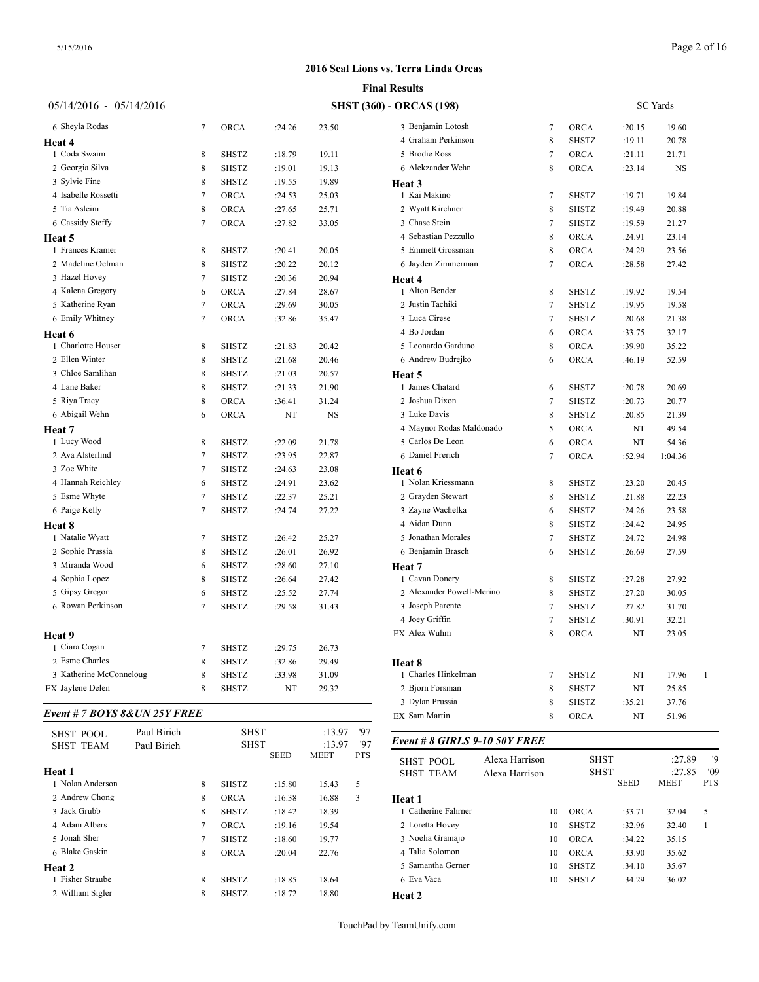|                               |             |                                                                   |              |        |           |                         | <b>Final Results</b>            |                |        |                              |                 |                |                   |
|-------------------------------|-------------|-------------------------------------------------------------------|--------------|--------|-----------|-------------------------|---------------------------------|----------------|--------|------------------------------|-----------------|----------------|-------------------|
| $05/14/2016 - 05/14/2016$     |             |                                                                   |              |        |           |                         | <b>SHST (360) - ORCAS (198)</b> |                |        |                              | <b>SC</b> Yards |                |                   |
| 6 Sheyla Rodas                |             | 7                                                                 | <b>ORCA</b>  | :24.26 | 23.50     |                         | 3 Benjamin Lotosh               |                | 7      | <b>ORCA</b>                  | :20.15          | 19.60          |                   |
| Heat 4                        |             |                                                                   |              |        |           |                         | 4 Graham Perkinson              |                | 8      | <b>SHSTZ</b>                 | :19.11          | 20.78          |                   |
| 1 Coda Swaim                  |             | 8                                                                 | <b>SHSTZ</b> | :18.79 | 19.11     |                         | 5 Brodie Ross                   |                | 7      | <b>ORCA</b>                  | :21.11          | 21.71          |                   |
| 2 Georgia Silva               |             | 8                                                                 | <b>SHSTZ</b> | :19.01 | 19.13     |                         | 6 Alekzander Wehn               |                | 8      | <b>ORCA</b>                  | : 23.14         | <b>NS</b>      |                   |
| 3 Sylvie Fine                 |             | 8                                                                 | <b>SHSTZ</b> | :19.55 | 19.89     |                         | Heat 3                          |                |        |                              |                 |                |                   |
| 4 Isabelle Rossetti           |             | 7                                                                 | <b>ORCA</b>  | :24.53 | 25.03     |                         | 1 Kai Makino                    |                | 7      | <b>SHSTZ</b>                 | :19.71          | 19.84          |                   |
| 5 Tia Asleim                  |             | 8                                                                 | ORCA         | :27.65 | 25.71     |                         | 2 Wyatt Kirchner                |                | 8      | <b>SHSTZ</b>                 | :19.49          | 20.88          |                   |
| 6 Cassidy Steffy              |             | 7                                                                 | <b>ORCA</b>  | :27.82 | 33.05     |                         | 3 Chase Stein                   |                | 7      | <b>SHSTZ</b>                 | :19.59          | 21.27          |                   |
| <b>Heat 5</b>                 |             |                                                                   |              |        |           |                         | 4 Sebastian Pezzullo            |                | 8      | <b>ORCA</b>                  | :24.91          | 23.14          |                   |
| 1 Frances Kramer              |             | 8                                                                 | <b>SHSTZ</b> | :20.41 | 20.05     |                         | 5 Emmett Grossman               |                | 8      | <b>ORCA</b>                  | :24.29          | 23.56          |                   |
| 2 Madeline Oelman             |             | 8                                                                 | <b>SHSTZ</b> | :20.22 | 20.12     |                         | 6 Jayden Zimmerman              |                | 7      | <b>ORCA</b>                  | :28.58          | 27.42          |                   |
| 3 Hazel Hovey                 |             | 7                                                                 | <b>SHSTZ</b> | :20.36 | 20.94     |                         | Heat 4                          |                |        |                              |                 |                |                   |
| 4 Kalena Gregory              |             | 6                                                                 | ORCA         | :27.84 | 28.67     |                         | 1 Alton Bender                  |                | 8      | <b>SHSTZ</b>                 | :19.92          | 19.54          |                   |
| 5 Katherine Ryan              |             | 7                                                                 | <b>ORCA</b>  | :29.69 | 30.05     |                         | 2 Justin Tachiki                |                | 7      | <b>SHSTZ</b>                 | :19.95          | 19.58          |                   |
| 6 Emily Whitney               |             | 7                                                                 | <b>ORCA</b>  | :32.86 | 35.47     |                         | 3 Luca Cirese                   |                | 7      | SHSTZ                        | :20.68          | 21.38          |                   |
| <b>Heat 6</b>                 |             |                                                                   |              |        |           |                         | 4 Bo Jordan                     |                | 6      | <b>ORCA</b>                  | :33.75          | 32.17          |                   |
| 1 Charlotte Houser            |             | 8                                                                 | <b>SHSTZ</b> | :21.83 | 20.42     |                         | 5 Leonardo Garduno              |                | 8      | <b>ORCA</b>                  | :39.90          | 35.22          |                   |
| 2 Ellen Winter                |             | 8                                                                 | <b>SHSTZ</b> | :21.68 | 20.46     |                         | 6 Andrew Budrejko               |                | 6      | <b>ORCA</b>                  | :46.19          | 52.59          |                   |
| 3 Chloe Samlihan              |             | 8                                                                 | <b>SHSTZ</b> | :21.03 | 20.57     |                         | Heat 5                          |                |        |                              |                 |                |                   |
| 4 Lane Baker                  |             | 8                                                                 | <b>SHSTZ</b> | :21.33 | 21.90     |                         | 1 James Chatard                 |                | 6      | <b>SHSTZ</b>                 | :20.78          | 20.69          |                   |
| 5 Riva Tracy                  |             | 8                                                                 | <b>ORCA</b>  | :36.41 | 31.24     |                         | 2 Joshua Dixon                  |                | 7      | <b>SHSTZ</b>                 | :20.73          | 20.77          |                   |
| 6 Abigail Wehn                |             | 6                                                                 | <b>ORCA</b>  | NT     | <b>NS</b> |                         | 3 Luke Davis                    |                | 8      | <b>SHSTZ</b>                 | :20.85          | 21.39          |                   |
| Heat 7                        |             |                                                                   |              |        |           |                         | 4 Maynor Rodas Maldonado        |                | 5      | ORCA                         | NT              | 49.54          |                   |
| 1 Lucy Wood                   |             | 8                                                                 | <b>SHSTZ</b> | :22.09 | 21.78     |                         | 5 Carlos De Leon                |                | 6      | <b>ORCA</b>                  | NT              | 54.36          |                   |
| 2 Ava Alsterlind              |             | 7                                                                 | <b>SHSTZ</b> | :23.95 | 22.87     |                         | 6 Daniel Frerich                |                | 7      | <b>ORCA</b>                  | :52.94          | 1:04.36        |                   |
| 3 Zoe White                   |             | 7                                                                 | <b>SHSTZ</b> | :24.63 | 23.08     |                         | Heat 6                          |                |        |                              |                 |                |                   |
| 4 Hannah Reichley             |             | 6                                                                 | <b>SHSTZ</b> | :24.91 | 23.62     |                         | 1 Nolan Kriessmann              |                | 8      | <b>SHSTZ</b>                 | :23.20          | 20.45          |                   |
| 5 Esme Whyte                  |             | 7                                                                 | <b>SHSTZ</b> | :22.37 | 25.21     |                         | 2 Grayden Stewart               |                | 8      | <b>SHSTZ</b>                 | :21.88          | 22.23          |                   |
| 6 Paige Kelly                 |             | 7                                                                 | <b>SHSTZ</b> | :24.74 | 27.22     |                         | 3 Zayne Wachelka                |                | 6      | <b>SHSTZ</b>                 | :24.26          | 23.58          |                   |
| Heat 8                        |             |                                                                   |              |        |           |                         | 4 Aidan Dunn                    |                | 8      | <b>SHSTZ</b>                 | :24.42          | 24.95          |                   |
| 1 Natalie Wyatt               |             | 7                                                                 | <b>SHSTZ</b> | :26.42 | 25.27     |                         | 5 Jonathan Morales              |                | 7      | <b>SHSTZ</b>                 | :24.72          | 24.98          |                   |
| 2 Sophie Prussia              |             | 8                                                                 | <b>SHSTZ</b> | :26.01 | 26.92     |                         | 6 Benjamin Brasch               |                | 6      | <b>SHSTZ</b>                 | :26.69          | 27.59          |                   |
| 3 Miranda Wood                |             | 6                                                                 | <b>SHSTZ</b> | :28.60 | 27.10     |                         | Heat 7                          |                |        |                              |                 |                |                   |
| 4 Sophia Lopez                |             | 8                                                                 | <b>SHSTZ</b> | :26.64 | 27.42     |                         | 1 Cavan Donery                  |                | 8      | <b>SHSTZ</b>                 | :27.28          | 27.92          |                   |
| 5 Gipsy Gregor                |             | 6                                                                 | <b>SHSTZ</b> | :25.52 | 27.74     |                         | 2 Alexander Powell-Merino       |                | 8      | <b>SHSTZ</b>                 | :27.20          | 30.05          |                   |
| 6 Rowan Perkinson             |             | 7                                                                 | <b>SHSTZ</b> | :29.58 | 31.43     |                         | 3 Joseph Parente                |                | 7      | <b>SHSTZ</b>                 | :27.82          | 31.70          |                   |
|                               |             |                                                                   |              |        |           |                         | 4 Joey Griffin                  |                | 7      | <b>SHSTZ</b>                 | :30.91          | 32.21          |                   |
|                               |             |                                                                   |              |        |           |                         | EX Alex Wuhm                    |                | 8      | <b>ORCA</b>                  | NT              | 23.05          |                   |
| Heat 9<br>1 Ciara Cogan       |             | 7                                                                 | <b>SHSTZ</b> | :29.75 | 26.73     |                         |                                 |                |        |                              |                 |                |                   |
| 2 Esme Charles                |             | 8                                                                 | <b>SHSTZ</b> | :32.86 | 29.49     |                         |                                 |                |        |                              |                 |                |                   |
| 3 Katherine McConneloug       |             |                                                                   | <b>SHSTZ</b> |        |           |                         | Heat 8<br>1 Charles Hinkelman   |                | 7      |                              |                 | 17.96          |                   |
| EX Jaylene Delen              |             | 8<br>8                                                            |              | :33.98 | 31.09     |                         | 2 Bjorn Forsman                 |                |        | <b>SHSTZ</b><br><b>SHSTZ</b> | NT              |                | $\mathbf{1}$      |
|                               |             |                                                                   | <b>SHSTZ</b> | NT     | 29.32     |                         | 3 Dylan Prussia                 |                | 8      |                              | NT              | 25.85          |                   |
| Event # 7 BOYS 8& UN 25Y FREE |             |                                                                   |              |        |           |                         | EX Sam Martin                   |                | 8<br>8 | <b>SHSTZ</b><br><b>ORCA</b>  | :35.21<br>NT    | 37.76<br>51.96 |                   |
| <b>SHST POOL</b>              | Paul Birich |                                                                   | <b>SHST</b>  |        | :13.97    | '97                     | Event # 8 GIRLS 9-10 50Y FREE   |                |        |                              |                 |                |                   |
| <b>SHST TEAM</b>              | Paul Birich | '97<br><b>SHST</b><br>:13.97<br><b>SEED</b><br><b>MEET</b><br>PTS |              |        |           |                         |                                 |                |        |                              |                 |                |                   |
| Heat 1                        |             |                                                                   |              |        |           |                         | <b>SHST POOL</b>                | Alexa Harrison |        | <b>SHST</b>                  |                 | :27.89         | '9                |
| 1 Nolan Anderson              |             | 8                                                                 | <b>SHSTZ</b> | :15.80 | 15.43     | 5                       | <b>SHST TEAM</b>                | Alexa Harrison |        | <b>SHST</b>                  | <b>SEED</b>     | :27.85<br>MEET | '09<br><b>PTS</b> |
| 2 Andrew Chong                |             | 8                                                                 | <b>ORCA</b>  | :16.38 | 16.88     | $\overline{\mathbf{3}}$ | Heat 1                          |                |        |                              |                 |                |                   |
|                               |             |                                                                   |              |        |           |                         |                                 |                |        |                              |                 |                |                   |

|                     |    |              | <b>SEED</b> | <b>MEET</b> | <b>PTS</b> |  |
|---------------------|----|--------------|-------------|-------------|------------|--|
| Heat 1              |    |              |             |             |            |  |
| 1 Catherine Fahrner | 10 | <b>ORCA</b>  | :33.71      | 32.04       | 5          |  |
| 2 Loretta Hovey     | 10 | <b>SHSTZ</b> | :32.96      | 32.40       |            |  |
| 3 Noelia Gramajo    | 10 | <b>ORCA</b>  | :34.22      | 35.15       |            |  |
| 4 Talia Solomon     | 10 | <b>ORCA</b>  | :33.90      | 35.62       |            |  |
| 5 Samantha Gerner   | 10 | <b>SHSTZ</b> | :34.10      | 35.67       |            |  |
| 6 Eva Vaca          | 10 | <b>SHSTZ</b> | :34.29      | 36.02       |            |  |
| Heat 2              |    |              |             |             |            |  |

TouchPad by TeamUnify.com

 Jack Grubb 8 SHSTZ :18.42 18.39 Adam Albers 7 ORCA :19.16 19.54 Jonah Sher 7 SHSTZ :18.60 19.77 Blake Gaskin 8 ORCA :20.04 22.76

1 Fisher Straube 8 SHSTZ :18.85 18.64 2 William Sigler 8 SHSTZ :18.72 18.80

**Heat 2**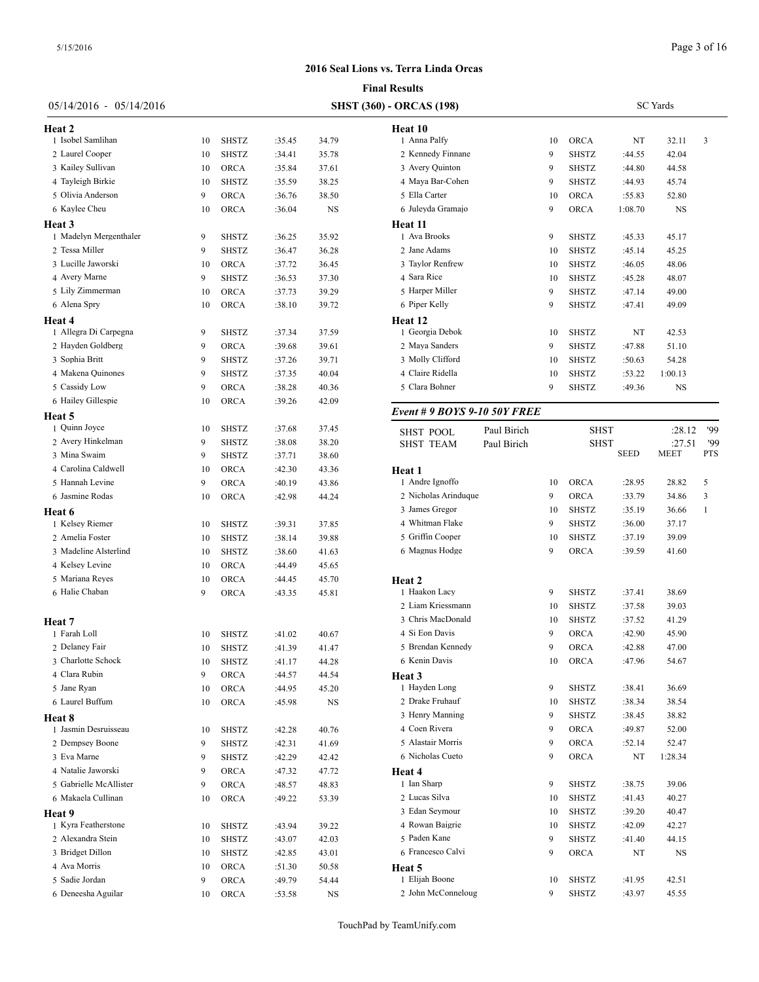|                         |    |                                 |        |       | <b>Final Results</b>            |  |  |  |  |  |  |  |  |
|-------------------------|----|---------------------------------|--------|-------|---------------------------------|--|--|--|--|--|--|--|--|
| 05/14/2016 - 05/14/2016 |    | <b>SHST (360) - ORCAS (198)</b> |        |       |                                 |  |  |  |  |  |  |  |  |
| <b>Heat 2</b>           |    |                                 |        |       | Heat 10                         |  |  |  |  |  |  |  |  |
| 1 Isobel Samlihan       | 10 | SHSTZ                           | :35.45 | 34.79 | 1 Anna Palfy                    |  |  |  |  |  |  |  |  |
| 2 Laurel Cooper         | 10 | <b>SHSTZ</b>                    | :34.41 | 35.78 | 2 Kennedy Finnane               |  |  |  |  |  |  |  |  |
| 3 Kailey Sullivan       | 10 | <b>ORCA</b>                     | :35.84 | 37.61 | 3 Avery Quinton                 |  |  |  |  |  |  |  |  |
| 4 Tayleigh Birkie       | 10 | <b>SHSTZ</b>                    | :35.59 | 38.25 | 4 Maya Bar-Cohen                |  |  |  |  |  |  |  |  |
| 5 Olivia Anderson       | 9  | ORCA                            | :36.76 | 38.50 | 5 Ella Carter                   |  |  |  |  |  |  |  |  |
| 6 Kaylee Cheu           | 10 | <b>ORCA</b>                     | :36.04 | NS    | 6 Juleyda Gramajo               |  |  |  |  |  |  |  |  |
| Heat 3                  |    |                                 |        |       | Heat 11                         |  |  |  |  |  |  |  |  |
| 1 Madelyn Mergenthaler  | 9  | <b>SHSTZ</b>                    | :36.25 | 35.92 | 1 Ava Brooks                    |  |  |  |  |  |  |  |  |
| 2 Tessa Miller          | 9  | <b>SHSTZ</b>                    | :36.47 | 36.28 | 2 Jane Adams                    |  |  |  |  |  |  |  |  |
| 3 Lucille Jaworski      | 10 | <b>ORCA</b>                     | :37.72 | 36.45 | 3 Taylor Renfrew                |  |  |  |  |  |  |  |  |
| 4 Avery Marne           | 9  | SHSTZ                           | :36.53 | 37.30 | 4 Sara Rice                     |  |  |  |  |  |  |  |  |
| 5 Lily Zimmerman        | 10 | ORCA                            | :37.73 | 39.29 | 5 Harper Miller                 |  |  |  |  |  |  |  |  |
| 6 Alena Spry            | 10 | ORCA                            | :38.10 | 39.72 | 6 Piper Kelly                   |  |  |  |  |  |  |  |  |
| Heat 4                  |    |                                 |        |       | Heat 12                         |  |  |  |  |  |  |  |  |
| 1 Allegra Di Carpegna   | 9  | <b>SHSTZ</b>                    | :37.34 | 37.59 | 1 Georgia Debok                 |  |  |  |  |  |  |  |  |
| 2 Hayden Goldberg       | 9  | <b>ORCA</b>                     | :39.68 | 39.61 | 2 Maya Sanders                  |  |  |  |  |  |  |  |  |
| 3 Sophia Britt          | 9  | <b>SHSTZ</b>                    | :37.26 | 39.71 | 3 Molly Clifford                |  |  |  |  |  |  |  |  |
| 4 Makena Quinones       | 9  | <b>SHSTZ</b>                    | :37.35 | 40.04 | 4 Claire Ridella                |  |  |  |  |  |  |  |  |
| 5 Cassidy Low           | 9  | ORCA                            | :38.28 | 40.36 | 5 Clara Bohner                  |  |  |  |  |  |  |  |  |
| 6 Hailey Gillespie      | 10 | ORCA                            | :39.26 | 42.09 |                                 |  |  |  |  |  |  |  |  |
| Heat 5                  |    |                                 |        |       | Event # 9 BOYS 9-10 50Y FR.     |  |  |  |  |  |  |  |  |
| 1 Quinn Joyce           | 10 | SHSTZ                           | :37.68 | 37.45 | Paul Birich<br><b>SHST POOL</b> |  |  |  |  |  |  |  |  |
| 2 Avery Hinkelman       | 9  | <b>SHSTZ</b>                    | :38.08 | 38.20 | <b>SHST TEAM</b><br>Paul Birich |  |  |  |  |  |  |  |  |
| 3 Mina Swaim            | 9  | <b>SHSTZ</b>                    | :37.71 | 38.60 |                                 |  |  |  |  |  |  |  |  |
| 4 Carolina Caldwell     | 10 | <b>ORCA</b>                     | :42.30 | 43.36 | Heat 1                          |  |  |  |  |  |  |  |  |
| 5 Hannah Levine         | 9  | ORCA                            | :40.19 | 43.86 | 1 Andre Ignoffo                 |  |  |  |  |  |  |  |  |
| 6 Jasmine Rodas         | 10 | ORCA                            | :42.98 | 44.24 | 2 Nicholas Arinduque            |  |  |  |  |  |  |  |  |
| Heat 6                  |    |                                 |        |       | 3 James Gregor                  |  |  |  |  |  |  |  |  |
| 1 Kelsey Riemer         | 10 | <b>SHSTZ</b>                    | :39.31 | 37.85 | 4 Whitman Flake                 |  |  |  |  |  |  |  |  |
| 2 Amelia Foster         | 10 | <b>SHSTZ</b>                    | :38.14 | 39.88 | 5 Griffin Cooper                |  |  |  |  |  |  |  |  |
| 3 Madeline Alsterlind   | 10 | SHSTZ                           | :38.60 | 41.63 | 6 Magnus Hodge                  |  |  |  |  |  |  |  |  |
| 4 Kelsey Levine         | 10 | <b>ORCA</b>                     | :44.49 | 45.65 |                                 |  |  |  |  |  |  |  |  |
| 5 Mariana Reyes         | 10 | <b>ORCA</b>                     | :44.45 | 45.70 | Heat 2                          |  |  |  |  |  |  |  |  |
| 6 Halie Chaban          | 9  | ORCA                            | :43.35 | 45.81 | 1 Haakon Lacy                   |  |  |  |  |  |  |  |  |
|                         |    |                                 |        |       | 2 Liam Kriessmann               |  |  |  |  |  |  |  |  |
| Heat 7                  |    |                                 |        |       | 3 Chris MacDonald               |  |  |  |  |  |  |  |  |
| 1 Farah Loll            | 10 | <b>SHSTZ</b>                    | :41.02 | 40.67 | 4 Si Eon Davis                  |  |  |  |  |  |  |  |  |
| 2 Delaney Fair          | 10 | SHSTZ                           | :41.39 | 41.47 | 5 Brendan Kennedy               |  |  |  |  |  |  |  |  |
| 3 Charlotte Schock      | 10 | SHSTZ                           | :41.17 | 44.28 | 6 Kenin Davis                   |  |  |  |  |  |  |  |  |
| 4 Clara Rubin           | 9  | ORCA                            | :44.57 | 44.54 | Heat 3                          |  |  |  |  |  |  |  |  |
| 5 Jane Ryan             | 10 | ORCA                            | :44.95 | 45.20 | 1 Hayden Long                   |  |  |  |  |  |  |  |  |
| 6 Laurel Buffum         | 10 | ORCA                            | :45.98 | NS    | 2 Drake Fruhauf                 |  |  |  |  |  |  |  |  |
| Heat 8                  |    |                                 |        |       | 3 Henry Manning                 |  |  |  |  |  |  |  |  |
| 1 Jasmin Desruisseau    | 10 | SHSTZ                           | :42.28 | 40.76 | 4 Coen Rivera                   |  |  |  |  |  |  |  |  |
| 2 Dempsey Boone         | 9  | SHSTZ                           | :42.31 | 41.69 | 5 Alastair Morris               |  |  |  |  |  |  |  |  |
| 3 Eva Marne             | 9  | <b>SHSTZ</b>                    | :42.29 | 42.42 | 6 Nicholas Cueto                |  |  |  |  |  |  |  |  |
| 4 Natalie Jaworski      | 9  | ORCA                            | :47.32 | 47.72 | Heat 4                          |  |  |  |  |  |  |  |  |
| 5 Gabrielle McAllister  | 9  | ORCA                            | :48.57 | 48.83 | 1 Ian Sharp                     |  |  |  |  |  |  |  |  |
| 6 Makaela Cullinan      | 10 | ORCA                            | :49.22 | 53.39 | 2 Lucas Silva                   |  |  |  |  |  |  |  |  |
| <b>Heat 9</b>           |    |                                 |        |       | 3 Edan Seymour                  |  |  |  |  |  |  |  |  |
| 1 Kyra Featherstone     | 10 | SHSTZ                           | :43.94 | 39.22 | 4 Rowan Baigrie                 |  |  |  |  |  |  |  |  |
| 2 Alexandra Stein       | 10 | SHSTZ                           | :43.07 | 42.03 | 5 Paden Kane                    |  |  |  |  |  |  |  |  |
| 3 Bridget Dillon        | 10 | SHSTZ                           | :42.85 | 43.01 | 6 Francesco Calvi               |  |  |  |  |  |  |  |  |
| 4 Ava Morris            | 10 | ORCA                            | :51.30 | 50.58 | Heat 5<br>1 Elijah Boone        |  |  |  |  |  |  |  |  |
| 5 Sadie Jordan          | 9  | ORCA                            | :49.79 | 54.44 |                                 |  |  |  |  |  |  |  |  |
| 6 Deneesha Aguilar      | 10 | ORCA                            | :53.58 | NS    | 2 John McConneloug              |  |  |  |  |  |  |  |  |

| <b>ORCAS</b> (198)           |             |    | <b>SC</b> Yards |         |           |     |  |  |  |
|------------------------------|-------------|----|-----------------|---------|-----------|-----|--|--|--|
| Heat 10                      |             |    |                 |         |           |     |  |  |  |
| 1 Anna Palfy                 |             | 10 | <b>ORCA</b>     | NT      | 32.11     | 3   |  |  |  |
| 2 Kennedy Finnane            |             | 9  | <b>SHSTZ</b>    | :44.55  | 42.04     |     |  |  |  |
| 3 Avery Quinton              |             | 9  | <b>SHSTZ</b>    | :44.80  | 44.58     |     |  |  |  |
| 4 Maya Bar-Cohen             |             | 9  | <b>SHSTZ</b>    | :44.93  | 45.74     |     |  |  |  |
| 5 Ella Carter                |             | 10 | <b>ORCA</b>     | :55.83  | 52.80     |     |  |  |  |
| 6 Juleyda Gramajo            |             | 9  | <b>ORCA</b>     | 1:08.70 | NS        |     |  |  |  |
| Heat 11                      |             |    |                 |         |           |     |  |  |  |
| 1 Ava Brooks                 |             | 9  | <b>SHSTZ</b>    | :45.33  | 45.17     |     |  |  |  |
| 2 Jane Adams                 |             | 10 | <b>SHSTZ</b>    | :45.14  | 45.25     |     |  |  |  |
| 3 Taylor Renfrew             |             | 10 | <b>SHSTZ</b>    | :46.05  | 48.06     |     |  |  |  |
| 4 Sara Rice                  |             | 10 | <b>SHSTZ</b>    | :45.28  | 48.07     |     |  |  |  |
| 5 Harper Miller              |             | 9  | <b>SHSTZ</b>    | :47.14  | 49.00     |     |  |  |  |
| 6 Piper Kelly                |             | 9  | <b>SHSTZ</b>    | :47.41  | 49.09     |     |  |  |  |
| <b>Heat 12</b>               |             |    |                 |         |           |     |  |  |  |
| 1 Georgia Debok              |             | 10 | <b>SHSTZ</b>    | NT      | 42.53     |     |  |  |  |
| 2 Maya Sanders               |             | 9  | <b>SHSTZ</b>    | :47.88  | 51.10     |     |  |  |  |
| 3 Molly Clifford             |             | 10 | <b>SHSTZ</b>    | :50.63  | 54.28     |     |  |  |  |
| 4 Claire Ridella             |             | 10 | <b>SHSTZ</b>    | :53.22  | 1:00.13   |     |  |  |  |
| 5 Clara Bohner               |             | 9  | <b>SHSTZ</b>    | :49.36  | <b>NS</b> |     |  |  |  |
| Event # 9 BOYS 9-10 50Y FREE |             |    |                 |         |           |     |  |  |  |
| <b>SHST POOL</b>             | Paul Birich |    | <b>SHST</b>     |         | :28.12    | '99 |  |  |  |
| <b>SHST TEAM</b>             | Paul Birich |    | <b>SHST</b>     |         | :27.51    | '99 |  |  |  |

| <b>SHST TEAM</b>     | Paul Birich |    | <b>SHST</b>  |             | :27.51      | '99        |  |
|----------------------|-------------|----|--------------|-------------|-------------|------------|--|
|                      |             |    |              | <b>SEED</b> | <b>MEET</b> | <b>PTS</b> |  |
| Heat 1               |             |    |              |             |             |            |  |
| 1 Andre Ignoffo      |             | 10 | ORCA         | :28.95      | 28.82       | 5          |  |
| 2 Nicholas Arinduque |             | 9  | <b>ORCA</b>  | :33.79      | 34.86       | 3          |  |
| 3 James Gregor       |             | 10 | <b>SHSTZ</b> | :35.19      | 36.66       | 1          |  |
| 4 Whitman Flake      |             | 9  | <b>SHSTZ</b> | :36.00      | 37.17       |            |  |
| 5 Griffin Cooper     |             | 10 | <b>SHSTZ</b> | :37.19      | 39.09       |            |  |
| 6 Magnus Hodge       |             | 9  | <b>ORCA</b>  | :39.59      | 41.60       |            |  |
| Heat <sub>2</sub>    |             |    |              |             |             |            |  |
| 1 Haakon Lacy        |             | 9  | <b>SHSTZ</b> | :37.41      | 38.69       |            |  |
| 2 Liam Kriessmann    |             | 10 | <b>SHSTZ</b> | :37.58      | 39.03       |            |  |
| 3 Chris MacDonald    |             | 10 | <b>SHSTZ</b> | :37.52      | 41.29       |            |  |
| 4 Si Eon Davis       |             | 9  | <b>ORCA</b>  | :42.90      | 45.90       |            |  |
| 5 Brendan Kennedy    |             | 9  | <b>ORCA</b>  | :42.88      | 47.00       |            |  |
| 6 Kenin Davis        |             | 10 | <b>ORCA</b>  | :47.96      | 54.67       |            |  |
| Heat 3               |             |    |              |             |             |            |  |
| 1 Hayden Long        |             | 9  | <b>SHSTZ</b> | :38.41      | 36.69       |            |  |
| 2 Drake Fruhauf      |             | 10 | <b>SHSTZ</b> | :38.34      | 38.54       |            |  |
| 3 Henry Manning      |             | 9  | <b>SHSTZ</b> | :38.45      | 38.82       |            |  |
| 4 Coen Rivera        |             | 9  | <b>ORCA</b>  | :49.87      | 52.00       |            |  |
| 5 Alastair Morris    |             | 9  | <b>ORCA</b>  | :52.14      | 52.47       |            |  |
| 6 Nicholas Cueto     |             | 9  | <b>ORCA</b>  | NT          | 1:28.34     |            |  |
| Heat 4               |             |    |              |             |             |            |  |
| 1 Ian Sharp          |             | 9  | <b>SHSTZ</b> | :38.75      | 39.06       |            |  |
| 2 Lucas Silva        |             | 10 | <b>SHSTZ</b> | :41.43      | 40.27       |            |  |
| 3 Edan Seymour       |             | 10 | <b>SHSTZ</b> | :39.20      | 40.47       |            |  |
| 4 Rowan Baigrie      |             | 10 | <b>SHSTZ</b> | :42.09      | 42.27       |            |  |
| 5 Paden Kane         |             | 9  | <b>SHSTZ</b> | :41.40      | 44.15       |            |  |
| 6 Francesco Calvi    |             | 9  | <b>ORCA</b>  | NT          | $_{\rm NS}$ |            |  |
| Heat 5               |             |    |              |             |             |            |  |
| 1 Elijah Boone       |             | 10 | <b>SHSTZ</b> | :41.95      | 42.51       |            |  |
| 2 John McConneloug   |             | 9  | <b>SHSTZ</b> | :43.97      | 45.55       |            |  |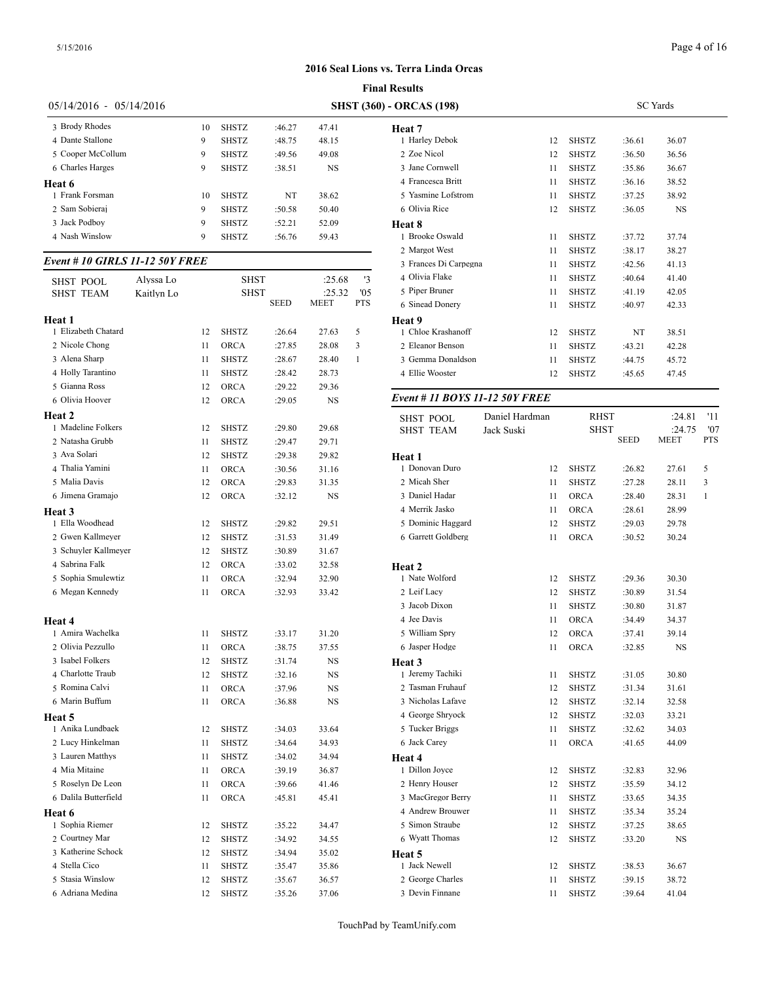|                           |    | 1 11141 13294139 |                                 |           |                    |  |  |  |  |  |  |  |  |
|---------------------------|----|------------------|---------------------------------|-----------|--------------------|--|--|--|--|--|--|--|--|
| $05/14/2016 - 05/14/2016$ |    |                  | <b>SHST (360) - ORCAS (198)</b> |           |                    |  |  |  |  |  |  |  |  |
| 3 Brody Rhodes            | 10 | <b>SHSTZ</b>     | :46.27                          | 47.41     | Heat 7             |  |  |  |  |  |  |  |  |
| 4 Dante Stallone          | 9  | <b>SHSTZ</b>     | :48.75                          | 48.15     | 1 Harlev Debok     |  |  |  |  |  |  |  |  |
| 5 Cooper McCollum         | 9  | <b>SHSTZ</b>     | :49.56                          | 49.08     | 2 Zoe Nicol        |  |  |  |  |  |  |  |  |
| 6 Charles Harges          | 9  | <b>SHSTZ</b>     | :38.51                          | <b>NS</b> | 3 Jane Cornwell    |  |  |  |  |  |  |  |  |
| Heat 6                    |    |                  |                                 |           | 4 Francesca Britt  |  |  |  |  |  |  |  |  |
| 1 Frank Forsman           | 10 | <b>SHSTZ</b>     | NT                              | 38.62     | 5 Yasmine Lofstrom |  |  |  |  |  |  |  |  |
| 2 Sam Sobieraj            | 9  | <b>SHSTZ</b>     | :50.58                          | 50.40     | 6 Olivia Rice      |  |  |  |  |  |  |  |  |
| 3 Jack Podbov             | 9  | <b>SHSTZ</b>     | :52.21                          | 52.09     | Heat 8             |  |  |  |  |  |  |  |  |
| 4 Nash Winslow            | 9  | <b>SHSTZ</b>     | :56.76                          | 59.43     | 1 Brooke Oswald    |  |  |  |  |  |  |  |  |
|                           |    |                  |                                 |           | 2. Margot West     |  |  |  |  |  |  |  |  |

# *Event # 10 GIRLS 11-12 50Y FREE*

| <b>SHST POOL</b>     | Alyssa Lo  |    | SHST         |                  | :25.68    | '3         | 4 Olivia Flake                       |
|----------------------|------------|----|--------------|------------------|-----------|------------|--------------------------------------|
| <b>SHST TEAM</b>     | Kaitlyn Lo |    | <b>SHST</b>  |                  | :25.32    | '05        | 5 Piper Bruner                       |
|                      |            |    |              | SEED             | MEET      | <b>PTS</b> | 6 Sinead Donery                      |
| Heat 1               |            |    |              |                  |           |            | <b>Heat</b> 9                        |
| 1 Elizabeth Chatard  |            | 12 | SHSTZ        | :26.64           | 27.63     | 5          | 1 Chloe Krashano                     |
| 2 Nicole Chong       |            | 11 | <b>ORCA</b>  | :27.85           | 28.08     | 3          | 2 Eleanor Benson                     |
| 3 Alena Sharp        |            | 11 | SHSTZ        | :28.67           | 28.40     | 1          | 3 Gemma Donalds                      |
| 4 Holly Tarantino    |            | 11 | <b>SHSTZ</b> | :28.42           | 28.73     |            | 4 Ellie Wooster                      |
| 5 Gianna Ross        |            | 12 | ORCA         | :29.22           | 29.36     |            |                                      |
| 6 Olivia Hoover      |            | 12 | <b>ORCA</b>  | :29.05           | <b>NS</b> |            | Event # 11 <b>BOY</b>                |
| Heat 2               |            |    |              |                  |           |            |                                      |
| 1 Madeline Folkers   |            | 12 | <b>SHSTZ</b> | :29.80           | 29.68     |            | <b>SHST POOL</b><br><b>SHST TEAM</b> |
| 2 Natasha Grubb      |            | 11 | SHSTZ        | :29.47           | 29.71     |            |                                      |
| 3 Ava Solari         |            | 12 | <b>SHSTZ</b> | :29.38           | 29.82     |            | Heat 1                               |
| 4 Thalia Yamini      |            | 11 | ORCA         | :30.56           | 31.16     |            | 1 Donovan Duro                       |
| 5 Malia Davis        |            | 12 | <b>ORCA</b>  | :29.83           | 31.35     |            | 2 Micah Sher                         |
| 6 Jimena Gramajo     |            | 12 | ORCA         | :32.12           | <b>NS</b> |            | 3 Daniel Hadar                       |
| Heat 3               |            |    |              |                  |           |            | 4 Merrik Jasko                       |
| 1 Ella Woodhead      |            | 12 | <b>SHSTZ</b> | :29.82           | 29.51     |            | 5 Dominic Haggar                     |
| 2 Gwen Kallmeyer     |            | 12 | SHSTZ        | :31.53           | 31.49     |            | 6 Garrett Goldberg                   |
| 3 Schuyler Kallmeyer |            | 12 | <b>SHSTZ</b> | :30.89           | 31.67     |            |                                      |
| 4 Sabrina Falk       |            | 12 | <b>ORCA</b>  | :33.02           | 32.58     |            |                                      |
| 5 Sophia Smulewtiz   |            | 11 | <b>ORCA</b>  |                  | 32.90     |            | Heat 2<br>1 Nate Wolford             |
| 6 Megan Kennedy      |            | 11 | <b>ORCA</b>  | :32.94<br>:32.93 | 33.42     |            | 2 Leif Lacy                          |
|                      |            |    |              |                  |           |            | 3 Jacob Dixon                        |
|                      |            |    |              |                  |           |            |                                      |
| Heat 4               |            |    |              |                  |           |            | 4 Jee Davis                          |
| 1 Amira Wachelka     |            | 11 | SHSTZ        | :33.17           | 31.20     |            | 5 William Spry                       |
| 2 Olivia Pezzullo    |            | 11 | ORCA         | :38.75           | 37.55     |            | 6 Jasper Hodge                       |
| 3 Isabel Folkers     |            | 12 | SHSTZ        | :31.74           | NS        |            | Heat 3                               |
| 4 Charlotte Traub    |            | 12 | <b>SHSTZ</b> | :32.16           | <b>NS</b> |            | 1 Jeremy Tachiki                     |
| 5 Romina Calvi       |            | 11 | <b>ORCA</b>  | :37.96           | NS        |            | 2 Tasman Fruhauf                     |
| 6 Marin Buffum       |            | 11 | ORCA         | :36.88           | <b>NS</b> |            | 3 Nicholas Lafave                    |
| <b>Heat 5</b>        |            |    |              |                  |           |            | 4 George Shryock                     |
| 1 Anika Lundbaek     |            | 12 | SHSTZ        | :34.03           | 33.64     |            | 5 Tucker Briggs                      |
| 2 Lucy Hinkelman     |            | 11 | <b>SHSTZ</b> | :34.64           | 34.93     |            | 6 Jack Carey                         |
| 3 Lauren Matthys     |            | 11 | SHSTZ        | :34.02           | 34.94     |            | <b>Heat 4</b>                        |
| 4 Mia Mitaine        |            | 11 | <b>ORCA</b>  | :39.19           | 36.87     |            | 1 Dillon Joyce                       |
| 5 Roselyn De Leon    |            | 11 | ORCA         | :39.66           | 41.46     |            | 2 Henry Houser                       |
| 6 Dalila Butterfield |            | 11 | <b>ORCA</b>  | :45.81           | 45.41     |            | 3 MacGregor Beri                     |
| Heat 6               |            |    |              |                  |           |            | 4 Andrew Brouwe                      |
| 1 Sophia Riemer      |            | 12 | SHSTZ        | :35.22           | 34.47     |            | 5 Simon Straube                      |
| 2 Courtney Mar       |            | 12 | <b>SHSTZ</b> | :34.92           | 34.55     |            | 6 Wyatt Thomas                       |
| 3 Katherine Schock   |            | 12 | <b>SHSTZ</b> | :34.94           | 35.02     |            | Heat 5                               |
| 4 Stella Cico        |            | 11 | <b>SHSTZ</b> | :35.47           | 35.86     |            | 1 Jack Newell                        |
| 5 Stasia Winslow     |            | 12 | SHSTZ        | :35.67           | 36.57     |            | 2 George Charles                     |
| 6 Adriana Medina     |            | 12 | SHSTZ        | :35.26           | 37.06     |            | 3 Devin Finnane                      |
|                      |            |    |              |                  |           |            |                                      |

|              | <b>Final Results</b>  |    |              |                 |           |  |
|--------------|-----------------------|----|--------------|-----------------|-----------|--|
|              | (360) - ORCAS (198)   |    |              | <b>SC</b> Yards |           |  |
|              | Heat 7                |    |              |                 |           |  |
|              | 1 Harley Debok        | 12 | <b>SHSTZ</b> | :36.61          | 36.07     |  |
|              | 2 Zoe Nicol           | 12 | <b>SHSTZ</b> | :36.50          | 36.56     |  |
|              | 3 Jane Cornwell       | 11 | <b>SHSTZ</b> | :35.86          | 36.67     |  |
|              | 4 Francesca Britt     | 11 | <b>SHSTZ</b> | :36.16          | 38.52     |  |
|              | 5 Yasmine Lofstrom    | 11 | <b>SHSTZ</b> | :37.25          | 38.92     |  |
|              | 6 Olivia Rice         | 12 | <b>SHSTZ</b> | :36.05          | <b>NS</b> |  |
|              | Heat 8                |    |              |                 |           |  |
|              | 1 Brooke Oswald       | 11 | <b>SHSTZ</b> | :37.72          | 37.74     |  |
|              | 2 Margot West         | 11 | <b>SHSTZ</b> | :38.17          | 38.27     |  |
|              | 3 Frances Di Carpegna | 11 | <b>SHSTZ</b> | :42.56          | 41.13     |  |
| $^{\prime}3$ | 4 Olivia Flake        | 11 | <b>SHSTZ</b> | :40.64          | 41.40     |  |
| 05           | 5 Piper Bruner        | 11 | <b>SHSTZ</b> | :41.19          | 42.05     |  |
| TS           | 6 Sinead Donery       | 11 | <b>SHSTZ</b> | :40.97          | 42.33     |  |
|              | Heat 9                |    |              |                 |           |  |
|              | 1 Chloe Krashanoff    | 12 | <b>SHSTZ</b> | NT              | 38.51     |  |
|              | 2 Eleanor Benson      | 11 | <b>SHSTZ</b> | :43.21          | 42.28     |  |
|              | 3 Gemma Donaldson     | 11 | <b>SHSTZ</b> | :44.75          | 45.72     |  |
|              | 4 Ellie Wooster       | 12 | <b>SHSTZ</b> | :45.65          | 47.45     |  |

# *Event # 11 BOYS 11-12 50Y FREE*

| <b>SHST POOL</b>   | Daniel Hardman | <b>RHST</b>  |             | :24.81 | '11          |
|--------------------|----------------|--------------|-------------|--------|--------------|
| <b>SHST TEAM</b>   | Jack Suski     | <b>SHST</b>  |             | :24.75 | '07          |
|                    |                |              | <b>SEED</b> | MEET   | PTS          |
| Heat 1             |                |              |             |        |              |
| 1 Donovan Duro     | 12             | <b>SHSTZ</b> | :26.82      | 27.61  | 5            |
| 2 Micah Sher       | 11             | <b>SHSTZ</b> | :27.28      | 28.11  | 3            |
| 3 Daniel Hadar     | 11             | ORCA         | :28.40      | 28.31  | $\mathbf{1}$ |
| 4 Merrik Jasko     | 11             | ORCA         | :28.61      | 28.99  |              |
| 5 Dominic Haggard  | 12             | <b>SHSTZ</b> | :29.03      | 29.78  |              |
| 6 Garrett Goldberg | 11             | <b>ORCA</b>  | :30.52      | 30.24  |              |
|                    |                |              |             |        |              |
| Heat 2             |                |              |             |        |              |
| 1 Nate Wolford     | 12             | <b>SHSTZ</b> | :29.36      | 30.30  |              |
| 2 Leif Lacy        | 12             | <b>SHSTZ</b> | :30.89      | 31.54  |              |
| 3 Jacob Dixon      | 11             | <b>SHSTZ</b> | :30.80      | 31.87  |              |
| 4 Jee Davis        | 11             | <b>ORCA</b>  | :34.49      | 34.37  |              |
| 5 William Spry     | 12             | <b>ORCA</b>  | :37.41      | 39.14  |              |
| 6 Jasper Hodge     | 11             | ORCA         | :32.85      | NS     |              |
| Heat 3             |                |              |             |        |              |
| 1 Jeremy Tachiki   | 11             | <b>SHSTZ</b> | :31.05      | 30.80  |              |
| 2 Tasman Fruhauf   | 12             | <b>SHSTZ</b> | :31.34      | 31.61  |              |
| 3 Nicholas Lafave  | 12             | <b>SHSTZ</b> | :32.14      | 32.58  |              |
| 4 George Shryock   | 12             | <b>SHSTZ</b> | :32.03      | 33.21  |              |
| 5 Tucker Briggs    | 11             | <b>SHSTZ</b> | :32.62      | 34.03  |              |
| 6 Jack Carey       | 11             | <b>ORCA</b>  | :41.65      | 44.09  |              |
| Heat 4             |                |              |             |        |              |
| 1 Dillon Joyce     | 12             | <b>SHSTZ</b> | :32.83      | 32.96  |              |
| 2 Henry Houser     | 12             | <b>SHSTZ</b> | :35.59      | 34.12  |              |
| 3 MacGregor Berry  | 11             | <b>SHSTZ</b> | :33.65      | 34.35  |              |
| 4 Andrew Brouwer   | 11             | <b>SHSTZ</b> | :35.34      | 35.24  |              |
| 5 Simon Straube    | 12             | <b>SHSTZ</b> | :37.25      | 38.65  |              |
| 6 Wyatt Thomas     | 12             | <b>SHSTZ</b> | :33.20      | NS     |              |
| Heat 5             |                |              |             |        |              |
| 1 Jack Newell      | 12             | <b>SHSTZ</b> | :38.53      | 36.67  |              |
| 2 George Charles   | 11             | <b>SHSTZ</b> | :39.15      | 38.72  |              |
| 3 Devin Finnane    | 11             | SHSTZ        | :39.64      | 41.04  |              |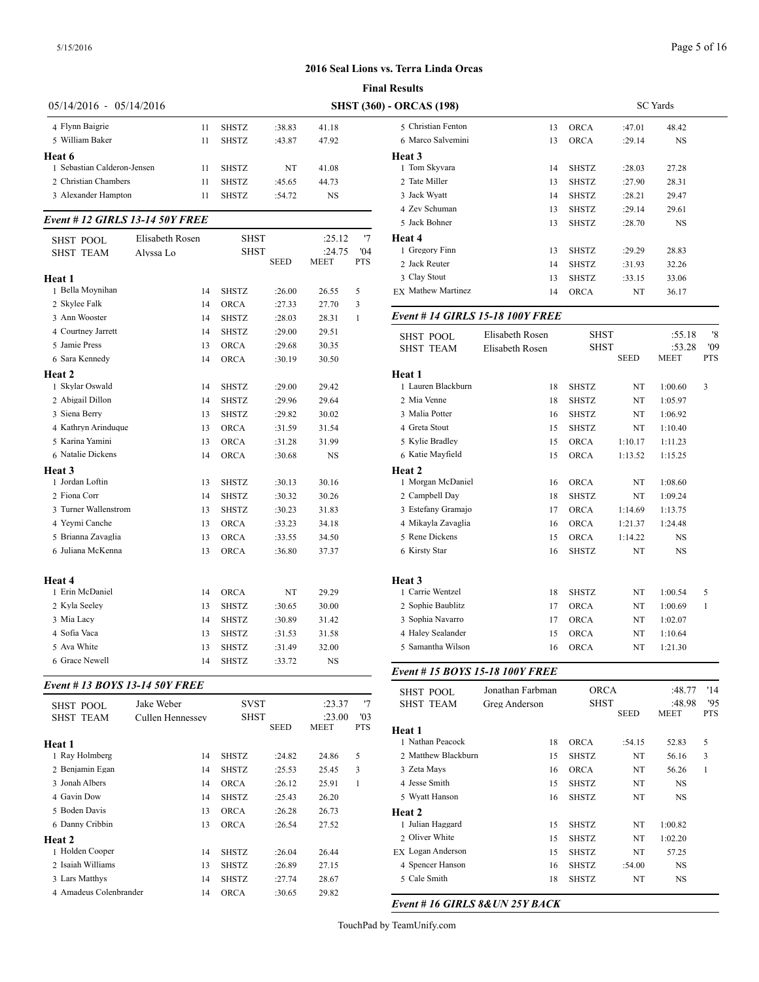# Page 5 of 16

|                             |    |                                 | <b>Final Results</b> |           |                    |  |  |  |  |  |  |
|-----------------------------|----|---------------------------------|----------------------|-----------|--------------------|--|--|--|--|--|--|
| $05/14/2016 - 05/14/2016$   |    | <b>SHST (360) - ORCAS (198)</b> |                      |           |                    |  |  |  |  |  |  |
| 4 Flynn Baigrie             | 11 | <b>SHSTZ</b>                    | :38.83               | 41.18     | 5 Christian Fenton |  |  |  |  |  |  |
| 5 William Baker             | 11 | <b>SHSTZ</b>                    | :43.87               | 47.92     | 6 Marco Salvemini  |  |  |  |  |  |  |
| Heat 6                      |    |                                 |                      |           | Heat 3             |  |  |  |  |  |  |
| 1 Sebastian Calderon-Jensen | 11 | <b>SHSTZ</b>                    | NT                   | 41.08     | 1 Tom Skyvara      |  |  |  |  |  |  |
| 2 Christian Chambers        | 11 | <b>SHSTZ</b>                    | :45.65               | 44.73     | 2 Tate Miller      |  |  |  |  |  |  |
| 3 Alexander Hampton         | 11 | <b>SHSTZ</b>                    | :54.72               | <b>NS</b> | 3 Jack Wyatt       |  |  |  |  |  |  |

### *Event # 12 GIRLS 13-14 50Y FREE*

|                      |                        |              |             |             |            | <b>J</b> Jack Domici                | 1 J                                     | طنعنت        | .20.70      | ن ۱۹        |  |
|----------------------|------------------------|--------------|-------------|-------------|------------|-------------------------------------|-----------------------------------------|--------------|-------------|-------------|--|
| <b>SHST POOL</b>     | <b>Elisabeth Rosen</b> | <b>SHST</b>  |             | :25.12      | 17         | Heat 4                              |                                         |              |             |             |  |
| <b>SHST TEAM</b>     | Alyssa Lo              | <b>SHST</b>  |             | :24.75      | '04        | 1 Gregory Finn                      | 13                                      | <b>SHSTZ</b> | :29.29      | 28.83       |  |
|                      |                        |              | <b>SEED</b> | <b>MEET</b> | <b>PTS</b> | 2 Jack Reuter                       | 14                                      | <b>SHSTZ</b> | :31.93      | 32.26       |  |
| Heat 1               |                        |              |             |             |            | 3 Clay Stout                        | 13                                      | <b>SHSTZ</b> | :33.15      | 33.06       |  |
| 1 Bella Moynihan     | 14                     | <b>SHSTZ</b> | :26.00      | 26.55       | 5          | <b>EX Mathew Martinez</b>           | 14                                      | <b>ORCA</b>  | NT          | 36.17       |  |
| 2 Skylee Falk        | 14                     | <b>ORCA</b>  | :27.33      | 27.70       | 3          |                                     |                                         |              |             |             |  |
| 3 Ann Wooster        | 14                     | <b>SHSTZ</b> | :28.03      | 28.31       | -1         |                                     | <b>Event # 14 GIRLS 15-18 100Y FREE</b> |              |             |             |  |
| 4 Courtney Jarrett   | 14                     | <b>SHSTZ</b> | :29.00      | 29.51       |            | Elisabeth Rosen<br><b>SHST POOL</b> |                                         | <b>SHST</b>  | :55.18      |             |  |
| 5 Jamie Press        | 13                     | <b>ORCA</b>  | :29.68      | 30.35       |            | <b>SHST TEAM</b>                    | <b>Elisabeth Rosen</b>                  | <b>SHST</b>  |             | :53.28      |  |
| 6 Sara Kennedy       | 14                     | <b>ORCA</b>  | :30.19      | 30.50       |            |                                     |                                         |              | <b>SEED</b> | <b>MEET</b> |  |
| Heat 2               |                        |              |             |             |            | Heat 1                              |                                         |              |             |             |  |
| 1 Skylar Oswald      | 14                     | <b>SHSTZ</b> | :29.00      | 29.42       |            | 1 Lauren Blackburn                  | 18                                      | <b>SHSTZ</b> | NT          | 1:00.60     |  |
| 2 Abigail Dillon     | 14                     | <b>SHSTZ</b> | :29.96      | 29.64       |            | 2 Mia Venne                         | 18                                      | <b>SHSTZ</b> | NT          | 1:05.97     |  |
| 3 Siena Berry        | 13                     | <b>SHSTZ</b> | :29.82      | 30.02       |            | 3 Malia Potter                      | 16                                      | <b>SHSTZ</b> | NT          | 1:06.92     |  |
| 4 Kathryn Arinduque  | 13                     | <b>ORCA</b>  | :31.59      | 31.54       |            | 4 Greta Stout                       | 15                                      | <b>SHSTZ</b> | NT          | 1:10.40     |  |
| 5 Karina Yamini      | 13                     | <b>ORCA</b>  | :31.28      | 31.99       |            | 5 Kylie Bradley                     | 15                                      | <b>ORCA</b>  | 1:10.17     | 1:11.23     |  |
| 6 Natalie Dickens    | 14                     | <b>ORCA</b>  | :30.68      | <b>NS</b>   |            | 6 Katie Mayfield                    | 15                                      | <b>ORCA</b>  | 1:13.52     | 1:15.25     |  |
| Heat 3               |                        |              |             |             |            | Heat 2                              |                                         |              |             |             |  |
| 1 Jordan Loftin      | 13                     | <b>SHSTZ</b> | :30.13      | 30.16       |            | 1 Morgan McDaniel                   | 16                                      | <b>ORCA</b>  | NT          | 1:08.60     |  |
| 2 Fiona Corr         | 14                     | <b>SHSTZ</b> | :30.32      | 30.26       |            | 2 Campbell Day                      | 18                                      | <b>SHSTZ</b> | NT          | 1:09.24     |  |
| 3 Turner Wallenstrom | 13                     | <b>SHSTZ</b> | :30.23      | 31.83       |            | 3 Estefany Gramajo                  | 17                                      | <b>ORCA</b>  | 1:14.69     | 1:13.75     |  |
| 4 Yevmi Canche       | 13                     | <b>ORCA</b>  | :33.23      | 34.18       |            | 4 Mikayla Zavaglia                  | 16                                      | <b>ORCA</b>  | 1:21.37     | 1:24.48     |  |
| 5 Brianna Zavaglia   | 13                     | <b>ORCA</b>  | :33.55      | 34.50       |            | 5 Rene Dickens                      | 15                                      | <b>ORCA</b>  | 1:14.22     | <b>NS</b>   |  |
| 6 Juliana McKenna    | 13                     | ORCA         | :36.80      | 37.37       |            | 6 Kirsty Star                       | 16                                      | <b>SHSTZ</b> | NT          | NS          |  |
| Heat 4               |                        |              |             |             |            | Heat 3                              |                                         |              |             |             |  |
| 1 Erin McDaniel      | 14                     | <b>ORCA</b>  | NT          | 29.29       |            | 1 Carrie Wentzel                    | 18                                      | <b>SHSTZ</b> | NT          | 1:00.54     |  |
| 2 Kyla Seeley        | 13                     | <b>SHSTZ</b> | :30.65      | 30.00       |            | 2 Sophie Baublitz                   | 17                                      | <b>ORCA</b>  | NT          | 1:00.69     |  |
| 3 Mia Lacy           | 14                     | <b>SHSTZ</b> | :30.89      | 31.42       |            | 3 Sophia Navarro                    | 17                                      | <b>ORCA</b>  | NT          | 1:02.07     |  |
| 4 Sofia Vaca         | 13                     | <b>SHSTZ</b> | :31.53      | 31.58       |            | 4 Haley Sealander                   | 15                                      | <b>ORCA</b>  | NT          | 1:10.64     |  |
| 5 Ava White          | 13                     | <b>SHSTZ</b> | :31.49      | 32.00       |            | 5 Samantha Wilson                   | 16                                      | <b>ORCA</b>  | NT          | 1:21.30     |  |
| 6 Grace Newell       | 14                     | <b>SHSTZ</b> | :33.72      | <b>NS</b>   |            |                                     |                                         |              |             |             |  |
|                      |                        |              |             |             |            |                                     |                                         |              |             |             |  |

### *Event # 13 BOYS 13-14 50Y FREE*

|                        |                  |              |        |        |            | $0101 - 1321$     |
|------------------------|------------------|--------------|--------|--------|------------|-------------------|
| <b>SHST POOL</b>       | Jake Weber       | <b>SVST</b>  |        | :23.37 | '7         | <b>SHST TEAM</b>  |
| <b>SHST TEAM</b>       | Cullen Hennessey | <b>SHST</b>  |        | :23.00 | '03        |                   |
|                        |                  |              | SEED   | MEET   | <b>PTS</b> | <b>Heat 1</b>     |
| Heat 1                 |                  |              |        |        |            | 1 Nathan Peacock  |
| 1 Ray Holmberg         | 14               | <b>SHSTZ</b> | :24.82 | 24.86  | 5          | 2 Matthew Blackb  |
| 2 Benjamin Egan        | 14               | <b>SHSTZ</b> | :25.53 | 25.45  | 3          | 3 Zeta Mays       |
| 3 Jonah Albers         | 14               | <b>ORCA</b>  | :26.12 | 25.91  | 1          | 4 Jesse Smith     |
| 4 Gavin Dow            | 14               | <b>SHSTZ</b> | :25.43 | 26.20  |            | 5 Wyatt Hanson    |
| 5 Boden Davis          | 13               | <b>ORCA</b>  | :26.28 | 26.73  |            | Heat 2            |
| 6 Danny Cribbin        | 13               | <b>ORCA</b>  | :26.54 | 27.52  |            | 1 Julian Haggard  |
| <b>Heat 2</b>          |                  |              |        |        |            | 2 Oliver White    |
| 1 Holden Cooper        | 14               | <b>SHSTZ</b> | :26.04 | 26.44  |            | EX Logan Andersor |
| 2 Isaiah Williams      | 13               | <b>SHSTZ</b> | :26.89 | 27.15  |            | 4 Spencer Hanson  |
| 3 Lars Matthys         | 14               | <b>SHSTZ</b> | :27.74 | 28.67  |            | 5 Cale Smith      |
| 4 Amadeus Colenbrander | 14               | <b>ORCA</b>  | :30.65 | 29.82  |            |                   |
|                        |                  |              |        |        |            |                   |

| - ORCAS (198)             | <b>SC</b> Yards |              |        |           |  |  |  |
|---------------------------|-----------------|--------------|--------|-----------|--|--|--|
| 5 Christian Fenton        | 13              | <b>ORCA</b>  | :47.01 | 48.42     |  |  |  |
| 6 Marco Salvemini         | 13              | <b>ORCA</b>  | :29.14 | <b>NS</b> |  |  |  |
| Heat 3                    |                 |              |        |           |  |  |  |
| 1 Tom Skyvara             | 14              | <b>SHSTZ</b> | :28.03 | 27.28     |  |  |  |
| 2 Tate Miller             | 13              | <b>SHSTZ</b> | :27.90 | 28.31     |  |  |  |
| 3 Jack Wyatt              | 14              | <b>SHSTZ</b> | :28.21 | 29.47     |  |  |  |
| 4 Zev Schuman             | 13              | <b>SHSTZ</b> | :29.14 | 29.61     |  |  |  |
| 5 Jack Bohner             | 13              | <b>SHSTZ</b> | :28.70 | NS        |  |  |  |
| Heat 4                    |                 |              |        |           |  |  |  |
| 1 Gregory Finn            | 13              | <b>SHSTZ</b> | :29.29 | 28.83     |  |  |  |
| 2 Jack Reuter             | 14              | <b>SHSTZ</b> | :31.93 | 32.26     |  |  |  |
| 3 Clay Stout              | 13              | <b>SHSTZ</b> | :33.15 | 33.06     |  |  |  |
| <b>EX Mathew Martinez</b> | 14              | <b>ORCA</b>  | NT     | 36.17     |  |  |  |
|                           |                 |              |        |           |  |  |  |

| <b>SHST POOL</b><br><b>SHST TEAM</b> | Elisabeth Rosen<br>Elisabeth Rosen | <b>SHST</b><br><b>SHST</b> | <b>SEED</b> | :55.18<br>:53.28<br><b>MEET</b> | '8<br>'09<br><b>PTS</b> |  |
|--------------------------------------|------------------------------------|----------------------------|-------------|---------------------------------|-------------------------|--|
| Heat 1                               |                                    |                            |             |                                 |                         |  |
| 1 Lauren Blackburn                   | 18                                 | <b>SHSTZ</b>               | NT          | 1:00.60                         | 3                       |  |
| 2 Mia Venne                          | 18                                 | <b>SHSTZ</b>               | NT          | 1:05.97                         |                         |  |
| 3 Malia Potter                       | 16                                 | <b>SHSTZ</b>               | NT          | 1:06.92                         |                         |  |
| 4 Greta Stout                        | 15                                 | <b>SHSTZ</b>               | NT          | 1:10.40                         |                         |  |
| 5 Kylie Bradley                      | 15                                 | <b>ORCA</b>                | 1:10.17     | 1:11.23                         |                         |  |
| 6 Katie Mayfield                     | 15                                 | <b>ORCA</b>                | 1:13.52     | 1:15.25                         |                         |  |
| Heat 2                               |                                    |                            |             |                                 |                         |  |
| 1 Morgan McDaniel                    | 16                                 | <b>ORCA</b>                | NT          | 1:08.60                         |                         |  |
| 2 Campbell Day                       | 18                                 | <b>SHSTZ</b>               | NT          | 1:09.24                         |                         |  |
| 3 Estefany Gramajo                   | 17                                 | <b>ORCA</b>                | 1:14.69     | 1:13.75                         |                         |  |
| 4 Mikayla Zavaglia                   | 16                                 | <b>ORCA</b>                | 1:21.37     | 1:24.48                         |                         |  |
| 5 Rene Dickens                       | 15                                 | <b>ORCA</b>                | 1:14.22     | <b>NS</b>                       |                         |  |
| 6 Kirsty Star                        | 16                                 | <b>SHSTZ</b>               | NT          | <b>NS</b>                       |                         |  |
| Heat 3                               |                                    |                            |             |                                 |                         |  |
| 1 Carrie Wentzel                     | 18                                 | <b>SHSTZ</b>               | NT          | 1:00.54                         | 5                       |  |
| 2 Sophie Baublitz                    | 17                                 | <b>ORCA</b>                | NT          | 1:00.69                         | 1                       |  |
| 3 Sophia Navarro                     | 17                                 | <b>ORCA</b>                | NT          | 1:02.07                         |                         |  |
| 4 Haley Sealander                    | 15                                 | <b>ORCA</b>                | NT          | 1:10.64                         |                         |  |
| 5 Samantha Wilson                    | 16                                 | <b>ORCA</b>                | NT          | 1:21.30                         |                         |  |
|                                      |                                    |                            |             |                                 |                         |  |

## *Event # 15 BOYS 15-18 100Y FREE*

| <b>SHST POOL</b><br><b>SHST TEAM</b> | Jonathan Farbman<br>Greg Anderson | <b>ORCA</b><br><b>SHST</b> |             | :48.77<br>:48.98 | '14<br>'95 |
|--------------------------------------|-----------------------------------|----------------------------|-------------|------------------|------------|
|                                      |                                   |                            | <b>SEED</b> | <b>MEET</b>      | <b>PTS</b> |
| Heat 1                               |                                   |                            |             |                  |            |
| 1 Nathan Peacock                     | 18                                | <b>ORCA</b>                | :54.15      | 52.83            | 5          |
| 2 Matthew Blackburn                  | 15                                | <b>SHSTZ</b>               | NT          | 56.16            | 3          |
| 3 Zeta Mays                          | 16                                | <b>ORCA</b>                | NT          | 56.26            | 1          |
| 4 Jesse Smith                        | 15                                | <b>SHSTZ</b>               | NT          | <b>NS</b>        |            |
| 5 Wyatt Hanson                       | 16                                | <b>SHSTZ</b>               | NT          | <b>NS</b>        |            |
| Heat 2                               |                                   |                            |             |                  |            |
| 1 Julian Haggard                     | 15                                | <b>SHSTZ</b>               | NT          | 1:00.82          |            |
| 2 Oliver White                       | 15                                | <b>SHSTZ</b>               | NT          | 1:02.20          |            |
| EX Logan Anderson                    | 15                                | <b>SHSTZ</b>               | NT          | 57.25            |            |
| 4 Spencer Hanson                     | 16                                | <b>SHSTZ</b>               | :54.00      | NS               |            |
| 5 Cale Smith                         | 18                                | <b>SHSTZ</b>               | NT          | NS               |            |

*Event # 16 GIRLS 8&UN 25Y BACK*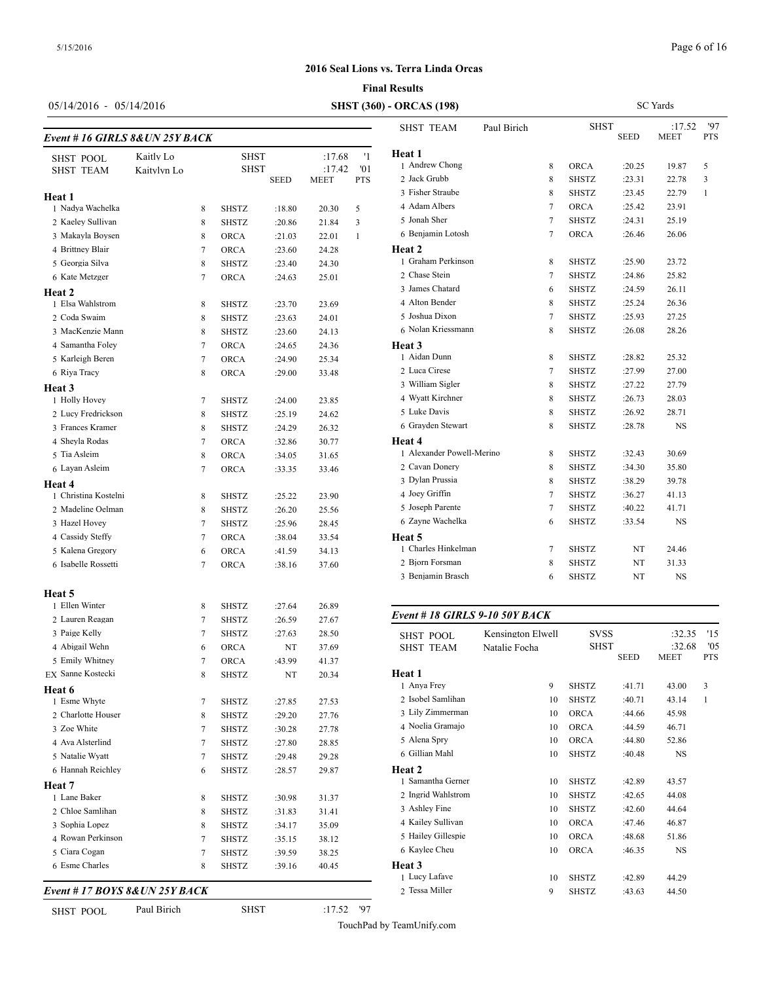SC Yards

 ${\sf MEET}$ 

Paul Birich SHST :17.52 '97<br>SEED MEET PTS

# **2016 Seal Lions vs. Terra Linda Orcas**

### **Final Results**

# 05/14/2016 - 05/14/2016

| <b>SHST (360) - ORCAS (198)</b> |                  |
|---------------------------------|------------------|
|                                 | <b>SHST TEAM</b> |

| Event #16 GIRLS 8& UN 25Y BACK |             |   |              |        |             |     |                    |
|--------------------------------|-------------|---|--------------|--------|-------------|-----|--------------------|
| <b>SHST POOL</b>               | Kaitly Lo   |   | SHST         |        | :17.68      | '1  | Heat 1             |
| <b>SHST TEAM</b>               | Kaitylyn Lo |   | SHST         |        | :17.42      | '01 | 1 Andrew Chong     |
|                                |             |   |              | SEED   | <b>MEET</b> | PTS | 2 Jack Grubb       |
| Heat 1                         |             |   |              |        |             |     | 3 Fisher Straube   |
| 1 Nadya Wachelka               |             | 8 | SHSTZ        | :18.80 | 20.30       | 5   | 4 Adam Albers      |
| 2 Kaeley Sullivan              |             | 8 | <b>SHSTZ</b> | :20.86 | 21.84       | 3   | 5 Jonah Sher       |
| 3 Makayla Boysen               |             | 8 | <b>ORCA</b>  | :21.03 | 22.01       | 1   | 6 Benjamin Lotos   |
| 4 Brittney Blair               |             | 7 | <b>ORCA</b>  | :23.60 | 24.28       |     | Heat 2             |
| 5 Georgia Silva                |             | 8 | <b>SHSTZ</b> | :23.40 | 24.30       |     | 1 Graham Perkins   |
| 6 Kate Metzger                 |             | 7 | <b>ORCA</b>  | :24.63 | 25.01       |     | 2 Chase Stein      |
| Heat 2                         |             |   |              |        |             |     | 3 James Chatard    |
| 1 Elsa Wahlstrom               |             | 8 | <b>SHSTZ</b> | :23.70 | 23.69       |     | 4 Alton Bender     |
| 2 Coda Swaim                   |             | 8 | <b>SHSTZ</b> | :23.63 | 24.01       |     | 5 Joshua Dixon     |
| 3 MacKenzie Mann               |             | 8 | <b>SHSTZ</b> | :23.60 | 24.13       |     | 6 Nolan Kriessma   |
| 4 Samantha Foley               |             | 7 | <b>ORCA</b>  | :24.65 | 24.36       |     | Heat 3             |
| 5 Karleigh Beren               |             | 7 | <b>ORCA</b>  | :24.90 | 25.34       |     | 1 Aidan Dunn       |
| 6 Riya Tracy                   |             | 8 | <b>ORCA</b>  | :29.00 | 33.48       |     | 2 Luca Cirese      |
| Heat 3                         |             |   |              |        |             |     | 3 William Sigler   |
| 1 Holly Hovey                  |             | 7 | SHSTZ        | :24.00 | 23.85       |     | 4 Wyatt Kirchner   |
| 2 Lucy Fredrickson             |             | 8 | SHSTZ        | :25.19 | 24.62       |     | 5 Luke Davis       |
| 3 Frances Kramer               |             | 8 | <b>SHSTZ</b> | :24.29 | 26.32       |     | 6 Grayden Stewar   |
| 4 Sheyla Rodas                 |             | 7 | <b>ORCA</b>  | :32.86 | 30.77       |     | Heat 4             |
| 5 Tia Asleim                   |             | 8 | <b>ORCA</b>  | :34.05 | 31.65       |     | 1 Alexander Powe   |
| 6 Layan Asleim                 |             | 7 | <b>ORCA</b>  | :33.35 | 33.46       |     | 2 Cavan Donery     |
| Heat 4                         |             |   |              |        |             |     | 3 Dylan Prussia    |
| 1 Christina Kostelni           |             | 8 | SHSTZ        | :25.22 | 23.90       |     | 4 Joey Griffin     |
| 2 Madeline Oelman              |             | 8 | <b>SHSTZ</b> | :26.20 | 25.56       |     | 5 Joseph Parente   |
| 3 Hazel Hovey                  |             | 7 | <b>SHSTZ</b> | :25.96 | 28.45       |     | 6 Zayne Wachelka   |
| 4 Cassidy Steffy               |             | 7 | <b>ORCA</b>  | :38.04 | 33.54       |     | Heat 5             |
| 5 Kalena Gregory               |             | 6 | <b>ORCA</b>  | :41.59 | 34.13       |     | 1 Charles Hinkeln  |
| 6 Isabelle Rossetti            |             | 7 | ORCA         | :38.16 | 37.60       |     | 2 Bjorn Forsman    |
|                                |             |   |              |        |             |     | 3 Benjamin Brasc   |
| Heat 5                         |             |   |              |        |             |     |                    |
| 1 Ellen Winter                 |             | 8 | SHSTZ        | :27.64 | 26.89       |     |                    |
| 2 Lauren Reagan                |             | 7 | <b>SHSTZ</b> | :26.59 | 27.67       |     | Event # 18 GIRI    |
| 3 Paige Kelly                  |             | 7 | <b>SHSTZ</b> | :27.63 | 28.50       |     | <b>SHST POOL</b>   |
| 4 Abigail Wehn                 |             | 6 | <b>ORCA</b>  | NT     | 37.69       |     | <b>SHST TEAM</b>   |
| 5 Emily Whitney                |             | 7 | <b>ORCA</b>  | :43.99 | 41.37       |     |                    |
| EX Sanne Kostecki              |             | 8 | SHSTZ        | NT     | 20.34       |     | Heat 1             |
| Heat 6                         |             |   |              |        |             |     | 1 Anya Frey        |
| 1 Esme Whyte                   |             | 7 | SHSTZ        | :27.85 | 27.53       |     | 2 Isobel Samlihan  |
| 2 Charlotte Houser             |             | 8 | SHSTZ        | :29.20 | 27.76       |     | 3 Lily Zimmermar   |
| 3 Zoe White                    |             | 7 | SHSTZ        | :30.28 | 27.78       |     | 4 Noelia Gramajo   |
| 4 Ava Alsterlind               |             | 7 | SHSTZ        | :27.80 | 28.85       |     | 5 Alena Spry       |
| 5 Natalie Wyatt                |             | 7 | SHSTZ        | :29.48 | 29.28       |     | 6 Gillian Mahl     |
| 6 Hannah Reichley              |             | 6 | SHSTZ        | :28.57 | 29.87       |     | Heat 2             |
| Heat 7                         |             |   |              |        |             |     | 1 Samantha Gerne   |
| 1 Lane Baker                   |             | 8 | SHSTZ        | :30.98 | 31.37       |     | 2 Ingrid Wahlstron |
| 2 Chloe Samlihan               |             | 8 | SHSTZ        | :31.83 | 31.41       |     | 3 Ashley Fine      |
| 3 Sophia Lopez                 |             | 8 | SHSTZ        | :34.17 | 35.09       |     | 4 Kailey Sullivan  |
| 4 Rowan Perkinson              |             | 7 | SHSTZ        | :35.15 | 38.12       |     | 5 Hailey Gillespie |
| 5 Ciara Cogan                  |             | 7 | SHSTZ        | :39.59 | 38.25       |     | 6 Kaylee Cheu      |
| 6 Esme Charles                 |             | 8 | SHSTZ        | :39.16 | 40.45       |     | Heat 3             |
|                                |             |   |              |        |             |     | 1 Lucy Lafave      |
| Event #17 BOYS 8&UN 25Y BACK   |             |   |              |        |             |     | 2 Tessa Miller     |

| Heat 1                         |                   |              |        |        |              |
|--------------------------------|-------------------|--------------|--------|--------|--------------|
| 1 Andrew Chong                 | 8                 | <b>ORCA</b>  | :20.25 | 19.87  | 5            |
| 2 Jack Grubb                   | 8                 | <b>SHSTZ</b> | :23.31 | 22.78  | 3            |
| 3 Fisher Straube               | 8                 | <b>SHSTZ</b> | :23.45 | 22.79  | $\mathbf{1}$ |
| 4 Adam Albers                  | $\overline{7}$    | ORCA         | :25.42 | 23.91  |              |
| 5 Jonah Sher                   | 7                 | <b>SHSTZ</b> | :24.31 | 25.19  |              |
| 6 Benjamin Lotosh              | 7                 | <b>ORCA</b>  | :26.46 | 26.06  |              |
| <b>Heat 2</b>                  |                   |              |        |        |              |
| 1 Graham Perkinson             | 8                 | <b>SHSTZ</b> | :25.90 | 23.72  |              |
| 2 Chase Stein                  | 7                 | <b>SHSTZ</b> | :24.86 | 25.82  |              |
| 3 James Chatard                | 6                 | <b>SHSTZ</b> | :24.59 | 26.11  |              |
| 4 Alton Bender                 | 8                 | <b>SHSTZ</b> | :25.24 | 26.36  |              |
| 5 Joshua Dixon                 | 7                 | SHSTZ        | :25.93 | 27.25  |              |
| 6 Nolan Kriessmann             | 8                 | SHSTZ        | :26.08 | 28.26  |              |
| Heat 3                         |                   |              |        |        |              |
| 1 Aidan Dunn                   | $\,$ 8 $\,$       | <b>SHSTZ</b> | :28.82 | 25.32  |              |
| 2 Luca Cirese                  | 7                 | <b>SHSTZ</b> | :27.99 | 27.00  |              |
| 3 William Sigler               | 8                 | <b>SHSTZ</b> | :27.22 | 27.79  |              |
| 4 Wyatt Kirchner               | 8                 | <b>SHSTZ</b> | :26.73 | 28.03  |              |
| 5 Luke Davis                   | 8                 | <b>SHSTZ</b> | :26.92 | 28.71  |              |
| 6 Grayden Stewart              | 8                 | <b>SHSTZ</b> | :28.78 | NS     |              |
| <b>Heat 4</b>                  |                   |              |        |        |              |
| 1 Alexander Powell-Merino      | 8                 | <b>SHSTZ</b> | :32.43 | 30.69  |              |
| 2 Cavan Donery                 | 8                 | <b>SHSTZ</b> | :34.30 | 35.80  |              |
| 3 Dylan Prussia                | 8                 | <b>SHSTZ</b> | :38.29 | 39.78  |              |
| 4 Joey Griffin                 | $\overline{7}$    | <b>SHSTZ</b> | :36.27 | 41.13  |              |
| 5 Joseph Parente               | 7                 | <b>SHSTZ</b> | :40.22 | 41.71  |              |
| 6 Zayne Wachelka               | 6                 | <b>SHSTZ</b> | :33.54 | NS     |              |
| Heat 5                         |                   |              |        |        |              |
| 1 Charles Hinkelman            | 7                 | <b>SHSTZ</b> | NT     | 24.46  |              |
| 2 Bjorn Forsman                | 8                 | <b>SHSTZ</b> | NT     | 31.33  |              |
| 3 Benjamin Brasch              | 6                 | <b>SHSTZ</b> | NT     | NS     |              |
| Event # 18 GIRLS 9-10 50Y BACK |                   |              |        |        |              |
| <b>SHST POOL</b>               | Kensington Elwell | <b>SVSS</b>  |        | :32.35 | '15          |
| <b>SHST TEAM</b>               | Natalie Focha     | <b>SHST</b>  |        | :32.68 | '05          |
|                                |                   |              |        |        |              |

| SHST POOL          | <b>NEUSILIZIOU ETMEIT</b> | دد ۷ د       |             | ر د. ۱۷.  | 12           |
|--------------------|---------------------------|--------------|-------------|-----------|--------------|
| <b>SHST TEAM</b>   | Natalie Focha             | SHST         |             | :32.68    | '05          |
|                    |                           |              | <b>SEED</b> | MEET      | <b>PTS</b>   |
| Heat 1             |                           |              |             |           |              |
| 1 Anya Frey        | 9                         | <b>SHSTZ</b> | :41.71      | 43.00     | 3            |
| 2 Isobel Samlihan  | 10                        | <b>SHSTZ</b> | :40.71      | 43.14     | $\mathbf{1}$ |
| 3 Lily Zimmerman   | 10                        | <b>ORCA</b>  | :44.66      | 45.98     |              |
| 4 Noelia Gramajo   | 10                        | <b>ORCA</b>  | :44.59      | 46.71     |              |
| 5 Alena Spry       | 10                        | <b>ORCA</b>  | :44.80      | 52.86     |              |
| 6 Gillian Mahl     | 10                        | <b>SHSTZ</b> | :40.48      | <b>NS</b> |              |
| Heat 2             |                           |              |             |           |              |
| 1 Samantha Gerner  | 10                        | <b>SHSTZ</b> | :42.89      | 43.57     |              |
| 2 Ingrid Wahlstrom | 10                        | <b>SHSTZ</b> | :42.65      | 44.08     |              |
| 3 Ashley Fine      | 10                        | <b>SHSTZ</b> | :42.60      | 44.64     |              |
| 4 Kailey Sullivan  | 10                        | ORCA         | :47.46      | 46.87     |              |
| 5 Hailey Gillespie | 10                        | <b>ORCA</b>  | :48.68      | 51.86     |              |
| 6 Kaylee Cheu      | 10                        | <b>ORCA</b>  | :46.35      | NS        |              |
| <b>Heat 3</b>      |                           |              |             |           |              |
| 1 Lucy Lafave      | 10                        | <b>SHSTZ</b> | :42.89      | 44.29     |              |
| 2 Tessa Miller     | 9                         | <b>SHSTZ</b> | :43.63      | 44.50     |              |
|                    |                           |              |             |           |              |

SHST\_POOL Paul Birich SHST :17.52 '97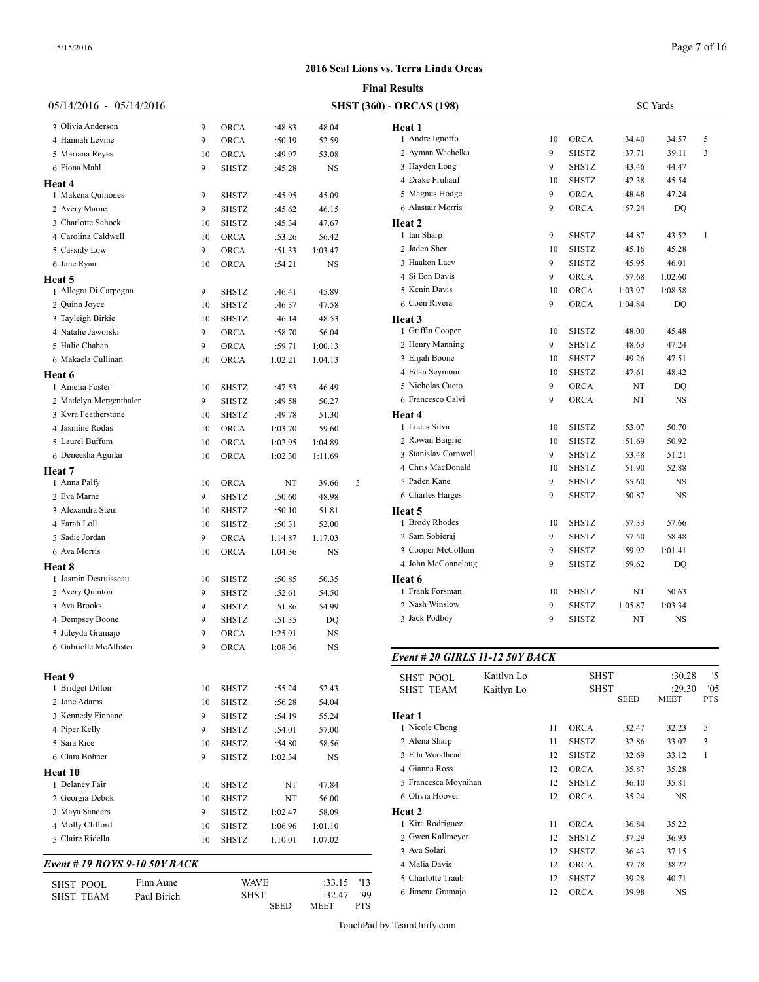|                                 |             |              |         |           |     | <b>Final Results</b>            |            |    |                      |                 |             |                |
|---------------------------------|-------------|--------------|---------|-----------|-----|---------------------------------|------------|----|----------------------|-----------------|-------------|----------------|
| 05/14/2016 - 05/14/2016         |             |              |         |           |     | <b>SHST (360) - ORCAS (198)</b> |            |    |                      | <b>SC</b> Yards |             |                |
| 3 Olivia Anderson               | 9           | <b>ORCA</b>  | :48.83  | 48.04     |     | Heat 1                          |            |    |                      |                 |             |                |
| 4 Hannah Levine                 | 9           | <b>ORCA</b>  | :50.19  | 52.59     |     | 1 Andre Ignoffo                 |            | 10 | <b>ORCA</b>          | :34.40          | 34.57       | 5              |
| 5 Mariana Reyes                 | 10          | <b>ORCA</b>  | :49.97  | 53.08     |     | 2 Ayman Wachelka                |            | 9  | <b>SHSTZ</b>         | :37.71          | 39.11       | 3              |
| 6 Fiona Mahl                    | 9           | SHSTZ        | :45.28  | <b>NS</b> |     | 3 Hayden Long                   |            | 9  | <b>SHSTZ</b>         | :43.46          | 44.47       |                |
| Heat 4                          |             |              |         |           |     | 4 Drake Fruhauf                 |            | 10 | SHSTZ                | :42.38          | 45.54       |                |
| 1 Makena Quinones               | 9           | SHSTZ        | :45.95  | 45.09     |     | 5 Magnus Hodge                  |            | 9  | <b>ORCA</b>          | :48.48          | 47.24       |                |
| 2 Avery Marne                   | 9           | <b>SHSTZ</b> | :45.62  | 46.15     |     | 6 Alastair Morris               |            | 9  | <b>ORCA</b>          | :57.24          | DQ          |                |
| 3 Charlotte Schock              | 10          | <b>SHSTZ</b> | :45.34  | 47.67     |     | Heat 2                          |            |    |                      |                 |             |                |
| 4 Carolina Caldwell             | 10          | <b>ORCA</b>  | :53.26  | 56.42     |     | 1 Ian Sharp                     |            | 9  | <b>SHSTZ</b>         | :44.87          | 43.52       | $\overline{1}$ |
| 5 Cassidy Low                   | 9           | <b>ORCA</b>  | :51.33  | 1:03.47   |     | 2 Jaden Sher                    |            | 10 | <b>SHSTZ</b>         | :45.16          | 45.28       |                |
| 6 Jane Ryan                     | 10          | <b>ORCA</b>  | :54.21  | <b>NS</b> |     | 3 Haakon Lacy                   |            | 9  | <b>SHSTZ</b>         | :45.95          | 46.01       |                |
|                                 |             |              |         |           |     | 4 Si Eon Davis                  |            | 9  | <b>ORCA</b>          | :57.68          | 1:02.60     |                |
| Heat 5<br>1 Allegra Di Carpegna | 9           | <b>SHSTZ</b> | :46.41  | 45.89     |     | 5 Kenin Davis                   |            | 10 | <b>ORCA</b>          | 1:03.97         | 1:08.58     |                |
| 2 Quinn Joyce                   | 10          | <b>SHSTZ</b> | :46.37  | 47.58     |     | 6 Coen Rivera                   |            | 9  | <b>ORCA</b>          | 1:04.84         | DQ          |                |
| 3 Tayleigh Birkie               |             |              |         |           |     |                                 |            |    |                      |                 |             |                |
| 4 Natalie Jaworski              | 10          | SHSTZ        | :46.14  | 48.53     |     | Heat 3<br>1 Griffin Cooper      |            | 10 | SHSTZ                | :48.00          | 45.48       |                |
|                                 | 9           | <b>ORCA</b>  | :58.70  | 56.04     |     | 2 Henry Manning                 |            |    |                      |                 |             |                |
| 5 Halie Chaban                  | 9           | <b>ORCA</b>  | :59.71  | 1:00.13   |     | 3 Eliiah Boone                  |            | 9  | <b>SHSTZ</b>         | :48.63          | 47.24       |                |
| 6 Makaela Cullinan              | 10          | <b>ORCA</b>  | 1:02.21 | 1:04.13   |     |                                 |            | 10 | <b>SHSTZ</b>         | :49.26          | 47.51       |                |
| Heat 6                          |             |              |         |           |     | 4 Edan Seymour                  |            | 10 | <b>SHSTZ</b>         | :47.61          | 48.42       |                |
| 1 Amelia Foster                 | 10          | <b>SHSTZ</b> | :47.53  | 46.49     |     | 5 Nicholas Cueto                |            | 9  | <b>ORCA</b>          | NT              | DQ          |                |
| 2 Madelyn Mergenthaler          | 9           | <b>SHSTZ</b> | :49.58  | 50.27     |     | 6 Francesco Calvi               |            | 9  | <b>ORCA</b>          | NT              | <b>NS</b>   |                |
| 3 Kyra Featherstone             | 10          | SHSTZ        | :49.78  | 51.30     |     | Heat 4                          |            |    |                      |                 |             |                |
| 4 Jasmine Rodas                 | 10          | <b>ORCA</b>  | 1:03.70 | 59.60     |     | 1 Lucas Silva                   |            | 10 | SHSTZ                | :53.07          | 50.70       |                |
| 5 Laurel Buffum                 | 10          | <b>ORCA</b>  | 1:02.95 | 1:04.89   |     | 2 Rowan Baigrie                 |            | 10 | SHSTZ                | :51.69          | 50.92       |                |
| 6 Deneesha Aguilar              | 10          | ORCA         | 1:02.30 | 1:11.69   |     | 3 Stanislav Cornwell            |            | 9  | <b>SHSTZ</b>         | :53.48          | 51.21       |                |
| Heat 7                          |             |              |         |           |     | 4 Chris MacDonald               |            | 10 | <b>SHSTZ</b>         | :51.90          | 52.88       |                |
| 1 Anna Palfy                    | 10          | ORCA         | NT      | 39.66     | 5   | 5 Paden Kane                    |            | 9  | <b>SHSTZ</b>         | :55.60          | <b>NS</b>   |                |
| 2 Eva Marne                     | 9           | SHSTZ        | :50.60  | 48.98     |     | 6 Charles Harges                |            | 9  | <b>SHSTZ</b>         | :50.87          | NS          |                |
| 3 Alexandra Stein               | 10          | <b>SHSTZ</b> | :50.10  | 51.81     |     | Heat 5                          |            |    |                      |                 |             |                |
| 4 Farah Loll                    | 10          | SHSTZ        | :50.31  | 52.00     |     | 1 Brody Rhodes                  |            | 10 | SHSTZ                | :57.33          | 57.66       |                |
| 5 Sadie Jordan                  | 9           | <b>ORCA</b>  | 1:14.87 | 1:17.03   |     | 2 Sam Sobieraj                  |            | 9  | <b>SHSTZ</b>         | :57.50          | 58.48       |                |
| 6 Ava Morris                    | 10          | <b>ORCA</b>  | 1:04.36 | <b>NS</b> |     | 3 Cooper McCollum               |            | 9  | <b>SHSTZ</b>         | :59.92          | 1:01.41     |                |
| <b>Heat 8</b>                   |             |              |         |           |     | 4 John McConneloug              |            | 9  | <b>SHSTZ</b>         | :59.62          | DQ          |                |
| 1 Jasmin Desruisseau            | 10          | SHSTZ        | :50.85  | 50.35     |     | Heat 6                          |            |    |                      |                 |             |                |
| 2 Avery Quinton                 | 9           | SHSTZ        | :52.61  | 54.50     |     | 1 Frank Forsman                 |            | 10 | SHSTZ                | NT              | 50.63       |                |
| 3 Ava Brooks                    | 9           | SHSTZ        | :51.86  | 54.99     |     | 2 Nash Winslow                  |            | 9  | <b>SHSTZ</b>         | 1:05.87         | 1:03.34     |                |
| 4 Dempsey Boone                 | 9           | SHSTZ        | :51.35  | DQ        |     | 3 Jack Podboy                   |            | 9  | <b>SHSTZ</b>         | NT              | <b>NS</b>   |                |
| 5 Julevda Gramaio               | 9           | ORCA         | 1:25.91 | <b>NS</b> |     |                                 |            |    |                      |                 |             |                |
| 6 Gabrielle McAllister          | 9           | <b>ORCA</b>  | 1:08.36 | <b>NS</b> |     |                                 |            |    |                      |                 |             |                |
|                                 |             |              |         |           |     | Event # 20 GIRLS 11-12 50Y BACK |            |    |                      |                 |             |                |
| <b>Heat 9</b>                   |             |              |         |           |     | <b>SHST POOL</b>                | Kaitlyn Lo |    | <b>SHST</b>          |                 | :30.28      | '5             |
| 1 Bridget Dillon                | 10          | <b>SHSTZ</b> | :55.24  | 52.43     |     | <b>SHST TEAM</b>                | Kaitlyn Lo |    | <b>SHST</b>          |                 | :29.30      | '05            |
| 2 Jane Adams                    | 10          | <b>SHSTZ</b> | :56.28  | 54.04     |     |                                 |            |    |                      | <b>SEED</b>     | <b>MEET</b> | <b>PTS</b>     |
| 3 Kennedy Finnane               | 9           | SHSTZ        | :54.19  | 55.24     |     | Heat 1                          |            |    |                      |                 |             |                |
| 4 Piper Kelly                   | 9           | SHSTZ        | :54.01  | 57.00     |     | 1 Nicole Chong                  |            | 11 | ORCA                 | :32.47          | 32.23       | 5              |
| 5 Sara Rice                     | 10          | SHSTZ        | :54.80  | 58.56     |     | 2 Alena Sharp                   |            | 11 | <b>SHSTZ</b>         | :32.86          | 33.07       | 3              |
| 6 Clara Bohner                  | 9           | SHSTZ        | 1:02.34 | NS        |     | 3 Ella Woodhead                 |            | 12 | <b>SHSTZ</b>         | :32.69          | 33.12       | 1              |
|                                 |             |              |         |           |     | 4 Gianna Ross                   |            | 12 | <b>ORCA</b>          | :35.87          | 35.28       |                |
| Heat 10<br>1 Delaney Fair       | 10          | <b>SHSTZ</b> | NT      | 47.84     |     | 5 Francesca Moynihan            |            | 12 | <b>SHSTZ</b>         | :36.10          | 35.81       |                |
| 2 Georgia Debok                 | 10          | SHSTZ        |         |           |     | 6 Olivia Hoover                 |            | 12 | <b>ORCA</b>          | :35.24          | NS          |                |
| 3 Maya Sanders                  | 9           |              | NT      | 56.00     |     |                                 |            |    |                      |                 |             |                |
|                                 |             | SHSTZ        | 1:02.47 | 58.09     |     | Heat 2<br>1 Kira Rodriguez      |            | 11 |                      |                 |             |                |
| 4 Molly Clifford                | 10          | SHSTZ        | 1:06.96 | 1:01.10   |     | 2 Gwen Kallmeyer                |            | 12 | ORCA<br><b>SHSTZ</b> | :36.84          | 35.22       |                |
| 5 Claire Ridella                | 10          | SHSTZ        | 1:10.01 | 1:07.02   |     | 3 Ava Solari                    |            |    |                      | :37.29          | 36.93       |                |
| Event # 19 BOYS 9-10 50Y BACK   |             |              |         |           |     | 4 Malia Davis                   |            | 12 | <b>SHSTZ</b>         | :36.43          | 37.15       |                |
|                                 |             |              |         |           |     |                                 |            | 12 | ORCA                 | :37.78          | 38.27       |                |
| <b>SHST POOL</b>                | Finn Aune   | <b>WAVE</b>  |         | :33.15    | '13 | 5 Charlotte Traub               |            | 12 | <b>SHSTZ</b>         | :39.28          | 40.71       |                |
| <b>SHST TEAM</b>                | Paul Birich | <b>SHST</b>  |         | :32.47    | '99 | 6 Jimena Gramajo                |            | 12 | ORCA                 | :39.98          | NS          |                |
|                                 |             |              | SEED    | MEET      | PTS |                                 |            |    |                      |                 |             |                |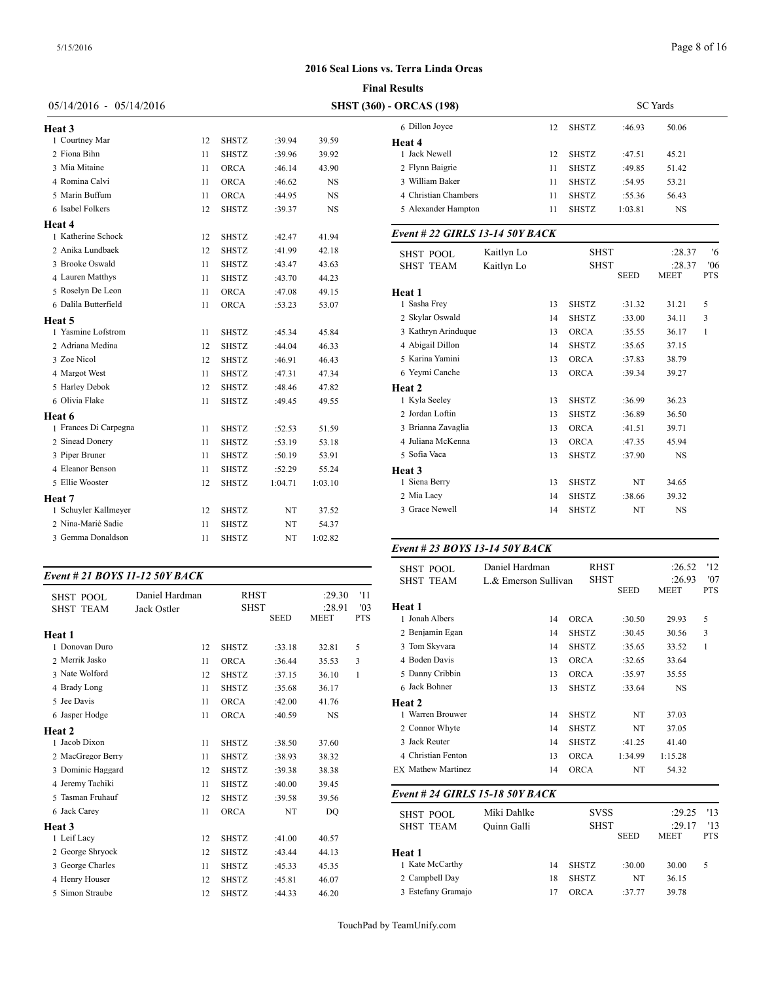|                           |    |              |         |           | <b>Final Results</b>            |            |
|---------------------------|----|--------------|---------|-----------|---------------------------------|------------|
| $05/14/2016 - 05/14/2016$ |    |              |         |           | <b>SHST (360) - ORCAS (198)</b> |            |
| <b>Heat 3</b>             |    |              |         |           | 6 Dillon Joyce                  |            |
| 1 Courtney Mar            | 12 | <b>SHSTZ</b> | :39.94  | 39.59     | Heat 4                          |            |
| 2 Fiona Bihn              | 11 | <b>SHSTZ</b> | :39.96  | 39.92     | 1 Jack Newell                   |            |
| 3 Mia Mitaine             | 11 | <b>ORCA</b>  | :46.14  | 43.90     | 2 Flynn Baigrie                 |            |
| 4 Romina Calvi            | 11 | <b>ORCA</b>  | :46.62  | <b>NS</b> | 3 William Baker                 |            |
| 5 Marin Buffum            | 11 | <b>ORCA</b>  | :44.95  | <b>NS</b> | 4 Christian Chambers            |            |
| 6 Isabel Folkers          | 12 | <b>SHSTZ</b> | :39.37  | <b>NS</b> | 5 Alexander Hampton             |            |
| Heat 4                    |    |              |         |           |                                 |            |
| 1 Katherine Schock        | 12 | <b>SHSTZ</b> | :42.47  | 41.94     | Event # 22 GIRLS 13-14 50Y      |            |
| 2 Anika Lundbaek          | 12 | <b>SHSTZ</b> | :41.99  | 42.18     | <b>SHST POOL</b>                | Kaitlyn Lo |
| 3 Brooke Oswald           | 11 | SHSTZ        | :43.47  | 43.63     | <b>SHST TEAM</b>                | Kaitlyn Lo |
| 4 Lauren Matthys          | 11 | <b>SHSTZ</b> | :43.70  | 44.23     |                                 |            |
| 5 Roselyn De Leon         | 11 | ORCA         | :47.08  | 49.15     | Heat 1                          |            |
| 6 Dalila Butterfield      | 11 | ORCA         | :53.23  | 53.07     | 1 Sasha Frey                    |            |
| <b>Heat 5</b>             |    |              |         |           | 2 Skylar Oswald                 |            |
| 1 Yasmine Lofstrom        | 11 | <b>SHSTZ</b> | :45.34  | 45.84     | 3 Kathryn Arinduque             |            |
| 2 Adriana Medina          | 12 | <b>SHSTZ</b> | :44.04  | 46.33     | 4 Abigail Dillon                |            |
| 3 Zoe Nicol               | 12 | <b>SHSTZ</b> | :46.91  | 46.43     | 5 Karina Yamini                 |            |
| 4 Margot West             | 11 | <b>SHSTZ</b> | :47.31  | 47.34     | 6 Yeymi Canche                  |            |
| 5 Harley Debok            | 12 | <b>SHSTZ</b> | :48.46  | 47.82     | Heat 2                          |            |
| 6 Olivia Flake            | 11 | <b>SHSTZ</b> | :49.45  | 49.55     | 1 Kyla Seeley                   |            |
| Heat 6                    |    |              |         |           | 2 Jordan Loftin                 |            |
| 1 Frances Di Carpegna     | 11 | <b>SHSTZ</b> | :52.53  | 51.59     | 3 Brianna Zavaglia              |            |
| 2 Sinead Donery           | 11 | SHSTZ        | :53.19  | 53.18     | 4 Juliana McKenna               |            |
| 3 Piper Bruner            | 11 | <b>SHSTZ</b> | :50.19  | 53.91     | 5 Sofia Vaca                    |            |
| 4 Eleanor Benson          | 11 | <b>SHSTZ</b> | :52.29  | 55.24     | Heat 3                          |            |
| 5 Ellie Wooster           | 12 | <b>SHSTZ</b> | 1:04.71 | 1:03.10   | 1 Siena Berry                   |            |
| Heat 7                    |    |              |         |           | 2 Mia Lacy                      |            |
| 1 Schuyler Kallmeyer      | 12 | <b>SHSTZ</b> | NT      | 37.52     | 3 Grace Newell                  |            |
| 2 Nina-Marié Sadie        | 11 | <b>SHSTZ</b> | NT      | 54.37     |                                 |            |
| 3 Gemma Donaldson         | 11 | <b>SHSTZ</b> | NT      | 1:02.82   |                                 |            |

#### *Event # 21 BOYS 11-12 50Y BACK*

| Daniel Hardman |              |        |                                           | '11         |                          |
|----------------|--------------|--------|-------------------------------------------|-------------|--------------------------|
| Jack Ostler    |              |        | :28.91                                    | '03         | Heat 1                   |
|                |              |        |                                           |             | 1 Jonah Albers           |
|                |              |        |                                           |             | 2 Benjamin Egan          |
| 12             | <b>SHSTZ</b> | :33.18 | 32.81                                     | 5           | 3 Tom Skyvara            |
| 11             | <b>ORCA</b>  | :36.44 | 35.53                                     | 3           | 4 Boden Davis            |
| 12             | <b>SHSTZ</b> | :37.15 | 36.10                                     | 1           | 5 Danny Cribbin          |
| 11             | <b>SHSTZ</b> | :35.68 | 36.17                                     |             | 6 Jack Bohner            |
| 11             | <b>ORCA</b>  | :42.00 | 41.76                                     |             | Heat 2                   |
| 11             | <b>ORCA</b>  | :40.59 | <b>NS</b>                                 |             | 1 Warren Brouwer         |
|                |              |        |                                           |             | 2 Connor Whyte           |
| 11             | <b>SHSTZ</b> | :38.50 | 37.60                                     |             | 3 Jack Reuter            |
| 11             | <b>SHSTZ</b> | :38.93 | 38.32                                     |             | 4 Christian Fentor       |
| 12             | <b>SHSTZ</b> | :39.38 | 38.38                                     |             | <b>EX Mathew Martine</b> |
| 11             | <b>SHSTZ</b> | :40.00 | 39.45                                     |             |                          |
| 12             | <b>SHSTZ</b> | :39.58 | 39.56                                     |             | Event # 24 GIRI          |
| 11             | <b>ORCA</b>  | NT     | DO                                        |             | <b>SHST POOL</b>         |
|                |              |        |                                           |             | <b>SHST TEAM</b>         |
| 12             | <b>SHSTZ</b> | :41.00 | 40.57                                     |             |                          |
| 12             | <b>SHSTZ</b> | :43.44 | 44.13                                     |             | Heat 1                   |
| 11             | <b>SHSTZ</b> | :45.33 | 45.35                                     |             | 1 Kate McCarthy          |
| 12             | <b>SHSTZ</b> | :45.81 | 46.07                                     |             | 2 Campbell Day           |
| 12             | <b>SHSTZ</b> | :44.33 | 46.20                                     |             | 3 Estefany Grama         |
|                |              |        | <b>RHST</b><br><b>SHST</b><br><b>SEED</b> | <b>MEET</b> | :29.30<br><b>PTS</b>     |

| - ORCAS (198)        |    |              | <b>SC</b> Yards |           |  |
|----------------------|----|--------------|-----------------|-----------|--|
| 6 Dillon Jovce       | 12 | <b>SHSTZ</b> | :46.93          | 50.06     |  |
| Heat 4               |    |              |                 |           |  |
| Jack Newell          | 12 | <b>SHSTZ</b> | :47.51          | 45.21     |  |
| 2 Flynn Baigrie      | 11 | <b>SHSTZ</b> | :49.85          | 51.42     |  |
| 3 William Baker      | 11 | <b>SHSTZ</b> | :54.95          | 53.21     |  |
| 4 Christian Chambers | 11 | <b>SHSTZ</b> | :55.36          | 56.43     |  |
| 5 Alexander Hampton  | 11 | <b>SHSTZ</b> | 1:03.81         | <b>NS</b> |  |
|                      |    |              |                 |           |  |

# *Event # 22 GIRLS 13-14 50Y BACK*

| <b>SHST POOL</b>    | Kaitlyn Lo |    | <b>SHST</b>  | :28.37      | '6          |              |
|---------------------|------------|----|--------------|-------------|-------------|--------------|
| <b>SHST TEAM</b>    | Kaitlyn Lo |    | <b>SHST</b>  | :28.37      | '06         |              |
|                     |            |    |              | <b>SEED</b> | <b>MEET</b> | <b>PTS</b>   |
| Heat 1              |            |    |              |             |             |              |
| 1 Sasha Frey        |            | 13 | <b>SHSTZ</b> | :31.32      | 31.21       | 5            |
| 2 Skylar Oswald     |            | 14 | <b>SHSTZ</b> | :33.00      | 34.11       | 3            |
| 3 Kathryn Arinduque |            | 13 | <b>ORCA</b>  | :35.55      | 36.17       | $\mathbf{1}$ |
| 4 Abigail Dillon    |            | 14 | <b>SHSTZ</b> | :35.65      | 37.15       |              |
| 5 Karina Yamini     |            | 13 | <b>ORCA</b>  | :37.83      | 38.79       |              |
| 6 Yeymi Canche      |            | 13 | <b>ORCA</b>  | :39.34      | 39.27       |              |
| Heat 2              |            |    |              |             |             |              |
| 1 Kyla Seeley       |            | 13 | <b>SHSTZ</b> | :36.99      | 36.23       |              |
| 2 Jordan Loftin     |            | 13 | <b>SHSTZ</b> | :36.89      | 36.50       |              |
| 3 Brianna Zavaglia  |            | 13 | <b>ORCA</b>  | :41.51      | 39.71       |              |
| 4 Juliana McKenna   |            | 13 | <b>ORCA</b>  | :47.35      | 45.94       |              |
| 5 Sofia Vaca        |            | 13 | <b>SHSTZ</b> | :37.90      | <b>NS</b>   |              |
| <b>Heat 3</b>       |            |    |              |             |             |              |
| 1 Siena Berry       |            | 13 | <b>SHSTZ</b> | NT          | 34.65       |              |
| 2 Mia Lacy          |            | 14 | <b>SHSTZ</b> | :38.66      | 39.32       |              |
| 3 Grace Newell      |            | 14 | <b>SHSTZ</b> | NT          | <b>NS</b>   |              |
|                     |            |    |              |             |             |              |

# *Event # 23 BOYS 13-14 50Y BACK*

| <b>SHST POOL</b>          | Daniel Hardman       | <b>RHST</b>  |             | :26.52    | '12        |
|---------------------------|----------------------|--------------|-------------|-----------|------------|
| <b>SHST TEAM</b>          | L.& Emerson Sullivan | <b>SHST</b>  |             | :26.93    | '07        |
|                           |                      |              | <b>SEED</b> | MEET      | <b>PTS</b> |
| Heat 1                    |                      |              |             |           |            |
| 1 Jonah Albers            | 14                   | <b>ORCA</b>  | :30.50      | 29.93     | 5          |
| 2 Benjamin Egan           | 14                   | <b>SHSTZ</b> | :30.45      | 30.56     | 3          |
| 3 Tom Skyvara             | 14                   | <b>SHSTZ</b> | :35.65      | 33.52     | 1          |
| 4 Boden Davis             | 13                   | <b>ORCA</b>  | :32.65      | 33.64     |            |
| 5 Danny Cribbin           | 13                   | <b>ORCA</b>  | :35.97      | 35.55     |            |
| 6 Jack Bohner             | 13                   | <b>SHSTZ</b> | :33.64      | <b>NS</b> |            |
| Heat 2                    |                      |              |             |           |            |
| 1 Warren Brouwer          | 14                   | <b>SHSTZ</b> | NT          | 37.03     |            |
| 2 Connor Whyte            | 14                   | <b>SHSTZ</b> | NT          | 37.05     |            |
| 3 Jack Reuter             | 14                   | <b>SHSTZ</b> | :41.25      | 41.40     |            |
| 4 Christian Fenton        | 13                   | <b>ORCA</b>  | 1:34.99     | 1:15.28   |            |
| <b>EX Mathew Martinez</b> | 14                   | <b>ORCA</b>  | NT          | 54.32     |            |

| <b>SHST POOL</b>   | Miki Dahlke |    | <b>SVSS</b>  |             | :29.25      | 13         |
|--------------------|-------------|----|--------------|-------------|-------------|------------|
| <b>SHST TEAM</b>   | Ouinn Galli |    | <b>SHST</b>  |             | :29.17      | 13         |
|                    |             |    |              | <b>SEED</b> | <b>MEET</b> | <b>PTS</b> |
| Heat 1             |             |    |              |             |             |            |
| 1 Kate McCarthy    |             | 14 | <b>SHSTZ</b> | :30.00      | 30.00       | 5          |
| 2 Campbell Day     |             | 18 | <b>SHSTZ</b> | NT          | 36.15       |            |
| 3 Estefany Gramajo |             | 17 | <b>ORCA</b>  | :37.77      | 39.78       |            |
|                    |             |    |              |             |             |            |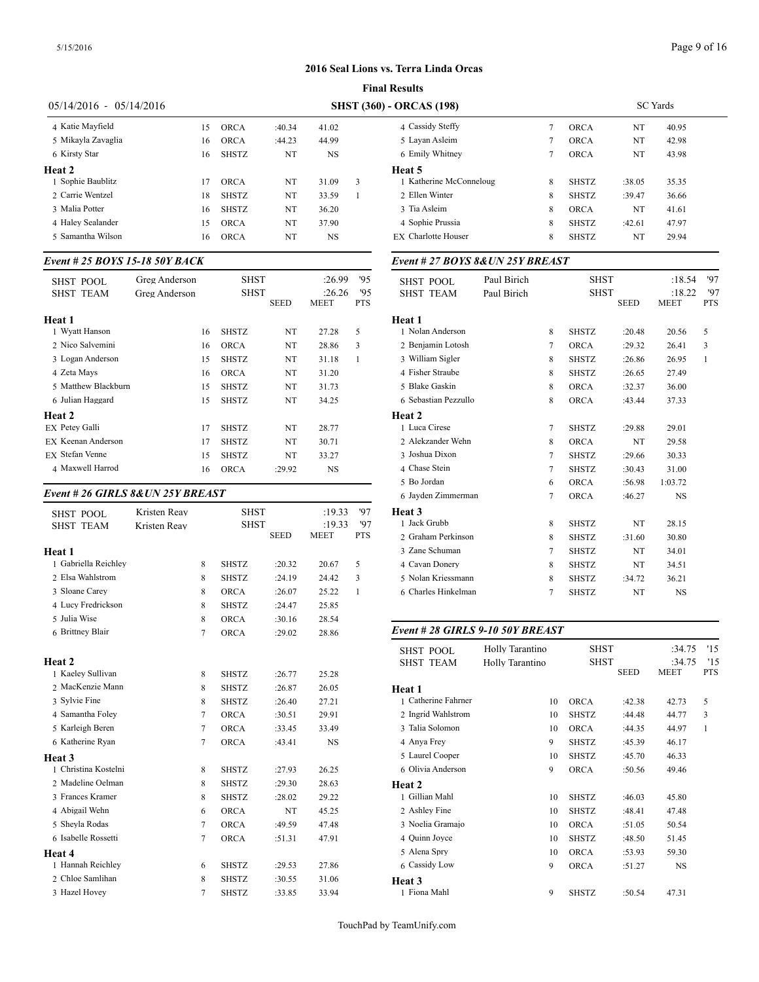|                           |    |              | <b>Final Results</b> |           |   |                                 |  |  |  |  |
|---------------------------|----|--------------|----------------------|-----------|---|---------------------------------|--|--|--|--|
| $05/14/2016 - 05/14/2016$ |    |              |                      |           |   | <b>SHST (360) - ORCAS (198)</b> |  |  |  |  |
| 4 Katie Mayfield          | 15 | <b>ORCA</b>  | :40.34               | 41.02     |   | 4 Cassidy Steffy                |  |  |  |  |
| 5 Mikavla Zavaglia        | 16 | <b>ORCA</b>  | :44.23               | 44.99     |   | 5 Layan Asleim                  |  |  |  |  |
| 6 Kirsty Star             | 16 | <b>SHSTZ</b> | NT                   | <b>NS</b> |   | 6 Emily Whitney                 |  |  |  |  |
| Heat 2                    |    |              |                      |           |   | Heat 5                          |  |  |  |  |
| 1 Sophie Baublitz         | 17 | <b>ORCA</b>  | NT                   | 31.09     | 3 | 1 Katherine McConneloug         |  |  |  |  |
| 2. Carrie Wentzel         | 18 | <b>SHSTZ</b> | NT                   | 33.59     |   | 2 Ellen Winter                  |  |  |  |  |
| 3 Malia Potter            | 16 | <b>SHSTZ</b> | NT                   | 36.20     |   | 3 Tia Asleim                    |  |  |  |  |
| 4 Haley Sealander         | 15 | <b>ORCA</b>  | NT                   | 37.90     |   | 4 Sophie Prussia                |  |  |  |  |
| 5 Samantha Wilson         | 16 | <b>ORCA</b>  | NT                   | <b>NS</b> |   | <b>EX</b> Charlotte Houser      |  |  |  |  |

# *Event # 25 BOYS 15-18 50Y BACK*

| SHST POOL              | Greg Anderson | <b>SHST</b>  |             | :26.99      | '95        | SHST POOL         |
|------------------------|---------------|--------------|-------------|-------------|------------|-------------------|
| <b>SHST TEAM</b>       | Greg Anderson | SHST         |             | :26.26      | 95         | <b>SHST TEAM</b>  |
|                        |               |              | <b>SEED</b> | <b>MEET</b> | <b>PTS</b> |                   |
| Heat 1                 |               |              |             |             |            | Heat 1            |
| 1 Wyatt Hanson         | 16            | <b>SHSTZ</b> | NT          | 27.28       | 5          | 1 Nolan Anderson  |
| 2 Nico Salvemini       | 16            | <b>ORCA</b>  | NT          | 28.86       | 3          | 2 Benjamin Lotos  |
| 3 Logan Anderson       | 15            | <b>SHSTZ</b> | NT          | 31.18       | 1          | 3 William Sigler  |
| 4 Zeta Mays            | 16            | <b>ORCA</b>  | NT          | 31.20       |            | 4 Fisher Straube  |
| 5 Matthew Blackburn    | 15            | <b>SHSTZ</b> | NT          | 31.73       |            | 5 Blake Gaskin    |
| 6 Julian Haggard       | 15            | <b>SHSTZ</b> | NT          | 34.25       |            | 6 Sebastian Pezzu |
| Heat 2                 |               |              |             |             |            | Heat 2            |
| EX Petey Galli         | 17            | <b>SHSTZ</b> | NT          | 28.77       |            | 1 Luca Cirese     |
| EX Keenan Anderson     | 17            | <b>SHSTZ</b> | NT          | 30.71       |            | 2. Alekzander Web |
| <b>EX</b> Stefan Venne | 15            | <b>SHSTZ</b> | NT          | 33.27       |            | 3 Joshua Dixon    |
| 4 Maxwell Harrod       | 16            | <b>ORCA</b>  | :29.92      | NS          |            | 4 Chase Stein     |
|                        |               |              |             |             |            |                   |

# *Event # 26 GIRLS 8&UN 25Y BREAST*

| <b>SHST POOL</b>     | Kristen Reav |                | <b>SHST</b>  |             | :19.33      | '97          | Heat 3                               |
|----------------------|--------------|----------------|--------------|-------------|-------------|--------------|--------------------------------------|
| <b>SHST TEAM</b>     | Kristen Reav |                | <b>SHST</b>  |             | :19.33      | '97          | 1 Jack Grubb                         |
|                      |              |                |              | <b>SEED</b> | <b>MEET</b> | <b>PTS</b>   | 2 Graham Perkins                     |
| Heat 1               |              |                |              |             |             |              | 3 Zane Schuman                       |
| 1 Gabriella Reichley |              | 8              | <b>SHSTZ</b> | :20.32      | 20.67       | 5            | 4 Cavan Donery                       |
| 2 Elsa Wahlstrom     |              | 8              | <b>SHSTZ</b> | :24.19      | 24.42       | 3            | 5 Nolan Kriessma                     |
| 3 Sloane Carey       |              | 8              | <b>ORCA</b>  | :26.07      | 25.22       | $\mathbf{1}$ | 6 Charles Hinkeln                    |
| 4 Lucy Fredrickson   |              | 8              | <b>SHSTZ</b> | :24.47      | 25.85       |              |                                      |
| 5 Julia Wise         |              | 8              | <b>ORCA</b>  | :30.16      | 28.54       |              |                                      |
| 6 Brittney Blair     |              | $\overline{7}$ | <b>ORCA</b>  | :29.02      | 28.86       |              | Event # 28 GIRI                      |
| Heat 2               |              |                |              |             |             |              | <b>SHST POOL</b><br><b>SHST TEAM</b> |
| 1 Kaeley Sullivan    |              | 8              | <b>SHSTZ</b> | :26.77      | 25.28       |              |                                      |
| 2 MacKenzie Mann     |              | 8              | <b>SHSTZ</b> | :26.87      | 26.05       |              | Heat 1                               |
| 3 Sylvie Fine        |              | 8              | <b>SHSTZ</b> | :26.40      | 27.21       |              | 1 Catherine Fahrn                    |
| 4 Samantha Foley     |              | $\overline{7}$ | <b>ORCA</b>  | :30.51      | 29.91       |              | 2 Ingrid Wahlstron                   |
| 5 Karleigh Beren     |              | $\overline{7}$ | <b>ORCA</b>  | :33.45      | 33.49       |              | 3 Talia Solomon                      |
| 6 Katherine Ryan     |              | $\tau$         | <b>ORCA</b>  | :43.41      | <b>NS</b>   |              | 4 Anya Frey                          |
| Heat 3               |              |                |              |             |             |              | 5 Laurel Cooper                      |
| 1 Christina Kostelni |              | 8              | <b>SHSTZ</b> | :27.93      | 26.25       |              | 6 Olivia Anderson                    |
| 2 Madeline Oelman    |              | 8              | <b>SHSTZ</b> | :29.30      | 28.63       |              | Heat 2                               |
| 3 Frances Kramer     |              | 8              | <b>SHSTZ</b> | :28.02      | 29.22       |              | 1 Gillian Mahl                       |
| 4 Abigail Wehn       |              | 6              | <b>ORCA</b>  | NT          | 45.25       |              | 2 Ashley Fine                        |
| 5 Sheyla Rodas       |              | $\overline{7}$ | <b>ORCA</b>  | :49.59      | 47.48       |              | 3 Noelia Gramajo                     |
| 6 Isabelle Rossetti  |              | $\overline{7}$ | <b>ORCA</b>  | :51.31      | 47.91       |              | 4 Quinn Joyce                        |
| Heat 4               |              |                |              |             |             |              | 5 Alena Spry                         |
| 1 Hannah Reichlev    |              | 6              | <b>SHSTZ</b> | :29.53      | 27.86       |              | 6 Cassidy Low                        |
| 2 Chloe Samlihan     |              | 8              | <b>SHSTZ</b> | :30.55      | 31.06       |              | Heat 3                               |
| 3 Hazel Hovey        |              | 7              | <b>SHSTZ</b> | :33.85      | 33.94       |              | 1 Fiona Mahl                         |

| <b>ORCAS</b> (198)         |   |              | <b>SC</b> Yards |       |  |
|----------------------------|---|--------------|-----------------|-------|--|
| 4 Cassidy Steffy           | 7 | <b>ORCA</b>  | NT              | 40.95 |  |
| 5 Layan Asleim             | 7 | ORCA         | NT              | 42.98 |  |
| 6 Emily Whitney            | 7 | ORCA         | NT              | 43.98 |  |
| <b>Heat 5</b>              |   |              |                 |       |  |
| 1 Katherine McConneloug    | 8 | <b>SHSTZ</b> | :38.05          | 35.35 |  |
| 2 Ellen Winter             | 8 | <b>SHSTZ</b> | :39.47          | 36.66 |  |
| 3 Tia Asleim               | 8 | <b>ORCA</b>  | NT              | 41.61 |  |
| 4 Sophie Prussia           | 8 | <b>SHSTZ</b> | :42.61          | 47.97 |  |
| <b>EX</b> Charlotte Houser | 8 | <b>SHSTZ</b> | NT              | 29.94 |  |
|                            |   |              |                 |       |  |

| Event # 27 BOYS 8& UN 25Y BREAST |             |                |              |             |                       |                   |
|----------------------------------|-------------|----------------|--------------|-------------|-----------------------|-------------------|
| <b>SHST POOL</b>                 | Paul Birich |                | <b>SHST</b>  |             | :18.54                | 97                |
| <b>SHST TEAM</b>                 | Paul Birich |                | <b>SHST</b>  | <b>SEED</b> | :18.22<br><b>MEET</b> | '97<br><b>PTS</b> |
| Heat 1                           |             |                |              |             |                       |                   |
| 1 Nolan Anderson                 |             | 8              | <b>SHSTZ</b> | :20.48      | 20.56                 | 5                 |
| 2 Benjamin Lotosh                |             | $\overline{7}$ | <b>ORCA</b>  | :29.32      | 26.41                 | 3                 |
| 3 William Sigler                 |             | 8              | <b>SHSTZ</b> | :26.86      | 26.95                 | 1                 |
| 4 Fisher Straube                 |             | 8              | <b>SHSTZ</b> | :26.65      | 27.49                 |                   |
| 5 Blake Gaskin                   |             | 8              | <b>ORCA</b>  | :32.37      | 36.00                 |                   |
| 6 Sebastian Pezzullo             |             | 8              | <b>ORCA</b>  | :43.44      | 37.33                 |                   |
| Heat 2                           |             |                |              |             |                       |                   |
| 1 Luca Cirese                    |             | 7              | <b>SHSTZ</b> | :29.88      | 29.01                 |                   |
| 2 Alekzander Wehn                |             | 8              | <b>ORCA</b>  | NT          | 29.58                 |                   |
| 3 Joshua Dixon                   |             | 7              | <b>SHSTZ</b> | :29.66      | 30.33                 |                   |
| 4 Chase Stein                    |             | 7              | <b>SHSTZ</b> | :30.43      | 31.00                 |                   |
| 5 Bo Jordan                      |             | 6              | <b>ORCA</b>  | :56.98      | 1:03.72               |                   |
| 6 Jayden Zimmerman               |             | 7              | <b>ORCA</b>  | :46.27      | <b>NS</b>             |                   |
| Heat 3                           |             |                |              |             |                       |                   |
| 1 Jack Grubb                     |             | 8              | <b>SHSTZ</b> | NT          | 28.15                 |                   |
| 2 Graham Perkinson               |             | 8              | <b>SHSTZ</b> | :31.60      | 30.80                 |                   |
| 3 Zane Schuman                   |             | 7              | <b>SHSTZ</b> | NT          | 34.01                 |                   |
| 4 Cavan Donery                   |             | 8              | <b>SHSTZ</b> | NT          | 34.51                 |                   |
| 5 Nolan Kriessmann               |             | 8              | <b>SHSTZ</b> | :34.72      | 36.21                 |                   |
| 6 Charles Hinkelman              |             | 7              | <b>SHSTZ</b> | NT          | <b>NS</b>             |                   |

# *Event # 28 GIRLS 9-10 50Y BREAST*

| <b>SHST POOL</b><br><b>SHST TEAM</b> | Holly Tarantino<br>Holly Tarantino | <b>SHST</b><br><b>SHST</b> |             | :34.75<br>:34.75 | '15<br>'15 |  |
|--------------------------------------|------------------------------------|----------------------------|-------------|------------------|------------|--|
|                                      |                                    |                            | <b>SEED</b> | <b>MEET</b>      | <b>PTS</b> |  |
| Heat 1                               |                                    |                            |             |                  |            |  |
| 1 Catherine Fahrner                  | 10                                 | <b>ORCA</b>                | :42.38      | 42.73            | 5          |  |
| 2 Ingrid Wahlstrom                   | 10                                 | <b>SHSTZ</b>               | :44.48      | 44.77            | 3          |  |
| 3 Talia Solomon                      | 10                                 | <b>ORCA</b>                | :44.35      | 44.97            | 1          |  |
| 4 Anya Frey                          | 9                                  | <b>SHSTZ</b>               | :45.39      | 46.17            |            |  |
| 5 Laurel Cooper                      | 10                                 | <b>SHSTZ</b>               | :45.70      | 46.33            |            |  |
| 6 Olivia Anderson                    | 9                                  | <b>ORCA</b>                | :50.56      | 49.46            |            |  |
| Heat 2                               |                                    |                            |             |                  |            |  |
| 1 Gillian Mahl                       | 10                                 | <b>SHSTZ</b>               | :46.03      | 45.80            |            |  |
| 2 Ashley Fine                        | 10                                 | <b>SHSTZ</b>               | :48.41      | 47.48            |            |  |
| 3 Noelia Gramajo                     | 10                                 | <b>ORCA</b>                | :51.05      | 50.54            |            |  |
| 4 Quinn Joyce                        | 10                                 | <b>SHSTZ</b>               | :48.50      | 51.45            |            |  |
| 5 Alena Spry                         | 10                                 | <b>ORCA</b>                | :53.93      | 59.30            |            |  |
| 6 Cassidy Low                        | 9                                  | <b>ORCA</b>                | :51.27      | <b>NS</b>        |            |  |
| Heat 3                               |                                    |                            |             |                  |            |  |
| 1 Fiona Mahl                         | 9                                  | <b>SHSTZ</b>               | :50.54      | 47.31            |            |  |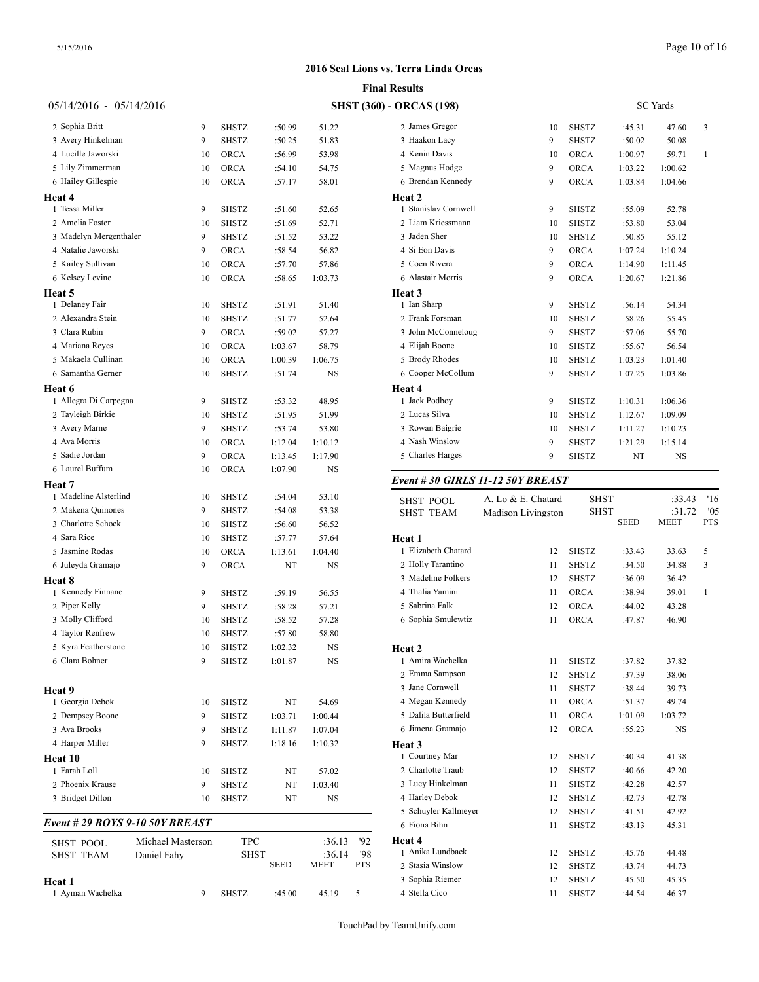|                                 |                   |              |             |                | <b>Final Results</b>                     |
|---------------------------------|-------------------|--------------|-------------|----------------|------------------------------------------|
| 05/14/2016 - 05/14/2016         |                   |              |             |                | <b>SHST (360) - ORCAS (198)</b>          |
| 2 Sophia Britt                  | 9                 | SHSTZ        | :50.99      | 51.22          | 2 James Gregor                           |
| 3 Avery Hinkelman               | 9                 | <b>SHSTZ</b> | :50.25      | 51.83          | 3 Haakon Lacy                            |
| 4 Lucille Jaworski              | 10                | <b>ORCA</b>  | :56.99      | 53.98          | 4 Kenin Davis                            |
| 5 Lily Zimmerman                | 10                | <b>ORCA</b>  | :54.10      | 54.75          | 5 Magnus Hodge                           |
| 6 Hailey Gillespie              | 10                | ORCA         | :57.17      | 58.01          | 6 Brendan Kenned                         |
| Heat 4                          |                   |              |             |                | Heat 2                                   |
| 1 Tessa Miller                  | 9                 | SHSTZ        | :51.60      | 52.65          | 1 Stanislav Cornw                        |
| 2 Amelia Foster                 | 10                | SHSTZ        | :51.69      | 52.71          | 2 Liam Kriessman                         |
| 3 Madelyn Mergenthaler          | 9                 | SHSTZ        | :51.52      | 53.22          | 3 Jaden Sher                             |
| 4 Natalie Jaworski              | 9                 | ORCA         | :58.54      | 56.82          | 4 Si Eon Davis                           |
| 5 Kailey Sullivan               | 10                | <b>ORCA</b>  | :57.70      | 57.86          | 5 Coen Rivera                            |
| 6 Kelsey Levine                 | 10                | ORCA         | :58.65      | 1:03.73        | 6 Alastair Morris                        |
| Heat 5                          |                   |              |             |                | Heat 3                                   |
| 1 Delaney Fair                  | 10                | <b>SHSTZ</b> | :51.91      | 51.40          | 1 Ian Sharp                              |
| 2 Alexandra Stein               | 10                | <b>SHSTZ</b> | :51.77      | 52.64          | 2 Frank Forsman                          |
| 3 Clara Rubin                   | 9                 | <b>ORCA</b>  | :59.02      | 57.27          | 3 John McConnel                          |
| 4 Mariana Reyes                 | 10                | <b>ORCA</b>  | 1:03.67     | 58.79          | 4 Elijah Boone                           |
| 5 Makaela Cullinan              | 10                | ORCA         | 1:00.39     | 1:06.75        | 5 Brody Rhodes                           |
| 6 Samantha Gerner               | 10                | <b>SHSTZ</b> | :51.74      | NS             | 6 Cooper McCollu                         |
| Heat 6                          |                   |              |             |                | <b>Heat 4</b>                            |
| 1 Allegra Di Carpegna           | 9                 | SHSTZ        | :53.32      | 48.95          | 1 Jack Podboy                            |
| 2 Tayleigh Birkie               | 10                | <b>SHSTZ</b> | :51.95      | 51.99          | 2 Lucas Silva                            |
| 3 Avery Marne                   | 9                 | SHSTZ        | :53.74      | 53.80          | 3 Rowan Baigrie                          |
| 4 Ava Morris                    | 10                | <b>ORCA</b>  | 1:12.04     | 1:10.12        | 4 Nash Winslow                           |
| 5 Sadie Jordan                  | 9                 | <b>ORCA</b>  | 1:13.45     | 1:17.90        | 5 Charles Harges                         |
| 6 Laurel Buffum                 | 10                | <b>ORCA</b>  | 1:07.90     | NS             |                                          |
| Heat 7                          |                   |              |             |                | Event # 30 GIRI                          |
| 1 Madeline Alsterlind           | 10                | SHSTZ        | :54.04      | 53.10          | <b>SHST POOL</b>                         |
| 2 Makena Quinones               | 9                 | <b>SHSTZ</b> | :54.08      | 53.38          | SHST TEAM                                |
| 3 Charlotte Schock              | 10                | <b>SHSTZ</b> | :56.60      | 56.52          |                                          |
| 4 Sara Rice                     | 10                | <b>SHSTZ</b> | :57.77      | 57.64          | Heat 1                                   |
| 5 Jasmine Rodas                 | 10                | ORCA         | 1:13.61     | 1:04.40        | 1 Elizabeth Chatar                       |
| 6 Juleyda Gramajo               | 9                 | ORCA         | NT          | NS             | 2 Holly Tarantino                        |
| Heat 8                          |                   |              |             |                | 3 Madeline Folker                        |
| 1 Kennedy Finnane               | 9                 | SHSTZ        | :59.19      | 56.55          | 4 Thalia Yamini                          |
| 2 Piper Kelly                   | 9                 | <b>SHSTZ</b> | :58.28      | 57.21          | 5 Sabrina Falk                           |
| 3 Molly Clifford                | 10                | <b>SHSTZ</b> | :58.52      | 57.28          | 6 Sophia Smulewt                         |
| 4 Taylor Renfrew                | 10                | <b>SHSTZ</b> | :57.80      | 58.80          |                                          |
| 5 Kyra Featherstone             | 10                | SHSTZ        | 1:02.32     | NS             | Heat 2                                   |
| 6 Clara Bohner                  | 9                 | SHSTZ        | 1:01.87     | NS             | 1 Amira Wachelka                         |
|                                 |                   |              |             |                | 2 Emma Sampson                           |
| Heat 9                          |                   |              |             |                | 3 Jane Cornwell                          |
| 1 Georgia Debok                 | 10                | SHSTZ        | NT          | 54.69          | 4 Megan Kennedy                          |
| 2 Dempsey Boone                 | 9                 | SHSTZ        | 1:03.71     | 1:00.44        | 5 Dalila Butterfiel                      |
| 3 Ava Brooks                    | 9                 | SHSTZ        | 1:11.87     | 1:07.04        | 6 Jimena Gramajo                         |
| 4 Harper Miller                 | 9                 | SHSTZ        | 1:18.16     | 1:10.32        | Heat 3                                   |
| Heat 10                         |                   |              |             |                | 1 Courtney Mar                           |
| 1 Farah Loll                    | 10                | <b>SHSTZ</b> | NT          | 57.02          | 2 Charlotte Traub                        |
| 2 Phoenix Krause                | 9                 | SHSTZ        | NT          | 1:03.40        | 3 Lucy Hinkelmar                         |
| 3 Bridget Dillon                | 10                | SHSTZ        | NT          | NS             | 4 Harley Debok                           |
| Event # 29 BOYS 9-10 50Y BREAST |                   |              |             |                | 5 Schuyler Kallme                        |
|                                 |                   |              |             |                | 6 Fiona Bihn                             |
| <b>SHST POOL</b>                | Michael Masterson | TPC          |             | :36.13         | <b>Heat 4</b><br>'92<br>1 Anika Lundbaek |
| <b>SHST TEAM</b>                | Daniel Fahy       | SHST         | <b>SEED</b> | :36.14<br>MEET | '98<br>PTS<br>2 Stasia Winslow           |
|                                 |                   |              |             |                | 3 Sophia Riemer                          |
| Heat 1<br>1 Ayman Wachelka      | 9                 | SHSTZ        | :45.00      | 45.19          | 4 Stella Cico<br>5                       |
|                                 |                   |              |             |                |                                          |

| ) - ORCAS (198)      |    | <b>SC</b> Yards |         |         |              |  |  |
|----------------------|----|-----------------|---------|---------|--------------|--|--|
| 2 James Gregor       | 10 | <b>SHSTZ</b>    | :45.31  | 47.60   | 3            |  |  |
| 3 Haakon Lacy        | 9  | <b>SHSTZ</b>    | :50.02  | 50.08   |              |  |  |
| 4 Kenin Davis        | 10 | ORCA            | 1:00.97 | 59.71   | $\mathbf{1}$ |  |  |
| 5 Magnus Hodge       | 9  | <b>ORCA</b>     | 1:03.22 | 1:00.62 |              |  |  |
| 6 Brendan Kennedy    | 9  | ORCA            | 1:03.84 | 1:04.66 |              |  |  |
| Heat <sub>2</sub>    |    |                 |         |         |              |  |  |
| 1 Stanislav Cornwell | 9  | <b>SHSTZ</b>    | :55.09  | 52.78   |              |  |  |
| 2 Liam Kriessmann    | 10 | <b>SHSTZ</b>    | :53.80  | 53.04   |              |  |  |
| 3 Jaden Sher         | 10 | <b>SHSTZ</b>    | :50.85  | 55.12   |              |  |  |
| 4 Si Eon Davis       | 9  | <b>ORCA</b>     | 1:07.24 | 1:10.24 |              |  |  |
| 5 Coen Rivera        | 9  | <b>ORCA</b>     | 1:14.90 | 1:11.45 |              |  |  |
| 6 Alastair Morris    | 9  | <b>ORCA</b>     | 1:20.67 | 1:21.86 |              |  |  |
| Heat <sub>3</sub>    |    |                 |         |         |              |  |  |
| 1 Ian Sharp          | 9  | <b>SHSTZ</b>    | :56.14  | 54.34   |              |  |  |
| 2 Frank Forsman      | 10 | <b>SHSTZ</b>    | :58.26  | 55.45   |              |  |  |
| 3 John McConneloug   | 9  | <b>SHSTZ</b>    | :57.06  | 55.70   |              |  |  |
| 4 Elijah Boone       | 10 | <b>SHSTZ</b>    | :55.67  | 56.54   |              |  |  |
| 5 Brody Rhodes       | 10 | <b>SHSTZ</b>    | 1:03.23 | 1:01.40 |              |  |  |
| 6 Cooper McCollum    | 9  | <b>SHSTZ</b>    | 1:07.25 | 1:03.86 |              |  |  |
| Heat 4               |    |                 |         |         |              |  |  |
| 1 Jack Podboy        | 9  | <b>SHSTZ</b>    | 1:10.31 | 1:06.36 |              |  |  |
| 2 Lucas Silva        | 10 | <b>SHSTZ</b>    | 1:12.67 | 1:09.09 |              |  |  |
| 3 Rowan Baigrie      | 10 | <b>SHSTZ</b>    | 1:11.27 | 1:10.23 |              |  |  |
| 4 Nash Winslow       | 9  | <b>SHSTZ</b>    | 1:21.29 | 1:15.14 |              |  |  |
| 5 Charles Harges     | 9  | <b>SHSTZ</b>    | NT      | NS      |              |  |  |

### *Event # 30 GIRLS 11-12 50Y BREAST*

| <b>SHST POOL</b>     | A. Lo & E. Chatard |              | <b>SHST</b> | :33.43      | '16        |
|----------------------|--------------------|--------------|-------------|-------------|------------|
| <b>SHST TEAM</b>     | Madison Livingston |              | <b>SHST</b> | :31.72      | '05        |
|                      |                    |              | <b>SEED</b> | <b>MEET</b> | <b>PTS</b> |
| Heat 1               |                    |              |             |             |            |
| 1 Elizabeth Chatard  | 12                 | <b>SHSTZ</b> | :33.43      | 33.63       | 5          |
| 2 Holly Tarantino    | 11                 | <b>SHSTZ</b> | :34.50      | 34.88       | 3          |
| 3 Madeline Folkers   | 12                 | <b>SHSTZ</b> | :36.09      | 36.42       |            |
| 4 Thalia Yamini      | 11                 | <b>ORCA</b>  | :38.94      | 39.01       | 1          |
| 5 Sabrina Falk       | 12                 | <b>ORCA</b>  | :44.02      | 43.28       |            |
| 6 Sophia Smulewtiz   | 11                 | ORCA         | :47.87      | 46.90       |            |
|                      |                    |              |             |             |            |
| Heat 2               |                    |              |             |             |            |
| 1 Amira Wachelka     | 11                 | <b>SHSTZ</b> | :37.82      | 37.82       |            |
| 2 Emma Sampson       | 12                 | <b>SHSTZ</b> | :37.39      | 38.06       |            |
| 3 Jane Cornwell      | 11                 | <b>SHSTZ</b> | :38.44      | 39.73       |            |
| 4 Megan Kennedy      | 11                 | ORCA         | :51.37      | 49.74       |            |
| 5 Dalila Butterfield | 11                 | ORCA         | 1:01.09     | 1:03.72     |            |
| 6 Jimena Gramajo     | 12                 | ORCA         | :55.23      | NS          |            |
| Heat 3               |                    |              |             |             |            |
| 1 Courtney Mar       | 12                 | <b>SHSTZ</b> | :40.34      | 41.38       |            |
| 2 Charlotte Traub    | 12                 | <b>SHSTZ</b> | :40.66      | 42.20       |            |
| 3 Lucy Hinkelman     | 11                 | <b>SHSTZ</b> | :42.28      | 42.57       |            |
| 4 Harley Debok       | 12                 | <b>SHSTZ</b> | :42.73      | 42.78       |            |
| 5 Schuyler Kallmeyer | 12                 | <b>SHSTZ</b> | :41.51      | 42.92       |            |
| 6 Fiona Bihn         | 11                 | <b>SHSTZ</b> | :43.13      | 45.31       |            |
| Heat 4               |                    |              |             |             |            |
| 1 Anika Lundbaek     | 12                 | <b>SHSTZ</b> | :45.76      | 44.48       |            |
| 2 Stasia Winslow     | 12                 | <b>SHSTZ</b> | :43.74      | 44.73       |            |
| 3 Sophia Riemer      | 12                 | <b>SHSTZ</b> | :45.50      | 45.35       |            |
| 4 Stella Cico        | 11                 | <b>SHSTZ</b> | :44.54      | 46.37       |            |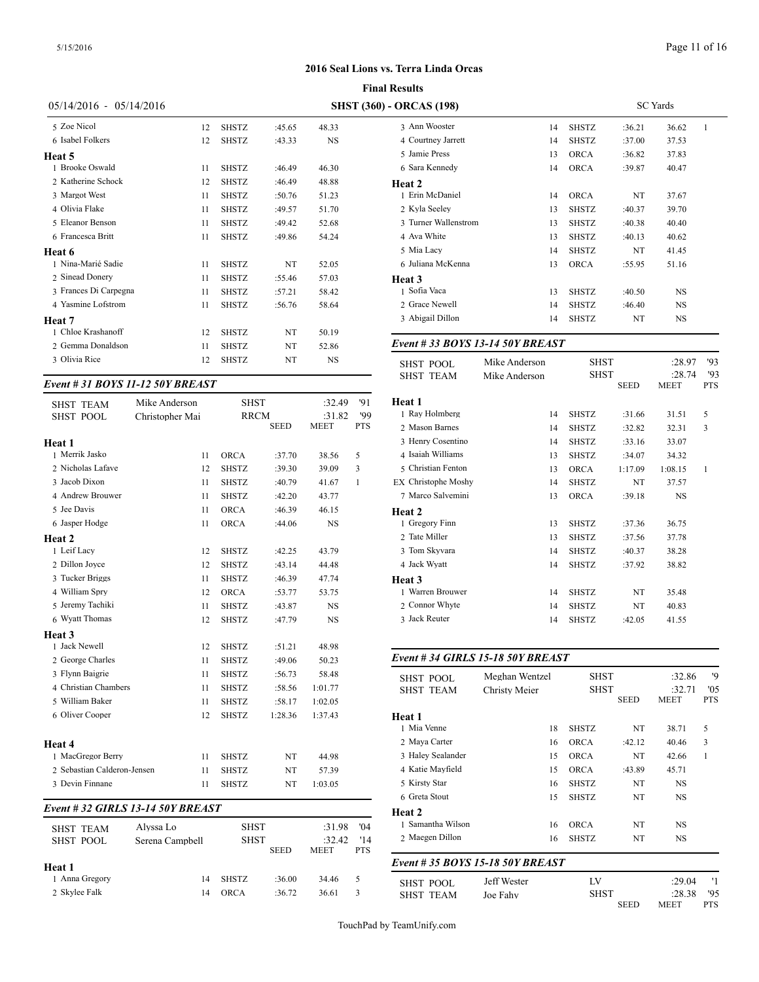| $05/14/2016 - 05/14/2016$ |    |              |        |           | <b>SHST (360) - ORCAS (198)</b> |
|---------------------------|----|--------------|--------|-----------|---------------------------------|
| 5 Zoe Nicol               | 12 | <b>SHSTZ</b> | :45.65 | 48.33     | 3 Ann Wooster                   |
| 6 Isabel Folkers          | 12 | <b>SHSTZ</b> | :43.33 | <b>NS</b> | 4 Courtney Jarrett              |
| Heat 5                    |    |              |        |           | 5 Jamie Press                   |
| 1 Brooke Oswald           | 11 | <b>SHSTZ</b> | :46.49 | 46.30     | 6 Sara Kennedy                  |
| 2 Katherine Schock        | 12 | <b>SHSTZ</b> | :46.49 | 48.88     | Heat 2                          |
| 3 Margot West             | 11 | <b>SHSTZ</b> | :50.76 | 51.23     | 1 Erin McDaniel                 |
| 4 Olivia Flake            | 11 | <b>SHSTZ</b> | :49.57 | 51.70     | 2 Kyla Seeley                   |
| 5 Eleanor Benson          | 11 | <b>SHSTZ</b> | :49.42 | 52.68     | 3 Turner Wallenstrom            |
| 6 Francesca Britt         | 11 | <b>SHSTZ</b> | :49.86 | 54.24     | 4 Ava White                     |
| Heat 6                    |    |              |        |           | 5 Mia Lacy                      |
| 1 Nina-Marié Sadie        | 11 | <b>SHSTZ</b> | NT     | 52.05     | 6 Juliana McKenna               |
| 2 Sinead Donery           | 11 | <b>SHSTZ</b> | :55.46 | 57.03     | Heat 3                          |
| 3 Frances Di Carpegna     | 11 | <b>SHSTZ</b> | :57.21 | 58.42     | 1 Sofia Vaca                    |
| 4 Yasmine Lofstrom        | 11 | <b>SHSTZ</b> | :56.76 | 58.64     | 2 Grace Newell                  |
| Heat 7                    |    |              |        |           | 3 Abigail Dillon                |
| 1 Chloe Krashanoff        | 12 | <b>SHSTZ</b> | NT     | 50.19     |                                 |
| 2 Gemma Donaldson         | 11 | <b>SHSTZ</b> | NT     | 52.86     | Event #33 BOYS 13-14 50Y B      |
| 3 Olivia Rice             | 12 | <b>SHSTZ</b> | NT     | NS        | Mike Ande<br><b>SHST POOL</b>   |

# *Event # 31 BOYS 11-12 50Y BREAST*

| <b>SHST TEAM</b><br><b>SHST POOL</b> | Mike Anderson<br>Christopher Mai | <b>SHST</b>  | <b>RRCM</b><br><b>SEED</b> | :32.49<br>:31.82<br><b>MEET</b> | '91<br>'99<br><b>PTS</b> | Heat 1<br>1 Ray Holmberg<br>2 Mason Barnes |
|--------------------------------------|----------------------------------|--------------|----------------------------|---------------------------------|--------------------------|--------------------------------------------|
| Heat 1                               |                                  |              |                            |                                 |                          | 3 Henry Cosentino                          |
| 1 Merrik Jasko                       | 11                               | <b>ORCA</b>  | :37.70                     | 38.56                           | 5                        | 4 Isaiah Williams                          |
| 2 Nicholas Lafave                    | 12                               | <b>SHSTZ</b> | :39.30                     | 39.09                           | 3                        | 5 Christian Fentor                         |
| 3 Jacob Dixon                        | 11                               | <b>SHSTZ</b> | :40.79                     | 41.67                           | $\mathbf{1}$             | <b>EX</b> Christophe Mos                   |
| 4 Andrew Brouwer                     | 11                               | <b>SHSTZ</b> | :42.20                     | 43.77                           |                          | 7 Marco Salvemir                           |
| 5 Jee Davis                          | 11                               | <b>ORCA</b>  | :46.39                     | 46.15                           |                          | Heat 2                                     |
| 6 Jasper Hodge                       | 11                               | <b>ORCA</b>  | :44.06                     | <b>NS</b>                       |                          | 1 Gregory Finn                             |
| Heat 2                               |                                  |              |                            |                                 |                          | 2 Tate Miller                              |
| 1 Leif Lacy                          | 12                               | <b>SHSTZ</b> | :42.25                     | 43.79                           |                          | 3 Tom Skyvara                              |
| 2 Dillon Joyce                       | 12                               | <b>SHSTZ</b> | :43.14                     | 44.48                           |                          | 4 Jack Wyatt                               |
| 3 Tucker Briggs                      | 11                               | <b>SHSTZ</b> | :46.39                     | 47.74                           |                          | Heat 3                                     |
| 4 William Spry                       | 12                               | <b>ORCA</b>  | :53.77                     | 53.75                           |                          | 1 Warren Brouwer                           |
| 5 Jeremy Tachiki                     | 11                               | <b>SHSTZ</b> | :43.87                     | <b>NS</b>                       |                          | 2 Connor Whyte                             |
| 6 Wyatt Thomas                       | 12                               | <b>SHSTZ</b> | :47.79                     | <b>NS</b>                       |                          | 3 Jack Reuter                              |
| Heat 3                               |                                  |              |                            |                                 |                          |                                            |
| 1 Jack Newell                        | 12                               | <b>SHSTZ</b> | :51.21                     | 48.98                           |                          |                                            |
| 2 George Charles                     | 11                               | <b>SHSTZ</b> | :49.06                     | 50.23                           |                          | Event #34 GIRI                             |
| 3 Flynn Baigrie                      | 11                               | <b>SHSTZ</b> | :56.73                     | 58.48                           |                          | <b>SHST POOL</b>                           |
| 4 Christian Chambers                 | 11                               | <b>SHSTZ</b> | :58.56                     | 1:01.77                         |                          | <b>SHST TEAM</b>                           |
| 5 William Baker                      | 11                               | <b>SHSTZ</b> | :58.17                     | 1:02.05                         |                          |                                            |
| 6 Oliver Cooper                      | 12                               | <b>SHSTZ</b> | 1:28.36                    | 1:37.43                         |                          | Heat 1<br>1 Mia Venne                      |
| Heat 4                               |                                  |              |                            |                                 |                          | 2 Maya Carter                              |
| 1 MacGregor Berry                    | 11                               | <b>SHSTZ</b> | NT                         | 44.98                           |                          | 3 Haley Sealander                          |
| 2 Sebastian Calderon-Jensen          | 11                               | <b>SHSTZ</b> | NT                         | 57.39                           |                          | 4 Katie Mayfield                           |
| 3 Devin Finnane                      | 11                               | <b>SHSTZ</b> | NT                         | 1:03.05                         |                          | 5 Kirsty Star                              |
|                                      |                                  |              |                            |                                 |                          | 6 Greta Stout                              |

#### *Event # 32 GIRLS 13-14 50Y BREAST*

| <b>SHST TEAM</b><br>SHST POOL | Alvssa Lo<br>Serena Campbell | <b>SHST</b><br><b>SHST</b> | <b>SEED</b> | :31.98<br>:32.42<br><b>MEET</b> | '04<br>'14<br><b>PTS</b> | 1 Samantha Wilso<br>2 Maegen Dillon |
|-------------------------------|------------------------------|----------------------------|-------------|---------------------------------|--------------------------|-------------------------------------|
| Heat 1                        |                              |                            |             |                                 |                          | Event # 35 $BOY_0$                  |
| 1 Anna Gregory                | 14                           | <b>SHSTZ</b>               | :36.00      | 34.46                           | 5                        | SHST POOL                           |
| 2 Skylee Falk                 | 14                           | ORCA                       | :36.72      | 36.61                           | 3                        | SHST TEAM                           |

| $(360)$ - ORCAS $(198)$ |              |        |           |                 |  |
|-------------------------|--------------|--------|-----------|-----------------|--|
| 14                      | <b>SHSTZ</b> | :36.21 | 36.62     | $\mathbf{1}$    |  |
| 14                      | <b>SHSTZ</b> | :37.00 | 37.53     |                 |  |
| 13                      | <b>ORCA</b>  | :36.82 | 37.83     |                 |  |
| 14                      | <b>ORCA</b>  | :39.87 | 40.47     |                 |  |
|                         |              |        |           |                 |  |
| 14                      | <b>ORCA</b>  | NT     | 37.67     |                 |  |
| 13                      | <b>SHSTZ</b> | :40.37 | 39.70     |                 |  |
| 13                      | <b>SHSTZ</b> | :40.38 | 40.40     |                 |  |
| 13                      | <b>SHSTZ</b> | :40.13 | 40.62     |                 |  |
| 14                      | <b>SHSTZ</b> | NT     | 41.45     |                 |  |
| 13                      | <b>ORCA</b>  | :55.95 | 51.16     |                 |  |
|                         |              |        |           |                 |  |
| 13                      | <b>SHSTZ</b> | :40.50 | NS        |                 |  |
| 14                      | <b>SHSTZ</b> | :46.40 | NS        |                 |  |
| 14                      | <b>SHSTZ</b> | NT     | <b>NS</b> |                 |  |
|                         |              |        |           | <b>SC</b> Yards |  |

# *Event # 33 BOYS 13-14 50Y BREAST*

| <b>SHST POOL</b>    | Mike Anderson | <b>SHST</b>  |             | :28.97      | 93         |
|---------------------|---------------|--------------|-------------|-------------|------------|
| <b>SHST TEAM</b>    | Mike Anderson | <b>SHST</b>  |             | :28.74      | '93        |
|                     |               |              | <b>SEED</b> | <b>MEET</b> | <b>PTS</b> |
| Heat 1              |               |              |             |             |            |
| 1 Ray Holmberg      | 14            | <b>SHSTZ</b> | :31.66      | 31.51       | 5          |
| 2 Mason Barnes      | 14            | <b>SHSTZ</b> | :32.82      | 32.31       | 3          |
| 3 Henry Cosentino   | 14            | <b>SHSTZ</b> | :33.16      | 33.07       |            |
| 4 Isaiah Williams   | 13            | <b>SHSTZ</b> | :34.07      | 34.32       |            |
| 5 Christian Fenton  | 13            | <b>ORCA</b>  | 1:17.09     | 1:08.15     | 1          |
| EX Christophe Moshy | 14            | <b>SHSTZ</b> | NT          | 37.57       |            |
| 7 Marco Salvemini   | 13            | <b>ORCA</b>  | :39.18      | <b>NS</b>   |            |
| Heat 2              |               |              |             |             |            |
| 1 Gregory Finn      | 13            | <b>SHSTZ</b> | :37.36      | 36.75       |            |
| 2 Tate Miller       | 13            | <b>SHSTZ</b> | :37.56      | 37.78       |            |
| 3 Tom Skyvara       | 14            | <b>SHSTZ</b> | :40.37      | 38.28       |            |
| 4 Jack Wyatt        | 14            | <b>SHSTZ</b> | :37.92      | 38.82       |            |
| Heat 3              |               |              |             |             |            |
| 1 Warren Brouwer    | 14            | <b>SHSTZ</b> | NT          | 35.48       |            |
| 2 Connor Whyte      | 14            | <b>SHSTZ</b> | NT          | 40.83       |            |
| 3 Jack Reuter       | 14            | <b>SHSTZ</b> | :42.05      | 41.55       |            |
|                     |               |              |             |             |            |

# *Event # 34 GIRLS 15-18 50Y BREAST*

| <b>SHST POOL</b>  | Meghan Wentzel                   |              | <b>SHST</b> |             | '9         |
|-------------------|----------------------------------|--------------|-------------|-------------|------------|
| <b>SHST TEAM</b>  | Christy Meier                    | <b>SHST</b>  |             | :32.71      | '05        |
|                   |                                  |              | <b>SEED</b> | MEET        | <b>PTS</b> |
| Heat 1            |                                  |              |             |             |            |
| 1 Mia Venne       | 18                               | <b>SHSTZ</b> | NT          | 38.71       | 5          |
| 2 Maya Carter     | 16                               | <b>ORCA</b>  | :42.12      | 40.46       | 3          |
| 3 Haley Sealander | 15                               | <b>ORCA</b>  | NT          | 42.66       | 1          |
| 4 Katie Mayfield  | 15                               | <b>ORCA</b>  | :43.89      | 45.71       |            |
| 5 Kirsty Star     | 16                               | <b>SHSTZ</b> | NT          | NS          |            |
| 6 Greta Stout     | 15                               | <b>SHSTZ</b> | NT          | <b>NS</b>   |            |
| Heat 2            |                                  |              |             |             |            |
| 1 Samantha Wilson | 16                               | <b>ORCA</b>  | NT          | <b>NS</b>   |            |
| 2 Maegen Dillon   | 16                               | <b>SHSTZ</b> | NT          | <b>NS</b>   |            |
|                   | Event # 35 BOYS 15-18 50Y BREAST |              |             |             |            |
| <b>SHST POOL</b>  | Jeff Wester                      | LV           |             | :29.04      | '1         |
| <b>SHST TEAM</b>  | Joe Fahv                         | <b>SHST</b>  |             | :28.38      | '95        |
|                   |                                  |              | <b>SEED</b> | <b>MEET</b> | <b>PTS</b> |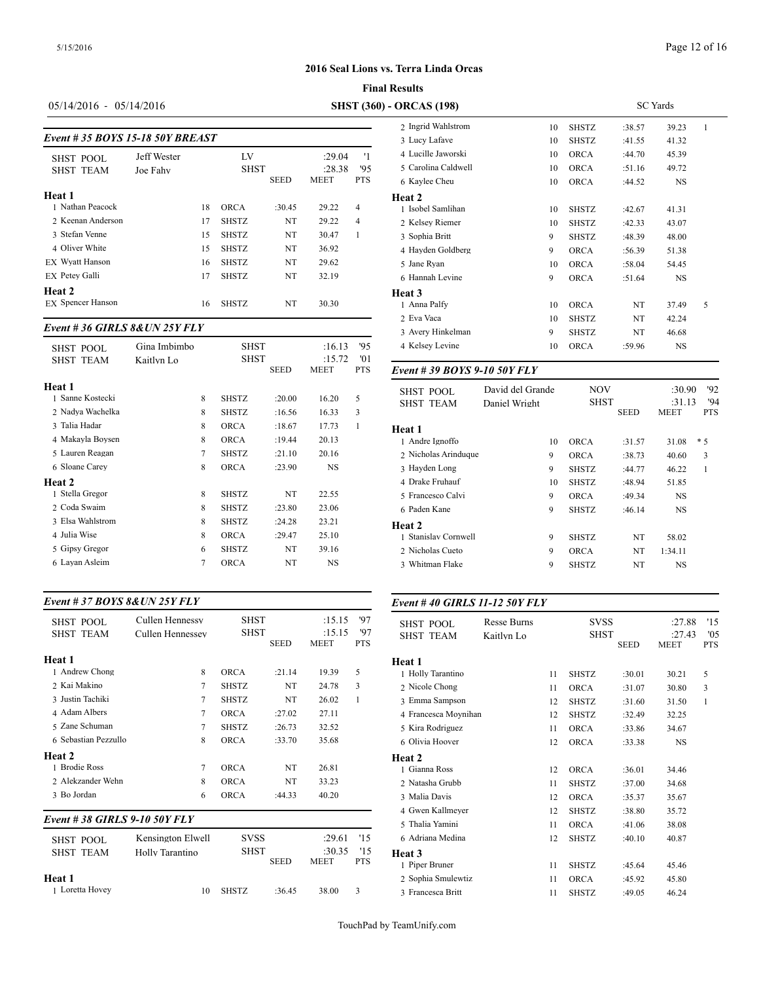### **Final Results**

# 05/14/2016 - 05/14/2016 **SHST (360)** -

|                                 |    |              |             |             |            | 2 Ingrid Wahlstroi |  |  |  |
|---------------------------------|----|--------------|-------------|-------------|------------|--------------------|--|--|--|
| Event #35 BOYS 15-18 50Y BREAST |    |              |             |             |            |                    |  |  |  |
| Jeff Wester                     |    | LV           |             | :29.04      | '1         | 4 Lucille Jaworski |  |  |  |
| Joe Fahv                        |    |              |             | :28.38      | '95        | 5 Carolina Caldwe  |  |  |  |
|                                 |    |              | <b>SEED</b> | <b>MEET</b> | <b>PTS</b> | 6 Kavlee Cheu      |  |  |  |
|                                 |    |              |             |             |            | <b>Heat 2</b>      |  |  |  |
|                                 | 18 | <b>ORCA</b>  | :30.45      | 29.22       | 4          | 1 Isobel Samlihan  |  |  |  |
|                                 | 17 | <b>SHSTZ</b> | NT          | 29.22       | 4          | 2 Kelsev Riemer    |  |  |  |
|                                 | 15 | <b>SHSTZ</b> | NT          | 30.47       | 1          | 3 Sophia Britt     |  |  |  |
|                                 | 15 | <b>SHSTZ</b> | NT          | 36.92       |            | 4 Havden Goldber   |  |  |  |
|                                 | 16 | <b>SHSTZ</b> | NT          | 29.62       |            | 5 Jane Ryan        |  |  |  |
|                                 | 17 | <b>SHSTZ</b> | NT          | 32.19       |            | 6 Hannah Levine    |  |  |  |
|                                 |    |              |             |             |            | Heat 3             |  |  |  |
|                                 | 16 | <b>SHSTZ</b> | NT          | 30.30       |            | 1 Anna Palfy       |  |  |  |
|                                 |    |              |             | <b>SHST</b> |            |                    |  |  |  |

#### *Event # 36 GIRLS 8&UN 25Y FLY*

| <b>SHST POOL</b><br><b>SHST TEAM</b> | Gina Imbimbo<br>Kaitlyn Lo |   | <b>SHST</b><br><b>SHST</b> |             | :16.13<br>:15.72 | 95<br>'01  | 4 Kelsey Levine   |
|--------------------------------------|----------------------------|---|----------------------------|-------------|------------------|------------|-------------------|
|                                      |                            |   |                            | <b>SEED</b> | <b>MEET</b>      | <b>PTS</b> | Event #39 BOY     |
| Heat 1                               |                            |   |                            |             |                  |            | <b>SHST POOL</b>  |
| 1 Sanne Kostecki                     |                            | 8 | <b>SHSTZ</b>               | :20.00      | 16.20            | 5          | <b>SHST TEAM</b>  |
| 2 Nadya Wachelka                     |                            | 8 | <b>SHSTZ</b>               | :16.56      | 16.33            | 3          |                   |
| 3 Talia Hadar                        |                            | 8 | <b>ORCA</b>                | :18.67      | 17.73            | 1          | Heat 1            |
| 4 Makayla Boysen                     |                            | 8 | <b>ORCA</b>                | :19.44      | 20.13            |            | 1 Andre Ignoffo   |
| 5 Lauren Reagan                      |                            | 7 | <b>SHSTZ</b>               | :21.10      | 20.16            |            | 2 Nicholas Arindu |
| 6 Sloane Carev                       |                            | 8 | <b>ORCA</b>                | :23.90      | <b>NS</b>        |            | 3 Hayden Long     |
| Heat 2                               |                            |   |                            |             |                  |            | 4 Drake Fruhauf   |
| 1 Stella Gregor                      |                            | 8 | <b>SHSTZ</b>               | NT          | 22.55            |            | 5 Francesco Calvi |
| 2 Coda Swaim                         |                            | 8 | <b>SHSTZ</b>               | :23.80      | 23.06            |            | 6 Paden Kane      |
| 3 Elsa Wahlstrom                     |                            | 8 | <b>SHSTZ</b>               | :24.28      | 23.21            |            | Heat 2            |
| 4 Julia Wise                         |                            | 8 | <b>ORCA</b>                | :29.47      | 25.10            |            | 1 Stanislav Cornw |
| 5 Gipsy Gregor                       |                            | 6 | <b>SHSTZ</b>               | NT          | 39.16            |            | 2 Nicholas Cueto  |
| 6 Layan Asleim                       |                            | 7 | <b>ORCA</b>                | NT          | <b>NS</b>        |            | 3 Whitman Flake   |
|                                      |                            |   |                            |             |                  |            |                   |

# *Event # 37 BOYS 8&UN 25Y FLY*

| <b>SHST POOL</b><br><b>SHST TEAM</b> | Cullen Hennessy<br>Cullen Hennessey | <b>SHST</b><br>SHST | <b>SEED</b> | :15.15<br>:15.15<br><b>MEET</b> | '97<br>'97<br><b>PTS</b> | <b>SHST POOL</b><br><b>SHST TEAM</b> |
|--------------------------------------|-------------------------------------|---------------------|-------------|---------------------------------|--------------------------|--------------------------------------|
| Heat 1                               |                                     |                     |             |                                 |                          | Heat 1                               |
| 1 Andrew Chong                       | 8                                   | <b>ORCA</b>         | : 21.14     | 19.39                           | 5                        | 1 Holly Tarantino                    |
| 2 Kai Makino                         | 7                                   | <b>SHSTZ</b>        | NT          | 24.78                           | 3                        | 2 Nicole Chong                       |
| 3 Justin Tachiki                     | 7                                   | <b>SHSTZ</b>        | NT          | 26.02                           | 1                        | 3 Emma Sampson                       |
| 4 Adam Albers                        | 7                                   | <b>ORCA</b>         | :27.02      | 27.11                           |                          | 4 Francesca Moyr                     |
| 5 Zane Schuman                       | 7                                   | <b>SHSTZ</b>        | :26.73      | 32.52                           |                          | 5 Kira Rodriguez                     |
| 6 Sebastian Pezzullo                 | 8                                   | <b>ORCA</b>         | :33.70      | 35.68                           |                          | 6 Olivia Hoover                      |
| Heat 2                               |                                     |                     |             |                                 |                          | Heat 2                               |
| 1 Brodie Ross                        | 7                                   | <b>ORCA</b>         | NT          | 26.81                           |                          | 1 Gianna Ross                        |
| 2 Alekzander Wehn                    | 8                                   | <b>ORCA</b>         | NT          | 33.23                           |                          | 2 Natasha Grubb                      |
| 3 Bo Jordan                          | 6                                   | <b>ORCA</b>         | :44.33      | 40.20                           |                          | 3 Malia Davis                        |
|                                      |                                     |                     |             |                                 |                          | 4 Gwen Kallmeye                      |
| Event #38 GIRLS 9-10 50Y FLY         |                                     |                     |             |                                 |                          | 5 Thalia Yamini                      |
| SHST POOL                            | Kensington Elwell                   | <b>SVSS</b>         |             | :29.61                          | '15                      | 6 Adriana Medina                     |
| <b>SHST TEAM</b>                     | Holly Tarantino                     | <b>SHST</b>         | <b>SEED</b> | :30.35<br><b>MEET</b>           | 15<br><b>PTS</b>         | Heat 3<br>1 Piper Bruner             |
| Heat 1                               |                                     |                     |             |                                 |                          | 2 Sophia Smulewt                     |
| 1 Loretta Hovey                      | 10                                  | <b>SHSTZ</b>        | :36.45      | 38.00                           | 3                        | 3 Francesca Rritt                    |

| - ORCAS (198)       |    | <b>SC</b> Yards |         |           |   |  |  |
|---------------------|----|-----------------|---------|-----------|---|--|--|
| 2 Ingrid Wahlstrom  |    | <b>SHSTZ</b>    | :38.57  | 39.23     | 1 |  |  |
| 3 Lucy Lafave       | 10 | <b>SHSTZ</b>    | :41.55  | 41.32     |   |  |  |
| 4 Lucille Jaworski  | 10 | <b>ORCA</b>     | :44.70  | 45.39     |   |  |  |
| 5 Carolina Caldwell | 10 | <b>ORCA</b>     | : 51.16 | 49.72     |   |  |  |
| 6 Kaylee Cheu       | 10 | <b>ORCA</b>     | :44.52  | NS        |   |  |  |
| Heat 2              |    |                 |         |           |   |  |  |
| 1 Isobel Samlihan   | 10 | <b>SHSTZ</b>    | :42.67  | 41.31     |   |  |  |
| 2 Kelsey Riemer     | 10 | <b>SHSTZ</b>    | :42.33  | 43.07     |   |  |  |
| 3 Sophia Britt      | 9  | <b>SHSTZ</b>    | :48.39  | 48.00     |   |  |  |
| 4 Hayden Goldberg   | 9  | <b>ORCA</b>     | :56.39  | 51.38     |   |  |  |
| 5 Jane Ryan         | 10 | <b>ORCA</b>     | :58.04  | 54.45     |   |  |  |
| 6 Hannah Levine     | 9  | <b>ORCA</b>     | :51.64  | <b>NS</b> |   |  |  |
| Heat 3              |    |                 |         |           |   |  |  |
| 1 Anna Palfy        | 10 | <b>ORCA</b>     | NT      | 37.49     | 5 |  |  |
| 2 Eva Vaca          | 10 | <b>SHSTZ</b>    | NT      | 42.24     |   |  |  |
| 3 Avery Hinkelman   | 9  | <b>SHSTZ</b>    | NT      | 46.68     |   |  |  |
| 4 Kelsey Levine     | 10 | <b>ORCA</b>     | :59.96  | NS        |   |  |  |

# SHST\_POOL David del Grande NOV :30.90 '92<br>SHST\_TEAM Daniel Wright SHST :31.13 '94 Daniel Wright SHST :31.13 '94<br>SEED MEET PTS  $MEET$ **Heat 1** 1 Andre Ignoffo 10 ORCA :31.57 31.08 \* 5 2 Nicholas Arinduque 9 ORCA :38.73 40.60 3 3 Hayden Long 9 SHSTZ :44.77 46.22 1 4 Drake Fruhauf 10 SHSTZ :48.94 51.85 5 Francesco Calvi 9 ORCA :49.34 NS 6 Paden Kane 9 SHSTZ :46.14 NS **Heat 2** 1 Stanislav Cornwell 9 SHSTZ NT 58.02 2 Nicholas Cueto 9 ORCA NT 1:34.11 3 Whitman Flake 9 SHSTZ NT NS

# *Event # 40 GIRLS 11-12 50Y FLY*

| <b>SHST POOL</b>     | Resse Burns |    | <b>SVSS</b>  | :27.88      | '15         |            |
|----------------------|-------------|----|--------------|-------------|-------------|------------|
| <b>SHST TEAM</b>     | Kaitlyn Lo  |    | <b>SHST</b>  |             | :27.43      | '05        |
|                      |             |    |              | <b>SEED</b> | <b>MEET</b> | <b>PTS</b> |
| Heat 1               |             |    |              |             |             |            |
| 1 Holly Tarantino    |             | 11 | <b>SHSTZ</b> | :30.01      | 30.21       | 5          |
| 2 Nicole Chong       |             | 11 | <b>ORCA</b>  | :31.07      | 30.80       | 3          |
| 3 Emma Sampson       |             | 12 | <b>SHSTZ</b> | :31.60      | 31.50       | 1          |
| 4 Francesca Moynihan |             | 12 | <b>SHSTZ</b> | :32.49      | 32.25       |            |
| 5 Kira Rodriguez     |             | 11 | <b>ORCA</b>  | :33.86      | 34.67       |            |
| 6 Olivia Hoover      |             | 12 | <b>ORCA</b>  | :33.38      | <b>NS</b>   |            |
| Heat 2               |             |    |              |             |             |            |
| 1 Gianna Ross        |             | 12 | <b>ORCA</b>  | :36.01      | 34.46       |            |
| 2 Natasha Grubb      |             | 11 | <b>SHSTZ</b> | :37.00      | 34.68       |            |
| 3 Malia Davis        |             | 12 | <b>ORCA</b>  | :35.37      | 35.67       |            |
| 4 Gwen Kallmeyer     |             | 12 | <b>SHSTZ</b> | :38.80      | 35.72       |            |
| 5 Thalia Yamini      |             | 11 | <b>ORCA</b>  | :41.06      | 38.08       |            |
| 6 Adriana Medina     |             | 12 | <b>SHSTZ</b> | :40.10      | 40.87       |            |
| Heat 3               |             |    |              |             |             |            |
| 1 Piper Bruner       |             | 11 | <b>SHSTZ</b> | :45.64      | 45.46       |            |
| 2 Sophia Smulewtiz   |             | 11 | <b>ORCA</b>  | :45.92      | 45.80       |            |
| 3 Francesca Britt    |             | 11 | <b>SHSTZ</b> | :49.05      | 46.24       |            |
|                      |             |    |              |             |             |            |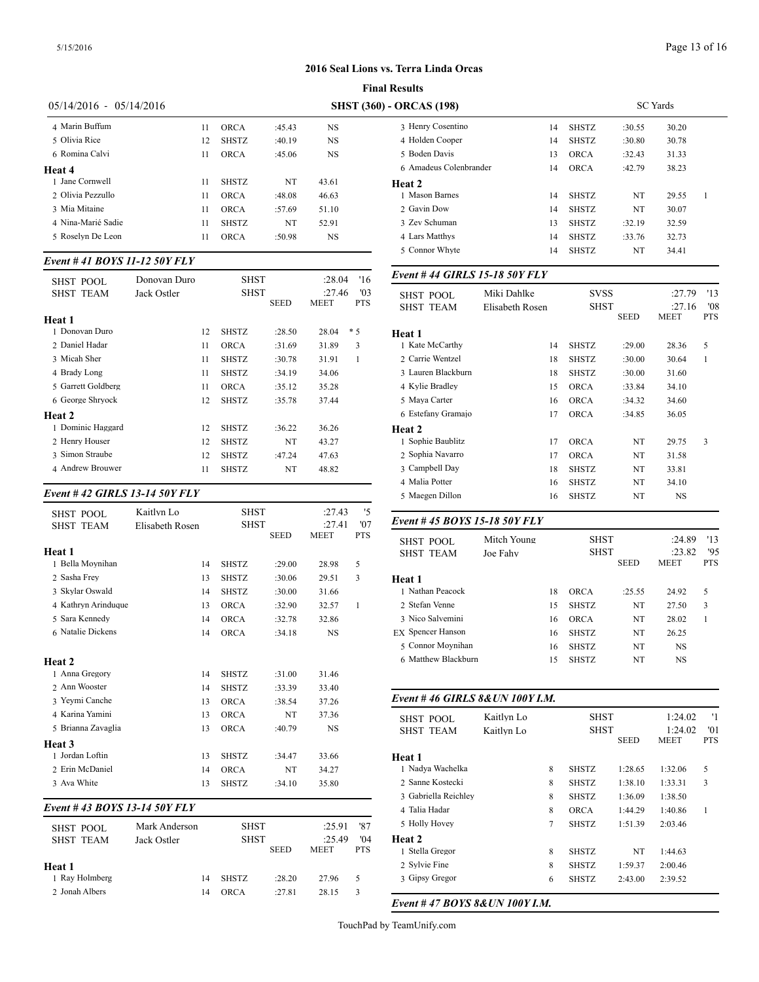|                           |    |              |        |           | <b>Final Results</b>      |
|---------------------------|----|--------------|--------|-----------|---------------------------|
| $05/14/2016 - 05/14/2016$ |    |              |        |           | <b>SHST (360) - ORCAS</b> |
| 4 Marin Buffum            | 11 | ORCA         | :45.43 | NS        | 3 Henry                   |
| 5 Olivia Rice             | 12 | <b>SHSTZ</b> | :40.19 | <b>NS</b> | 4 Holder                  |
| 6 Romina Calvi            | 11 | <b>ORCA</b>  | :45.06 | <b>NS</b> | 5 Boden                   |
| Heat 4                    |    |              |        |           | 6 Amad                    |
| 1 Jane Cornwell           | 11 | <b>SHSTZ</b> | NT     | 43.61     | Heat 2                    |
| 2 Olivia Pezzullo         | 11 | <b>ORCA</b>  | :48.08 | 46.63     | 1 Masor                   |
| 3 Mia Mitaine             | 11 | <b>ORCA</b>  | :57.69 | 51.10     | 2 Gavin                   |
| 4 Nina-Marié Sadie        | 11 | <b>SHSTZ</b> | NT     | 52.91     | 3 Zev So                  |
| 5 Roselyn De Leon         | 11 | ORCA         | :50.98 | <b>NS</b> | 4 Lars N                  |
|                           |    |              |        |           |                           |

# *Event # 41 BOYS 11-12 50Y FLY*

| <b>SHST POOL</b>   | Donovan Duro |    | <b>SHST</b>  |             | :28.04                | '16               | Event #44 GIRI                       |
|--------------------|--------------|----|--------------|-------------|-----------------------|-------------------|--------------------------------------|
| <b>SHST TEAM</b>   | Jack Ostler  |    | SHST         | <b>SEED</b> | :27.46<br><b>MEET</b> | '03<br><b>PTS</b> | <b>SHST POOL</b><br><b>SHST TEAM</b> |
| Heat 1             |              |    |              |             |                       |                   |                                      |
| 1 Donovan Duro     |              | 12 | <b>SHSTZ</b> | :28.50      | 28.04                 | $*5$              | Heat 1                               |
| 2 Daniel Hadar     |              | 11 | <b>ORCA</b>  | :31.69      | 31.89                 | 3                 | 1 Kate McCarthy                      |
| 3 Micah Sher       |              | 11 | <b>SHSTZ</b> | :30.78      | 31.91                 | 1                 | 2 Carrie Wentzel                     |
| 4 Brady Long       |              | 11 | <b>SHSTZ</b> | :34.19      | 34.06                 |                   | 3 Lauren Blackbu                     |
| 5 Garrett Goldberg |              | 11 | <b>ORCA</b>  | :35.12      | 35.28                 |                   | 4 Kylie Bradley                      |
| 6 George Shryock   |              | 12 | <b>SHSTZ</b> | :35.78      | 37.44                 |                   | 5 Maya Carter                        |
| Heat 2             |              |    |              |             |                       |                   | 6 Estefany Grama                     |
| 1 Dominic Haggard  |              | 12 | <b>SHSTZ</b> | :36.22      | 36.26                 |                   | <b>Heat 2</b>                        |
| 2 Henry Houser     |              | 12 | <b>SHSTZ</b> | NT          | 43.27                 |                   | 1 Sophie Baublitz                    |
| 3 Simon Straube    |              | 12 | <b>SHSTZ</b> | :47.24      | 47.63                 |                   | 2 Sophia Navarro                     |
| 4 Andrew Brouwer   |              | 11 | <b>SHSTZ</b> | NT          | 48.82                 |                   | 3 Campbell Day                       |
|                    |              |    |              |             |                       |                   |                                      |

#### *Event # 42 GIRLS 13-14 50Y FLY*

| SHST POOL                  | Kaitlyn Lo      | <b>SHST</b>  |             | :27.43      | '5         |                          |
|----------------------------|-----------------|--------------|-------------|-------------|------------|--------------------------|
| <b>SHST TEAM</b>           | Elisabeth Rosen | <b>SHST</b>  |             | :27.41      | '07        | Event #45 BOY            |
|                            |                 |              | <b>SEED</b> | <b>MEET</b> | <b>PTS</b> | <b>SHST POOL</b>         |
| Heat 1<br>1 Bella Moynihan | 14              | <b>SHSTZ</b> | :29.00      | 28.98       | 5          | <b>SHST TEAM</b>         |
| 2 Sasha Frey               | 13              | <b>SHSTZ</b> | :30.06      | 29.51       | 3          | Heat 1                   |
| 3 Skylar Oswald            | 14              | <b>SHSTZ</b> | :30.00      | 31.66       |            | 1 Nathan Peacock         |
| 4 Kathryn Arinduque        | 13              | <b>ORCA</b>  | :32.90      | 32.57       | 1          | 2 Stefan Venne           |
| 5 Sara Kennedy             | 14              | <b>ORCA</b>  | :32.78      | 32.86       |            | 3 Nico Salvemini         |
| 6 Natalie Dickens          | 14              | <b>ORCA</b>  | :34.18      | <b>NS</b>   |            | <b>EX</b> Spencer Hanson |
|                            |                 |              |             |             |            | 5 Connor Moynih          |
| Heat 2                     |                 |              |             |             |            | 6 Matthew Blackb         |
| 1 Anna Gregory             | 14              | <b>SHSTZ</b> | :31.00      | 31.46       |            |                          |
| 2 Ann Wooster              | 14              | <b>SHSTZ</b> | :33.39      | 33.40       |            |                          |
| 3 Yeymi Canche             | 13              | <b>ORCA</b>  | :38.54      | 37.26       |            | Event #46 GIRI           |
| 4 Karina Yamini            | 13              | <b>ORCA</b>  | <b>NT</b>   | 37.36       |            | <b>SHST POOL</b>         |
| 5 Brianna Zavaglia         | 13              | <b>ORCA</b>  | :40.79      | <b>NS</b>   |            | <b>SHST TEAM</b>         |
| Heat 3                     |                 |              |             |             |            |                          |
| 1 Jordan Loftin            | 13              | <b>SHSTZ</b> | :34.47      | 33.66       |            | Heat 1                   |
| 2 Erin McDaniel            | 14              | <b>ORCA</b>  | NT          | 34.27       |            | 1 Nadya Wachelka         |
| 3 Ava White                | 13              | <b>SHSTZ</b> | :34.10      | 35.80       |            | 2 Sanne Kostecki         |
|                            |                 |              |             |             |            | 0.1.11 B.11              |

#### *Event # 43 BOYS 13-14 50Y FLY*

| SHST POOL        | Mark Anderson | <b>SHST</b>  |             | :25.91                | '87               | 5 Holly Hovey                    |
|------------------|---------------|--------------|-------------|-----------------------|-------------------|----------------------------------|
| <b>SHST TEAM</b> | Jack Ostler   | <b>SHST</b>  | <b>SEED</b> | :25.49<br><b>MEET</b> | '04<br><b>PTS</b> | <b>Heat 2</b><br>1 Stella Gregor |
| Heat 1           |               |              |             |                       |                   | 2 Sylvie Fine                    |
| 1 Rav Holmberg   | 14            | <b>SHSTZ</b> | :28.20      | 27.96                 | 5                 | 3 Gipsy Gregor                   |
| 2 Jonah Albers   | 14            | ORCA         | :27.81      | 28.15                 | 3                 |                                  |

|                                                                   |                 |              |             | <b>SC</b> Yards        |                   |
|-------------------------------------------------------------------|-----------------|--------------|-------------|------------------------|-------------------|
| 3 Henry Cosentino                                                 | 14              | <b>SHSTZ</b> | :30.55      | 30.20                  |                   |
| 4 Holden Cooper                                                   | 14              | <b>SHSTZ</b> | :30.80      | 30.78                  |                   |
| 5 Boden Davis                                                     | 13              | <b>ORCA</b>  | :32.43      | 31.33                  |                   |
| 6 Amadeus Colenbrander                                            | 14              | <b>ORCA</b>  | :42.79      | 38.23                  |                   |
| <b>Heat 2</b>                                                     |                 |              |             |                        |                   |
| 1 Mason Barnes                                                    | 14              | <b>SHSTZ</b> | NT          | 29.55                  | 1                 |
| 2 Gavin Dow                                                       | 14              | <b>SHSTZ</b> | NT          | 30.07                  |                   |
| 3 Zev Schuman                                                     | 13              | SHSTZ        | :32.19      | 32.59                  |                   |
| 4 Lars Matthys                                                    | 14              | <b>SHSTZ</b> | :33.76      | 32.73                  |                   |
| 5 Connor Whyte                                                    | 14              | SHSTZ        | NT          | 34.41                  |                   |
| Event #44 GIRLS 15-18 50Y FLY                                     |                 |              |             |                        |                   |
| <b>SHST POOL</b>                                                  | Miki Dahlke     | <b>SVSS</b>  |             | :27.79                 | '13               |
| <b>SHST TEAM</b>                                                  | Elisabeth Rosen | SHST         |             | :27.16                 | '08               |
|                                                                   |                 |              | <b>SEED</b> | MEET                   | <b>PTS</b>        |
| Heat 1                                                            |                 |              |             |                        |                   |
| 1 Kate McCarthy                                                   | 14              | <b>SHSTZ</b> | :29.00      | 28.36                  | 5                 |
| 2 Carrie Wentzel                                                  | 18              | <b>SHSTZ</b> | :30.00      | 30.64                  | 1                 |
| 3 Lauren Blackburn                                                | 18              | <b>SHSTZ</b> | :30.00      | 31.60                  |                   |
| 4 Kylie Bradley                                                   | 15              | <b>ORCA</b>  | :33.84      | 34.10                  |                   |
| 5 Maya Carter                                                     | 16              | <b>ORCA</b>  | :34.32      | 34.60                  |                   |
| 6 Estefany Gramajo                                                | 17              | <b>ORCA</b>  | :34.85      | 36.05                  |                   |
| Heat 2                                                            |                 |              |             |                        |                   |
| 1 Sophie Baublitz                                                 | 17              | <b>ORCA</b>  | NT          | 29.75                  | 3                 |
| 2 Sophia Navarro                                                  | 17              | <b>ORCA</b>  | NT          | 31.58                  |                   |
| 3 Campbell Day                                                    | 18              | <b>SHSTZ</b> | NT          | 33.81                  |                   |
| 4 Malia Potter                                                    | 16              | <b>SHSTZ</b> | NT          | 34.10                  |                   |
| 5 Maegen Dillon                                                   | 16              | SHSTZ        | NT          | NS                     |                   |
|                                                                   |                 |              |             |                        |                   |
|                                                                   |                 |              |             |                        |                   |
| Event #45 BOYS 15-18 50Y FLY                                      | Mitch Young     | SHST         |             | :24.89                 | '13               |
| <b>SHST POOL</b><br><b>SHST TEAM</b>                              | Joe Fahy        | <b>SHST</b>  |             | :23.82                 | '95               |
|                                                                   |                 |              | <b>SEED</b> | MEET                   | <b>PTS</b>        |
|                                                                   |                 |              |             |                        |                   |
| 1 Nathan Peacock                                                  | 18              | <b>ORCA</b>  | :25.55      | 24.92                  | 5                 |
| 2 Stefan Venne                                                    | 15              | <b>SHSTZ</b> | NT          | 27.50                  | 3                 |
| 3 Nico Salvemini                                                  | 16              | <b>ORCA</b>  | NT          | 28.02                  | $\mathbf{1}$      |
| Heat 1<br><b>EX</b> Spencer Hanson                                | 16              | <b>SHSTZ</b> | NT          | 26.25                  |                   |
| 5 Connor Moynihan                                                 | 16              | <b>SHSTZ</b> | NT          | NS                     |                   |
| 6 Matthew Blackburn                                               | 15              | SHSTZ        | NT          | NS                     |                   |
|                                                                   |                 |              |             |                        |                   |
|                                                                   |                 |              |             |                        |                   |
| SHST POOL                                                         | Kaitlyn Lo      | <b>SHST</b>  |             | 1:24.02                | '1                |
| <b>SHST TEAM</b>                                                  | Kaitlyn Lo      | <b>SHST</b>  | <b>SEED</b> | 1:24.02<br><b>MEET</b> | '01<br><b>PTS</b> |
|                                                                   |                 |              |             |                        |                   |
| 1 Nadya Wachelka                                                  | 8               | <b>SHSTZ</b> | 1:28.65     | 1:32.06                | 5                 |
| 2 Sanne Kostecki                                                  | 8               | <b>SHSTZ</b> | 1:38.10     | 1:33.31                | 3                 |
| Event #46 GIRLS 8& UN 100Y I.M.<br>Heat 1<br>3 Gabriella Reichley | 8               | <b>SHSTZ</b> | 1:36.09     | 1:38.50                |                   |
| 4 Talia Hadar                                                     | 8               | <b>ORCA</b>  | 1:44.29     | 1:40.86                | $\mathbf{1}$      |
| 5 Holly Hovey                                                     | 7               | <b>SHSTZ</b> | 1:51.39     | 2:03.46                |                   |
| Heat 2                                                            |                 |              |             |                        |                   |
| 1 Stella Gregor                                                   | 8               | SHSTZ        | NT          | 1:44.63                |                   |
| 2 Sylvie Fine                                                     | 8               | SHSTZ        | 1:59.37     | 2:00.46                |                   |

#### *Event # 47 BOYS 8&UN 100Y I.M.*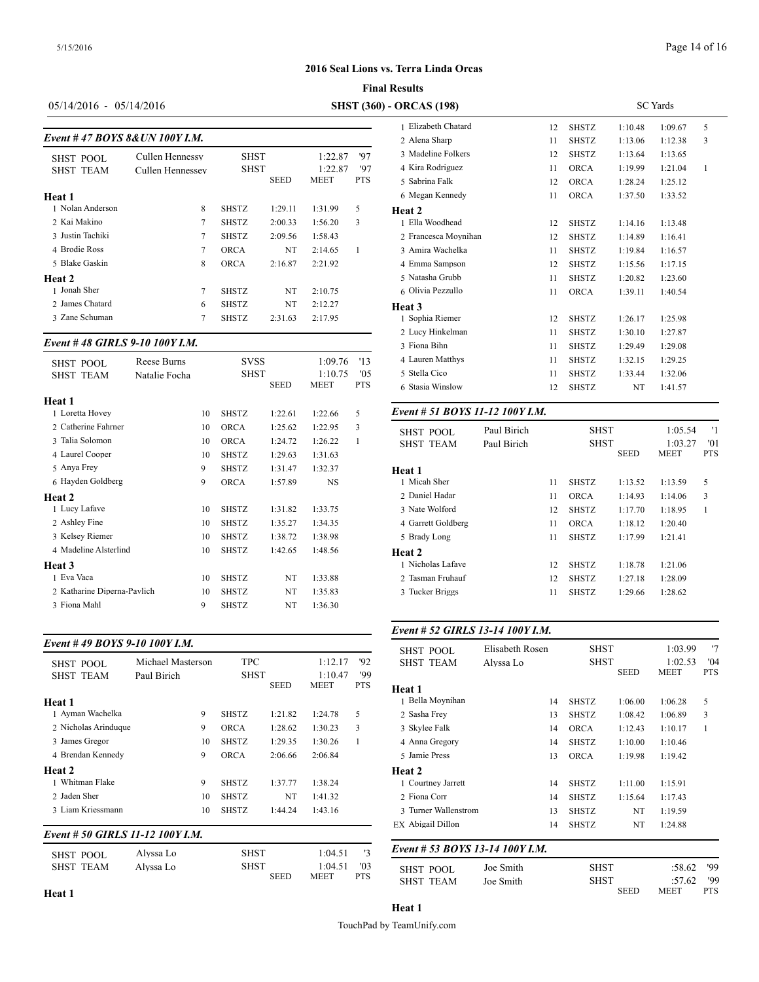#### **Final Results**

# 05/14/2016 - 05/14/2016 **SHST (360)** -

|                                |                  |              |             |             |     | 1 Elizabeth Chatai |
|--------------------------------|------------------|--------------|-------------|-------------|-----|--------------------|
| Event #47 BOYS 8& UN 100Y I.M. |                  |              |             |             |     | 2 Alena Sharp      |
| SHST POOL                      | Cullen Hennessy  | <b>SHST</b>  |             | 1:22.87     | '97 | 3 Madeline Folker  |
| <b>SHST TEAM</b>               | Cullen Hennessev | <b>SHST</b>  |             | 1:22.87     | '97 | 4 Kira Rodriguez   |
|                                |                  |              | <b>SEED</b> | <b>MEET</b> | PTS | 5 Sabrina Falk     |
| Heat 1                         |                  |              |             |             |     | 6 Megan Kennedy    |
| 1 Nolan Anderson               | 8                | <b>SHSTZ</b> | 1:29.11     | 1:31.99     | 5   | Heat 2             |
| 2 Kai Makino                   | 7                | <b>SHSTZ</b> | 2:00.33     | 1:56.20     | 3   | 1 Ella Woodhead    |
| 3 Justin Tachiki               | 7                | <b>SHSTZ</b> | 2:09.56     | 1:58.43     |     | 2 Francesca Moyr   |
| 4 Brodie Ross                  | 7                | <b>ORCA</b>  | NT          | 2:14.65     | 1   | 3 Amira Wachelka   |
| 5 Blake Gaskin                 | 8                | <b>ORCA</b>  | 2:16.87     | 2:21.92     |     | 4 Emma Sampson     |
| Heat 2                         |                  |              |             |             |     | 5 Natasha Grubb    |
| 1 Jonah Sher                   | 7                | <b>SHSTZ</b> | NT          | 2:10.75     |     | 6 Olivia Pezzullo  |
| 2 James Chatard                | 6                | <b>SHSTZ</b> | NT          | 2:12.27     |     | Heat 3             |
| 3 Zane Schuman                 | 7                | <b>SHSTZ</b> | 2:31.63     | 2:17.95     |     | 1 Sophia Riemer    |

### *Event # 48 GIRLS 9-10 100Y I.M.*

|                             |               |    |              |             |             |            | 3 Fiona Bihn                    |             | 11 | SHSTZ        |
|-----------------------------|---------------|----|--------------|-------------|-------------|------------|---------------------------------|-------------|----|--------------|
| <b>SHST POOL</b>            | Reese Burns   |    | <b>SVSS</b>  |             | 1:09.76     | '13        | 4 Lauren Matthys                |             | 11 | <b>SHSTZ</b> |
| <b>SHST TEAM</b>            | Natalie Focha |    | <b>SHST</b>  |             | 1:10.75     | '05        | 5 Stella Cico                   |             | 11 | <b>SHSTZ</b> |
|                             |               |    |              | <b>SEED</b> | <b>MEET</b> | <b>PTS</b> | 6 Stasia Winslow                |             | 12 | <b>SHSTZ</b> |
| Heat 1                      |               |    |              |             |             |            |                                 |             |    |              |
| 1 Loretta Hovey             |               | 10 | <b>SHSTZ</b> | 1:22.61     | 1:22.66     | 5          | Event # 51 BOYS 11-12 100Y I.M. |             |    |              |
| 2. Catherine Fahrner        |               | 10 | <b>ORCA</b>  | 1:25.62     | 1:22.95     | 3          | <b>SHST POOL</b>                | Paul Birich |    | <b>SF</b>    |
| 3 Talia Solomon             |               | 10 | <b>ORCA</b>  | 1:24.72     | 1:26.22     | 1          | <b>SHST TEAM</b>                | Paul Birich |    | <b>SF</b>    |
| 4 Laurel Cooper             |               | 10 | <b>SHSTZ</b> | 1:29.63     | 1:31.63     |            |                                 |             |    |              |
| 5 Anya Frey                 |               | 9  | <b>SHSTZ</b> | 1:31.47     | 1:32.37     |            | Heat 1                          |             |    |              |
| 6 Hayden Goldberg           |               | 9  | <b>ORCA</b>  | 1:57.89     | <b>NS</b>   |            | 1 Micah Sher                    |             | 11 | <b>SHSTZ</b> |
| Heat 2                      |               |    |              |             |             |            | 2 Daniel Hadar                  |             | 11 | <b>ORCA</b>  |
| 1 Lucy Lafave               |               | 10 | <b>SHSTZ</b> | 1:31.82     | 1:33.75     |            | 3 Nate Wolford                  |             | 12 | <b>SHSTZ</b> |
| 2 Ashley Fine               |               | 10 | <b>SHSTZ</b> | 1:35.27     | 1:34.35     |            | 4 Garrett Goldberg              |             | 11 | <b>ORCA</b>  |
| 3 Kelsey Riemer             |               | 10 | <b>SHSTZ</b> | 1:38.72     | 1:38.98     |            | 5 Brady Long                    |             | 11 | <b>SHSTZ</b> |
| 4 Madeline Alsterlind       |               | 10 | <b>SHSTZ</b> | 1:42.65     | 1:48.56     |            | Heat 2                          |             |    |              |
| Heat 3                      |               |    |              |             |             |            | 1 Nicholas Lafave               |             | 12 | <b>SHSTZ</b> |
| 1 Eva Vaca                  |               | 10 | <b>SHSTZ</b> | NT          | 1:33.88     |            | 2 Tasman Fruhauf                |             | 12 | <b>SHSTZ</b> |
| 2 Katharine Diperna-Pavlich |               | 10 | <b>SHSTZ</b> | NT          | 1:35.83     |            | 3 Tucker Briggs                 |             | 11 | <b>SHSTZ</b> |
| 3 Fiona Mahl                |               | 9  | <b>SHSTZ</b> | NT          | 1:36.30     |            |                                 |             |    |              |
|                             |               |    |              |             |             |            |                                 |             |    |              |

# *Event # 49 BOYS 9-10 100Y I.M.*

| <b>SHST POOL</b>                 | Michael Masterson | <b>TPC</b>   |             | 1:12.17 | 92            | anai ruul<br><b>SHST TEAM</b> |
|----------------------------------|-------------------|--------------|-------------|---------|---------------|-------------------------------|
| <b>SHST TEAM</b>                 | Paul Birich       | <b>SHST</b>  |             | 1:10.47 | '99           |                               |
|                                  |                   |              | <b>SEED</b> | MEET    | <b>PTS</b>    | Heat 1                        |
| Heat 1                           |                   |              |             |         |               | 1 Bella Moynihan              |
| 1 Ayman Wachelka                 | 9                 | <b>SHSTZ</b> | 1:21.82     | 1:24.78 | 5             | 2 Sasha Frey                  |
| 2 Nicholas Arinduque             | 9                 | <b>ORCA</b>  | 1:28.62     | 1:30.23 | 3             | 3 Skylee Falk                 |
| 3 James Gregor                   | 10                | <b>SHSTZ</b> | 1:29.35     | 1:30.26 | 1             | 4 Anna Gregory                |
| 4 Brendan Kennedy                | 9                 | <b>ORCA</b>  | 2:06.66     | 2:06.84 |               | 5 Jamie Press                 |
| <b>Heat 2</b>                    |                   |              |             |         |               | Heat 2                        |
| 1 Whitman Flake                  | 9                 | <b>SHSTZ</b> | 1:37.77     | 1:38.24 |               | 1 Courtney Jarrett            |
| 2 Jaden Sher                     | 10                | <b>SHSTZ</b> | NT          | 1:41.32 |               | 2 Fiona Corr                  |
| 3 Liam Kriessmann                | 10                | <b>SHSTZ</b> | 1:44.24     | 1:43.16 |               | 3 Turner Wallenst             |
| Event # 50 GIRLS 11-12 100Y I.M. |                   |              |             |         |               | EX Abigail Dillon             |
|                                  |                   |              |             |         |               | Event # 53 BOY                |
| CUCT DOOL                        | Alvssa Lo         | <b>SHST</b>  |             | 1.04.51 | $\mathbf{12}$ |                               |

| SHST POOL        | Alvssa Lo | SHST                       | 1:04.51         |                              | Event # 53 BOY                |
|------------------|-----------|----------------------------|-----------------|------------------------------|-------------------------------|
| <b>SHST TEAM</b> | Alvssa Lo | <b>SHST</b><br><b>SEED</b> | 1:04.51<br>MEET | $^{\prime}$ 03<br><b>PTS</b> | SHST POOL<br><b>SHST TEAM</b> |

| <b>ORCAS</b> (198)   | <b>SC</b> Yards |              |         |         |   |  |
|----------------------|-----------------|--------------|---------|---------|---|--|
| 1 Elizabeth Chatard  | 12              | <b>SHSTZ</b> | 1:10.48 | 1:09.67 | 5 |  |
| 2 Alena Sharp        | 11              | <b>SHSTZ</b> | 1:13.06 | 1:12.38 | 3 |  |
| 3 Madeline Folkers   | 12              | <b>SHSTZ</b> | 1:13.64 | 1:13.65 |   |  |
| 4 Kira Rodriguez     | 11              | <b>ORCA</b>  | 1:19.99 | 1:21.04 | 1 |  |
| 5 Sabrina Falk       | 12              | <b>ORCA</b>  | 1:28.24 | 1:25.12 |   |  |
| 6 Megan Kennedy      | 11              | <b>ORCA</b>  | 1:37.50 | 1:33.52 |   |  |
| <b>Heat 2</b>        |                 |              |         |         |   |  |
| 1 Ella Woodhead      | 12              | <b>SHSTZ</b> | 1:14.16 | 1:13.48 |   |  |
| 2 Francesca Moynihan | 12              | <b>SHSTZ</b> | 1:14.89 | 1:16.41 |   |  |
| 3 Amira Wachelka     | 11              | <b>SHSTZ</b> | 1:19.84 | 1:16.57 |   |  |
| 4 Emma Sampson       | 12              | <b>SHSTZ</b> | 1:15.56 | 1:17.15 |   |  |
| 5 Natasha Grubb      | 11              | <b>SHSTZ</b> | 1:20.82 | 1:23.60 |   |  |
| 6 Olivia Pezzullo    | 11              | <b>ORCA</b>  | 1:39.11 | 1:40.54 |   |  |
| Heat 3               |                 |              |         |         |   |  |
| 1 Sophia Riemer      | 12              | <b>SHSTZ</b> | 1:26.17 | 1:25.98 |   |  |
| 2 Lucy Hinkelman     | 11              | <b>SHSTZ</b> | 1:30.10 | 1:27.87 |   |  |
| 3 Fiona Bihn         | 11              | <b>SHSTZ</b> | 1:29.49 | 1:29.08 |   |  |
| 4 Lauren Matthys     | 11              | <b>SHSTZ</b> | 1:32.15 | 1:29.25 |   |  |
| 5 Stella Cico        | 11              | <b>SHSTZ</b> | 1:33.44 | 1:32.06 |   |  |
| 6 Stasia Winslow     | 12              | <b>SHSTZ</b> | NT      | 1:41.57 |   |  |
|                      |                 |              |         |         |   |  |

| Paul Birich<br><b>SHST POOL</b><br><b>SHST TEAM</b><br>Paul Birich |  |    | <b>SHST</b><br><b>SHST</b> | <b>SEED</b> | 1:05.54<br>1:03.27<br><b>MEET</b> | .'1<br>'01<br><b>PTS</b> |
|--------------------------------------------------------------------|--|----|----------------------------|-------------|-----------------------------------|--------------------------|
| Heat 1                                                             |  |    |                            |             |                                   |                          |
| 1 Micah Sher                                                       |  | 11 | <b>SHSTZ</b>               | 1:13.52     | 1:13.59                           | 5                        |
| 2 Daniel Hadar                                                     |  | 11 | <b>ORCA</b>                | 1:14.93     | 1:14.06                           | 3                        |
| 3 Nate Wolford                                                     |  | 12 | <b>SHSTZ</b>               | 1:17.70     | 1:18.95                           | 1                        |
| 4 Garrett Goldberg                                                 |  | 11 | <b>ORCA</b>                | 1:18.12     | 1:20.40                           |                          |
| 5 Brady Long                                                       |  | 11 | <b>SHSTZ</b>               | 1:17.99     | 1:21.41                           |                          |
| <b>Heat 2</b>                                                      |  |    |                            |             |                                   |                          |
| 1 Nicholas Lafave                                                  |  | 12 | <b>SHSTZ</b>               | 1:18.78     | 1:21.06                           |                          |
| 2 Tasman Fruhauf                                                   |  | 12 | <b>SHSTZ</b>               | 1:27.18     | 1:28.09                           |                          |
| 3 Tucker Briggs                                                    |  | 11 | <b>SHSTZ</b>               | 1:29.66     | 1:28.62                           |                          |
|                                                                    |  |    |                            |             |                                   |                          |

# *Event # 52 GIRLS 13-14 100Y I.M.*

| <b>SHST POOL</b>                | Elisabeth Rosen |              | <b>SHST</b> |                        | '7                |
|---------------------------------|-----------------|--------------|-------------|------------------------|-------------------|
| <b>SHST TEAM</b>                | Alvssa Lo       | <b>SHST</b>  | <b>SEED</b> | 1:02.53<br><b>MEET</b> | 04'<br><b>PTS</b> |
| Heat 1                          |                 |              |             |                        |                   |
| 1 Bella Moynihan                | 14              | <b>SHSTZ</b> | 1:06.00     | 1:06.28                | 5                 |
| 2 Sasha Frey                    | 13              | <b>SHSTZ</b> | 1:08.42     | 1:06.89                | 3                 |
| 3 Skylee Falk                   | 14              | <b>ORCA</b>  | 1:12.43     | 1:10.17                | 1                 |
| 4 Anna Gregory                  | 14              | <b>SHSTZ</b> | 1:10.00     | 1:10.46                |                   |
| 5 Jamie Press                   | 13              | <b>ORCA</b>  | 1:19.98     | 1:19.42                |                   |
| Heat 2                          |                 |              |             |                        |                   |
| 1 Courtney Jarrett              | 14              | <b>SHSTZ</b> | 1:11.00     | 1:15.91                |                   |
| 2 Fiona Corr                    | 14              | <b>SHSTZ</b> | 1:15.64     | 1:17.43                |                   |
| 3 Turner Wallenstrom            | 13              | <b>SHSTZ</b> | NT          | 1:19.59                |                   |
| EX Abigail Dillon               | 14              | <b>SHSTZ</b> | NT          | 1:24.88                |                   |
| Event # 53 BOYS 13-14 100Y I.M. |                 |              |             |                        |                   |
| <b>SHST POOL</b>                | Joe Smith       | SHST         |             | :58.62                 | '99               |
| <b>SHST TEAM</b>                | Joe Smith       |              | <b>SHST</b> |                        | '99               |
|                                 |                 |              | <b>SEED</b> | MEET                   | <b>PTS</b>        |

# Page 14 of 16

TouchPad by TeamUnify.com

**Heat 1**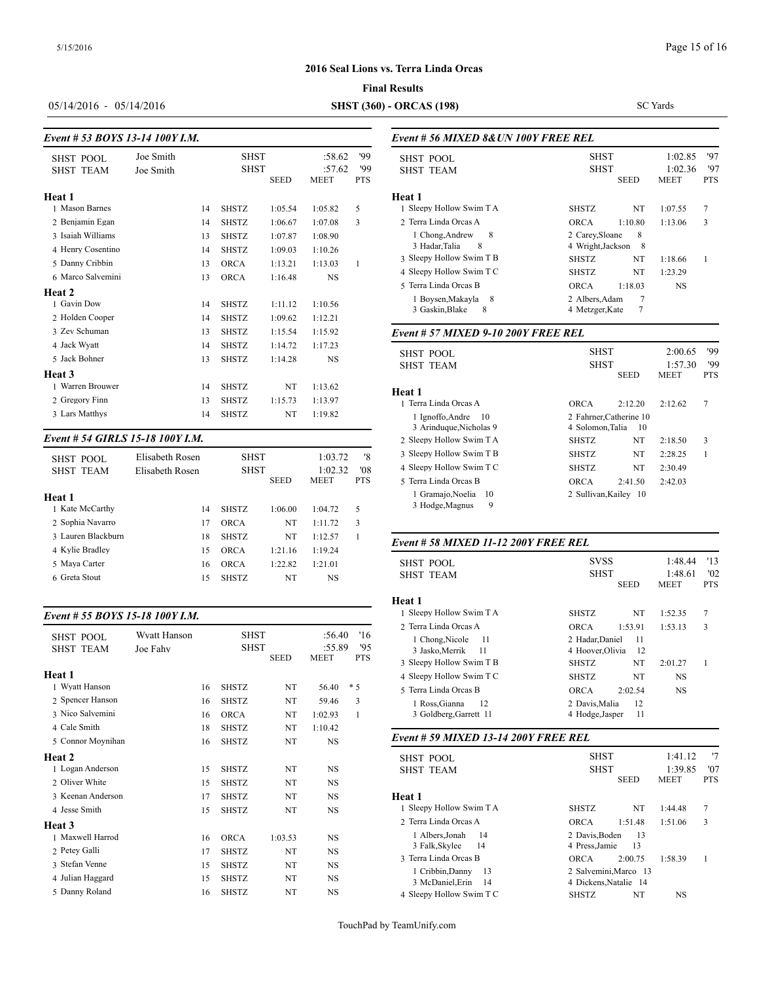### **Final Results**

05/14/2016 - 05/14/2016 **SHST (360) - ORCAS (198)**

SC Yards

| Event # 53 BOYS 13-14 100Y I.M.                                                                          |                        |                            |                                                                             |                                                     |                                                     |                          | Event # 56 MIX.                                                                                                                |
|----------------------------------------------------------------------------------------------------------|------------------------|----------------------------|-----------------------------------------------------------------------------|-----------------------------------------------------|-----------------------------------------------------|--------------------------|--------------------------------------------------------------------------------------------------------------------------------|
| <b>SHST POOL</b><br><b>SHST TEAM</b>                                                                     | Joe Smith<br>Joe Smith |                            | <b>SHST</b><br><b>SHST</b>                                                  | <b>SEED</b>                                         | :58.62<br>:57.62<br><b>MEET</b>                     | '99<br>'99<br><b>PTS</b> | <b>SHST POOL</b><br><b>SHST TEAM</b>                                                                                           |
| Heat 1<br>1 Mason Barnes<br>2 Benjamin Egan<br>3 Isaiah Williams<br>4 Henry Cosentino<br>5 Danny Cribbin |                        | 14<br>14<br>13<br>14<br>13 | <b>SHSTZ</b><br><b>SHSTZ</b><br><b>SHSTZ</b><br><b>SHSTZ</b><br><b>ORCA</b> | 1:05.54<br>1:06.67<br>1:07.87<br>1:09.03<br>1:13.21 | 1:05.82<br>1:07.08<br>1:08.90<br>1:10.26<br>1:13.03 | 5<br>3<br>1              | Heat 1<br>1 Sleepy Hollow S<br>2 Terra Linda Orc<br>1 Chong, Andre<br>3 Hadar, Talia<br>3 Sleepy Hollow S<br>4 Sleepy Hollow S |
| 6 Marco Salvemini<br>Heat 2<br>1 Gavin Dow<br>2 Holden Cooper                                            |                        | 13<br>14<br>14             | <b>ORCA</b><br><b>SHSTZ</b><br><b>SHSTZ</b>                                 | 1:16.48<br>1:11.12<br>1:09.62                       | <b>NS</b><br>1:10.56<br>1:12.21                     |                          | 5 Terra Linda Orc<br>1 Boysen, Maka<br>3 Gaskin, Blake                                                                         |
| 3 Zev Schuman<br>4 Jack Wyatt<br>5 Jack Bohner<br>Heat 3                                                 |                        | 13<br>14<br>13             | <b>SHSTZ</b><br><b>SHSTZ</b><br><b>SHSTZ</b>                                | 1:15.54<br>1:14.72<br>1:14.28                       | 1:15.92<br>1:17.23<br><b>NS</b>                     |                          | Event # 57 MIX<br><b>SHST POOL</b><br><b>SHST TEAM</b>                                                                         |
| 1 Warren Brouwer<br>2 Gregory Finn<br>3 Lars Matthys                                                     |                        | 14<br>13<br>14             | <b>SHSTZ</b><br><b>SHSTZ</b><br><b>SHSTZ</b>                                | NT<br>1:15.73<br>NT                                 | 1:13.62<br>1:13.97<br>1:19.82                       |                          | Heat 1<br>1 Terra Linda Orc<br>1 Ignoffo, Andr<br>3 Arinduque.N                                                                |

### *Event # 54 GIRLS 15-18 100Y I.M.*

| <b>SHST POOL</b>   | Elisabeth Rosen | <b>SHST</b>  |             | 1:03.72     | '8         | 3 Sleepy Hollow S  |
|--------------------|-----------------|--------------|-------------|-------------|------------|--------------------|
| <b>SHST TEAM</b>   | Elisabeth Rosen | <b>SHST</b>  |             | 1:02.32     | '08        | 4 Sleepy Hollow S  |
|                    |                 |              | <b>SEED</b> | <b>MEET</b> | <b>PTS</b> | 5 Terra Linda Orc. |
| Heat 1             |                 |              |             |             |            | 1 Gramajo, Noe     |
| 1 Kate McCarthy    | 14              | <b>SHSTZ</b> | 1:06.00     | 1:04.72     | 5          | 3 Hodge, Magn      |
| 2 Sophia Navarro   | 17              | <b>ORCA</b>  | NT          | 1:11.72     | 3          |                    |
| 3 Lauren Blackburn | 18              | <b>SHSTZ</b> | NT          | 1:12.57     |            | Event # 58 MIX     |
| 4 Kylie Bradley    | 15              | ORCA         | 1:21.16     | 1:19.24     |            |                    |
| 5 Mava Carter      | 16              | <b>ORCA</b>  | 1:22.82     | 1:21.01     |            | <b>SHST POOL</b>   |
| 6 Greta Stout      | 15              | <b>SHSTZ</b> | NT          | NS          |            | <b>SHST TEAM</b>   |
|                    |                 |              |             |             |            |                    |

### *Event # 55 BOYS 15-18 100Y I.M.*

|                   |              |    |              |             |                       |                  | 2 Terra Linda Orc                 |
|-------------------|--------------|----|--------------|-------------|-----------------------|------------------|-----------------------------------|
| <b>SHST POOL</b>  | Wyatt Hanson |    | SHST         |             | :56.40                | '16              | 1 Chong, Nicol                    |
| <b>SHST TEAM</b>  | Joe Fahy     |    | SHST         | <b>SEED</b> | :55.89<br><b>MEET</b> | 95<br><b>PTS</b> | 3 Jasko, Merrik                   |
|                   |              |    |              |             |                       |                  | 3 Sleepy Hollow S                 |
| <b>Heat 1</b>     |              |    |              |             |                       |                  | 4 Sleepy Hollow S                 |
| 1 Wyatt Hanson    |              | 16 | <b>SHSTZ</b> | NT          | 56.40                 | $*5$             | 5 Terra Linda Orc                 |
| 2 Spencer Hanson  |              | 16 | <b>SHSTZ</b> | NT          | 59.46                 | 3                | 1 Ross, Gianna                    |
| 3 Nico Salvemini  |              | 16 | <b>ORCA</b>  | NT          | 1:02.93               | $\mathbf{1}$     | 3 Goldberg, Ga                    |
| 4 Cale Smith      |              | 18 | <b>SHSTZ</b> | NT          | 1:10.42               |                  |                                   |
| 5 Connor Moynihan |              | 16 | <b>SHSTZ</b> | NT          | <b>NS</b>             |                  | Event # 59 MIX                    |
| Heat 2            |              |    |              |             |                       |                  | <b>SHST POOL</b>                  |
| 1 Logan Anderson  |              | 15 | <b>SHSTZ</b> | NT          | NS                    |                  | <b>SHST TEAM</b>                  |
| 2 Oliver White    |              | 15 | <b>SHSTZ</b> | NT          | NS                    |                  |                                   |
| 3 Keenan Anderson |              | 17 | <b>SHSTZ</b> | NT          | <b>NS</b>             |                  | Heat 1                            |
| 4 Jesse Smith     |              | 15 | <b>SHSTZ</b> | NT          | <b>NS</b>             |                  | 1 Sleepy Hollow S                 |
| Heat 3            |              |    |              |             |                       |                  | 2 Terra Linda Orc                 |
| 1 Maxwell Harrod  |              | 16 | <b>ORCA</b>  | 1:03.53     | NS                    |                  | 1 Albers, Jonah                   |
| 2 Petey Galli     |              | 17 | <b>SHSTZ</b> | NT          | <b>NS</b>             |                  | 3 Falk, Skylee                    |
| 3 Stefan Venne    |              | 15 | <b>SHSTZ</b> | NT          | <b>NS</b>             |                  | 3 Terra Linda Orc                 |
| 4 Julian Haggard  |              | 15 | <b>SHSTZ</b> | NT          | NS.                   |                  | 1 Cribbin, Danı<br>3 McDaniel, Er |
| 5 Danny Roland    |              | 16 | <b>SHSTZ</b> | NT          | NS                    |                  | 4 Sleepy Hollow S                 |

| SHST POOL                                       |                            | <b>SHST</b>             |                        | '97               |
|-------------------------------------------------|----------------------------|-------------------------|------------------------|-------------------|
| <b>SHST TEAM</b>                                | <b>SHST</b>                | <b>SEED</b>             | 1:02.36<br><b>MEET</b> | '97<br><b>PTS</b> |
| Heat 1                                          |                            |                         |                        |                   |
| 1 Sleepy Hollow Swim T A                        | <b>SHSTZ</b>               | NT                      | 1:07.55                | 7                 |
| 2 Terra Linda Orcas A                           | <b>ORCA</b>                | 1:10.80                 | 1:13.06                | 3                 |
| 1 Chong, Andrew<br>8                            | 2 Carey, Sloane            | 8                       |                        |                   |
| 8<br>3 Hadar, Talia                             | 4 Wright, Jackson          | 8                       |                        |                   |
| 3 Sleepy Hollow Swim T B                        | <b>SHSTZ</b>               | NT                      | 1:18.66                | $\mathbf{1}$      |
| 4 Sleepy Hollow Swim T C                        | <b>SHSTZ</b>               | <b>NT</b>               | 1:23.29                |                   |
| 5 Terra Linda Orcas B                           | <b>ORCA</b>                | 1:18.03                 | <b>NS</b>              |                   |
| 1 Boysen, Makayla<br>8                          | 2 Albers, Adam             | 7                       |                        |                   |
| 3 Gaskin, Blake<br>8                            | 4 Metzger, Kate            | 7                       |                        |                   |
| Event # 57 MIXED 9-10 200Y FREE REL             |                            |                         |                        |                   |
| <b>SHST POOL</b>                                | <b>SHST</b>                |                         | 2:00.65                | '99               |
| <b>SHST TEAM</b>                                | <b>SHST</b><br><b>SEED</b> |                         | 1:57.30<br><b>MEET</b> | '99<br><b>PTS</b> |
| Heat 1                                          |                            |                         |                        |                   |
| 1 Terra Linda Orcas A                           | <b>ORCA</b>                | 2:12.20                 | 2:12.62                | 7                 |
| 1 Ignoffo, Andre<br>10                          |                            | 2 Fahrner, Catherine 10 |                        |                   |
| 3 Arinduque, Nicholas 9                         | 4 Solomon, Talia           | 10                      |                        |                   |
| 2 Sleepy Hollow Swim T A                        | <b>SHSTZ</b>               | NT                      | 2:18.50                | 3                 |
| 3 Sleepy Hollow Swim T B                        | <b>SHSTZ</b>               | NT                      | 2:28.25                | $\mathbf{1}$      |
| 4 Sleepy Hollow Swim T C                        | <b>SHSTZ</b>               | NT                      | 2:30.49                |                   |
| 5 Terra Linda Orcas B                           | <b>ORCA</b>                | 2:41.50                 | 2:42.03                |                   |
| 1 Gramajo, Noelia<br>10<br>3 Hodge, Magnus<br>9 | 2 Sullivan, Kailey 10      |                         |                        |                   |
|                                                 |                            |                         |                        |                   |
| Event # 58 MIXED 11-12 200Y FREE REL            |                            |                         |                        |                   |
| <b>SHST POOL</b>                                | <b>SVSS</b>                |                         | 1:48.44                | '13               |

*Event # 56 MIXED 8&UN 100Y FREE REL*

| <b>SHST POOL</b>         | <b>SVSS</b>             | 1:48.44<br>'13            |
|--------------------------|-------------------------|---------------------------|
| <b>SHST TEAM</b>         | <b>SHST</b>             | 1:48.61<br>'02            |
|                          | <b>SEED</b>             | <b>MEET</b><br><b>PTS</b> |
| Heat 1                   |                         |                           |
| 1 Sleepy Hollow Swim T A | NT<br><b>SHSTZ</b>      | 7<br>1:52.35              |
| 2 Terra Linda Orcas A    | 1:53.91<br><b>ORCA</b>  | 3<br>1:53.13              |
| 1 Chong Nicole<br>- 11   | 2 Hadar, Daniel<br>-11  |                           |
| 3 Jasko, Merrik 11       | 4 Hoover, Olivia<br>-12 |                           |
| 3 Sleepy Hollow Swim T B | NT<br><b>SHSTZ</b>      | 2:01.27                   |
| 4 Sleepy Hollow Swim T C | NT<br><b>SHSTZ</b>      | NS                        |
| 5 Terra Linda Orcas B    | 2:02.54<br><b>ORCA</b>  | NS                        |
| 1 Ross, Gianna<br>- 12   | 12<br>2 Davis, Malia    |                           |
| 3 Goldberg, Garrett 11   | 11<br>4 Hodge, Jasper   |                           |
|                          |                         |                           |

### *Event # 59 MIXED 13-14 200Y FREE REL*

| SHST POOL<br><b>SHST TEAM</b>                   | <b>SHST</b><br><b>SHST</b><br><b>SEED</b>      | 1:41.12<br>1:39.85<br><b>MEET</b> | '7<br>'07<br><b>PTS</b> |
|-------------------------------------------------|------------------------------------------------|-----------------------------------|-------------------------|
| Heat 1                                          |                                                |                                   |                         |
| 1 Sleepy Hollow Swim T A                        | <b>SHSTZ</b>                                   | <b>NT</b><br>1:44.48              | 7                       |
| 2 Terra Linda Orcas A                           | <b>ORCA</b>                                    | 1:51.48<br>1:51.06                | 3                       |
| 1 Albers, Jonah<br>-14<br>3 Falk, Skylee<br>14  | 2 Davis, Boden<br>4 Press.Jamie                | 13<br>13                          |                         |
| 3 Terra Linda Orcas B                           | <b>ORCA</b>                                    | 2:00.75<br>1:58.39                |                         |
| 1 Cribbin, Danny<br>13<br>3 McDaniel.Erin<br>14 | 2 Salvemini, Marco 13<br>4 Dickens. Natalie 14 |                                   |                         |
| 4 Sleepy Hollow Swim T C                        | <b>SHSTZ</b>                                   | NT<br><b>NS</b>                   |                         |